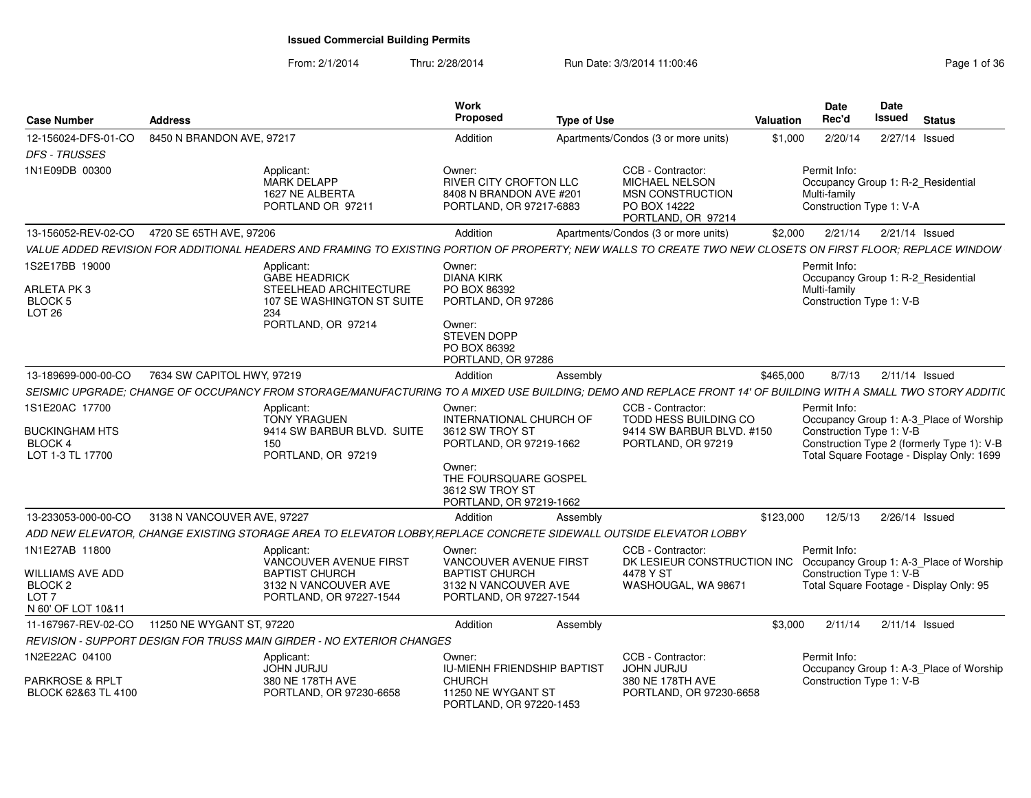| <b>Case Number</b>                                                                                 | <b>Address</b>                                                                                                                                                 | Work<br>Propose<br><b>Type of Use</b>                                                                                                                            |                                                                                                      | Date<br>Date<br>Issued<br>Rec'd<br><b>Status</b><br>Valuation                                                                                                                  |
|----------------------------------------------------------------------------------------------------|----------------------------------------------------------------------------------------------------------------------------------------------------------------|------------------------------------------------------------------------------------------------------------------------------------------------------------------|------------------------------------------------------------------------------------------------------|--------------------------------------------------------------------------------------------------------------------------------------------------------------------------------|
| <b>DFS - TRUSSES</b>                                                                               | 12-156024-DFS-01-CO 8450 N BRANDON AVE, 97217                                                                                                                  | Addition                                                                                                                                                         | Apartments/Condos (3 or more units)                                                                  | \$1,000<br>2/20/14<br>2/27/14 Issued                                                                                                                                           |
| 1N1E09DB 00300                                                                                     | Applicant:<br><b>MARK DELAPP</b><br>1627 NE ALBERTA<br>PORTLAND OR 97211                                                                                       | Owner:<br>RIVER CITY CROFTON LLC<br>8408 N BRANDON AVE #201<br>PORTLAND, OR 97217-6883                                                                           | CCB - Contractor:<br>MICHAEL NELSON<br><b>MSN CONSTRUCTION</b><br>PO BOX 14222<br>PORTLAND, OR 97214 | Permit Info:<br>Occupancy Group 1: R-2_Residential<br>Multi-family<br>Construction Type 1: V-A                                                                                 |
|                                                                                                    | 13-156052-REV-02-CO 4720 SE 65TH AVE, 97206                                                                                                                    | Addition                                                                                                                                                         | Apartments/Condos (3 or more units)                                                                  | \$2,000  2/21/14  2/21/14  Issued                                                                                                                                              |
|                                                                                                    | VALUE ADDED REVISION FOR ADDITIONAL HEADERS AND FRAMING TO EXISTING PORTION OF PROPERTY; NEW WALLS TO CREATE TWO NEW CLOSETS ON FIRST FLOOR; REPLACE WINDOW    |                                                                                                                                                                  |                                                                                                      |                                                                                                                                                                                |
| 1S2E17BB 19000<br>ARLETA PK 3<br>BLOCK 5<br><b>LOT 26</b>                                          | Applicant:<br>GABE HEADRICK<br>STEELHEAD ARCHITECTURE<br>107 SE WASHINGTON ST SUITE<br>234<br>PORTLAND, OR 97214                                               | Owner:<br><b>DIANA KIRK</b><br>PO BOX 86392<br>PORTLAND, OR 97286<br>Owner:<br>STEVEN DOPP<br>PO BOX 86392<br>PORTLAND, OR 97286                                 |                                                                                                      | Permit Info:<br>Occupancy Group 1: R-2_Residential<br>Multi-family<br>Construction Type 1: V-B                                                                                 |
| 13-189699-000-00-CO                                                                                | 7634 SW CAPITOL HWY, 97219                                                                                                                                     | Addition<br>Assembly                                                                                                                                             |                                                                                                      | 8/7/13<br>\$465.000<br>2/11/14 Issued                                                                                                                                          |
|                                                                                                    | SEISMIC UPGRADE; CHANGE OF OCCUPANCY FROM STORAGE/MANUFACTURING TO A MIXED USE BUILDING; DEMO AND REPLACE FRONT 14' OF BUILDING WITH A SMALL TWO STORY ADDITIC |                                                                                                                                                                  |                                                                                                      |                                                                                                                                                                                |
| 1S1E20AC 17700<br>BUCKINGHAM HTS<br>BLOCK 4<br>LOT 1-3 TL 17700                                    | Applicant:<br>TONY YRAGUEN<br>9414 SW BARBUR BLVD. SUITE<br>150<br>PORTLAND, OR 97219                                                                          | Owner:<br>INTERNATIONAL CHURCH OF<br>3612 SW TROY ST<br>PORTLAND, OR 97219-1662<br>Owner:<br>THE FOURSQUARE GOSPEL<br>3612 SW TROY ST<br>PORTLAND, OR 97219-1662 | CCB - Contractor:<br>TODD HESS BUILDING CO<br>9414 SW BARBUR BLVD, #150<br>PORTLAND, OR 97219        | Permit Info:<br>Occupancy Group 1: A-3_Place of Worship<br>Construction Type 1: V-B<br>Construction Type 2 (formerly Type 1): V-E<br>Total Square Footage - Display Only: 1699 |
|                                                                                                    | 13-233053-000-00-CO 3138 N VANCOUVER AVE, 97227                                                                                                                | Addition<br>Assembly                                                                                                                                             |                                                                                                      | \$123,000<br>12/5/13  2/26/14  Issued                                                                                                                                          |
|                                                                                                    | ADD NEW ELEVATOR, CHANGE EXISTING STORAGE AREA TO ELEVATOR LOBBY, REPLACE CONCRETE SIDEWALL OUTSIDE ELEVATOR LOBBY                                             |                                                                                                                                                                  |                                                                                                      |                                                                                                                                                                                |
| 1N1E27AB 11800<br>WILLIAMS AVE ADD<br>BLOCK <sub>2</sub><br>LOT <sub>7</sub><br>N 60' OF LOT 10&11 | Applicant:<br><b>VANCOUVER AVENUE FIRST</b><br><b>BAPTIST CHURCH</b><br>3132 N VANCOUVER AVE<br>PORTLAND, OR 97227-1544                                        | Owner:<br>VANCOUVER AVENUE FIRST<br><b>BAPTIST CHURCH</b><br>3132 N VANCOUVER AVE<br>PORTLAND, OR 97227-1544                                                     | CCB - Contractor:<br>4478 Y ST<br>WASHOUGAL, WA 98671                                                | Permit Info:<br>DK LESIEUR CONSTRUCTION INC Occupancy Group 1: A-3_Place of Worship<br>Construction Type 1: V-B<br>Total Square Footage - Display Only: 95                     |
|                                                                                                    |                                                                                                                                                                |                                                                                                                                                                  |                                                                                                      |                                                                                                                                                                                |
|                                                                                                    | 11-167967-REV-02-CO 11250 NE WYGANT ST, 97220                                                                                                                  | Addition<br>Assembly                                                                                                                                             |                                                                                                      | \$3,000<br>2/11/14   2/11/14   Issued                                                                                                                                          |
|                                                                                                    | REVISION - SUPPORT DESIGN FOR TRUSS MAIN GIRDER - NO EXTERIOR CHANGES                                                                                          |                                                                                                                                                                  |                                                                                                      |                                                                                                                                                                                |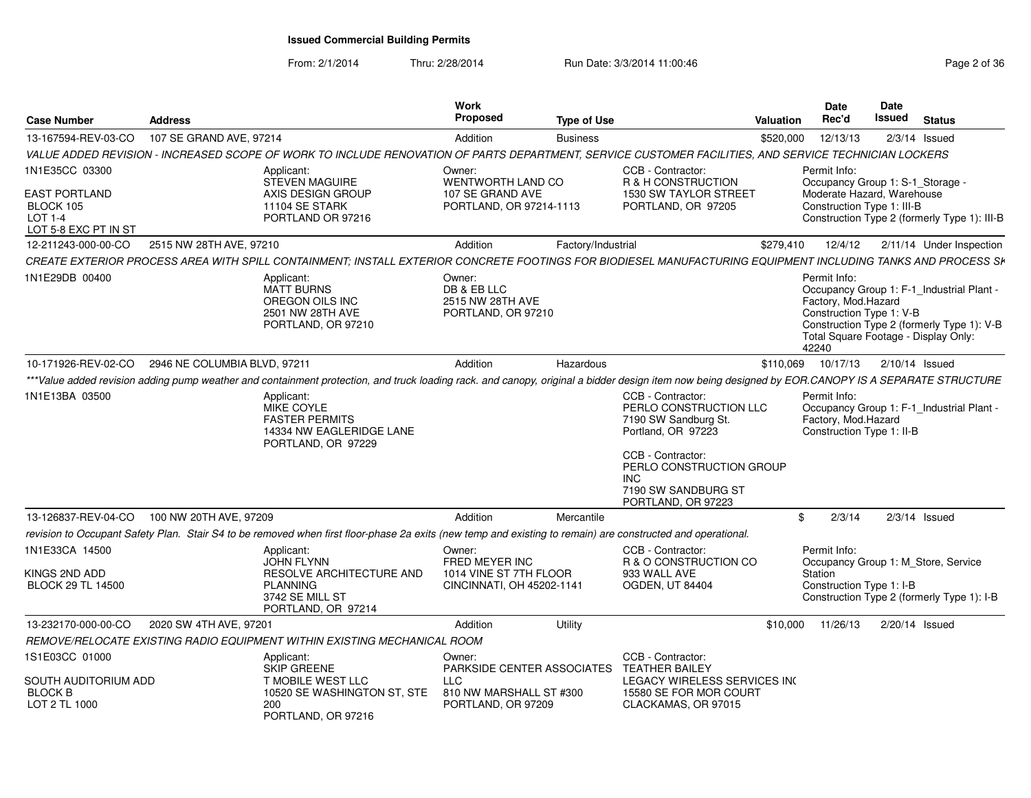From: 2/1/2014

Thru: 2/28/2014 Run Date: 3/3/2014 11:00:46 Research 2010 Rage 2 of 36

| <b>Case Number</b>                                                                     | <b>Address</b>               |                                                                                                                                                                                                    | Work<br>Proposed                                                                              | <b>Type of Use</b> |                                                                                                                                                                                                 | Valuation | Date<br>Rec'd                                                                                                    | Date<br>Issued | <b>Status</b>                                                                           |
|----------------------------------------------------------------------------------------|------------------------------|----------------------------------------------------------------------------------------------------------------------------------------------------------------------------------------------------|-----------------------------------------------------------------------------------------------|--------------------|-------------------------------------------------------------------------------------------------------------------------------------------------------------------------------------------------|-----------|------------------------------------------------------------------------------------------------------------------|----------------|-----------------------------------------------------------------------------------------|
| 13-167594-REV-03-CO                                                                    | 107 SE GRAND AVE, 97214      |                                                                                                                                                                                                    | Addition                                                                                      | <b>Business</b>    |                                                                                                                                                                                                 | \$520,000 | 12/13/13                                                                                                         |                | $2/3/14$ Issued                                                                         |
|                                                                                        |                              | VALUE ADDED REVISION - INCREASED SCOPE OF WORK TO INCLUDE RENOVATION OF PARTS DEPARTMENT, SERVICE CUSTOMER FACILITIES, AND SERVICE TECHNICIAN LOCKERS                                              |                                                                                               |                    |                                                                                                                                                                                                 |           |                                                                                                                  |                |                                                                                         |
| 1N1E35CC 03300<br><b>EAST PORTLAND</b><br>BLOCK 105<br>LOT 1-4<br>LOT 5-8 EXC PT IN ST |                              | Applicant:<br><b>STEVEN MAGUIRE</b><br>AXIS DESIGN GROUP<br>11104 SE STARK<br>PORTLAND OR 97216                                                                                                    | Owner:<br>WENTWORTH LAND CO<br>107 SE GRAND AVE<br>PORTLAND, OR 97214-1113                    |                    | CCB - Contractor:<br>R & H CONSTRUCTION<br><b>1530 SW TAYLOR STREET</b><br>PORTLAND, OR 97205                                                                                                   |           | Permit Info:<br>Occupancy Group 1: S-1_Storage -<br>Moderate Hazard, Warehouse<br>Construction Type 1: III-B     |                | Construction Type 2 (formerly Type 1): III-B                                            |
| 12-211243-000-00-CO                                                                    | 2515 NW 28TH AVE, 97210      |                                                                                                                                                                                                    | Addition                                                                                      | Factory/Industrial |                                                                                                                                                                                                 | \$279,410 | 12/4/12                                                                                                          |                | 2/11/14 Under Inspection                                                                |
|                                                                                        |                              | CREATE EXTERIOR PROCESS AREA WITH SPILL CONTAINMENT; INSTALL EXTERIOR CONCRETE FOOTINGS FOR BIODIESEL MANUFACTURING EQUIPMENT INCLUDING TANKS AND PROCESS SK                                       |                                                                                               |                    |                                                                                                                                                                                                 |           |                                                                                                                  |                |                                                                                         |
| 1N1E29DB 00400                                                                         |                              | Applicant:<br><b>MATT BURNS</b><br>OREGON OILS INC<br>2501 NW 28TH AVE<br>PORTLAND, OR 97210                                                                                                       | Owner:<br>DB & EB LLC<br>2515 NW 28TH AVE<br>PORTLAND, OR 97210                               |                    |                                                                                                                                                                                                 |           | Permit Info:<br>Factory, Mod.Hazard<br>Construction Type 1: V-B<br>Total Square Footage - Display Only:<br>42240 |                | Occupancy Group 1: F-1_Industrial Plant -<br>Construction Type 2 (formerly Type 1): V-B |
| 10-171926-REV-02-CO                                                                    | 2946 NE COLUMBIA BLVD, 97211 |                                                                                                                                                                                                    | Addition                                                                                      | Hazardous          |                                                                                                                                                                                                 |           | \$110,069 10/17/13                                                                                               |                | 2/10/14 Issued                                                                          |
|                                                                                        |                              | ***Value added revision adding pump weather and containment protection, and truck loading rack. and canopy, original a bidder design item now being designed by EOR.CANOPY IS A SEPARATE STRUCTURE |                                                                                               |                    |                                                                                                                                                                                                 |           |                                                                                                                  |                |                                                                                         |
| 1N1E13BA 03500                                                                         |                              | Applicant:<br><b>MIKE COYLE</b><br><b>FASTER PERMITS</b><br>14334 NW EAGLERIDGE LANE<br>PORTLAND, OR 97229                                                                                         |                                                                                               |                    | CCB - Contractor:<br>PERLO CONSTRUCTION LLC<br>7190 SW Sandburg St.<br>Portland, OR 97223<br>CCB - Contractor:<br>PERLO CONSTRUCTION GROUP<br>INC.<br>7190 SW SANDBURG ST<br>PORTLAND, OR 97223 |           | Permit Info:<br>Factory, Mod.Hazard<br>Construction Type 1: II-B                                                 |                | Occupancy Group 1: F-1_Industrial Plant -                                               |
| 13-126837-REV-04-CO                                                                    | 100 NW 20TH AVE, 97209       |                                                                                                                                                                                                    | Addition                                                                                      | Mercantile         |                                                                                                                                                                                                 | \$        | 2/3/14                                                                                                           |                | $2/3/14$ Issued                                                                         |
|                                                                                        |                              | revision to Occupant Safety Plan. Stair S4 to be removed when first floor-phase 2a exits (new temp and existing to remain) are constructed and operational.                                        |                                                                                               |                    |                                                                                                                                                                                                 |           |                                                                                                                  |                |                                                                                         |
| 1N1E33CA 14500<br>KINGS 2ND ADD<br><b>BLOCK 29 TL 14500</b>                            |                              | Applicant:<br>JOHN FLYNN<br>RESOLVE ARCHITECTURE AND<br><b>PLANNING</b><br>3742 SE MILL ST<br>PORTLAND, OR 97214                                                                                   | Owner:<br>FRED MEYER INC<br>1014 VINE ST 7TH FLOOR<br>CINCINNATI, OH 45202-1141               |                    | CCB - Contractor:<br>R & O CONSTRUCTION CO<br>933 WALL AVE<br>OGDEN, UT 84404                                                                                                                   |           | Permit Info:<br>Station<br>Construction Type 1: I-B                                                              |                | Occupancy Group 1: M_Store, Service<br>Construction Type 2 (formerly Type 1): I-B       |
| 13-232170-000-00-CO                                                                    | 2020 SW 4TH AVE, 97201       |                                                                                                                                                                                                    | Addition                                                                                      | Utility            |                                                                                                                                                                                                 |           | \$10,000 11/26/13                                                                                                |                | 2/20/14 Issued                                                                          |
|                                                                                        |                              | REMOVE/RELOCATE EXISTING RADIO EQUIPMENT WITHIN EXISTING MECHANICAL ROOM                                                                                                                           |                                                                                               |                    |                                                                                                                                                                                                 |           |                                                                                                                  |                |                                                                                         |
| 1S1E03CC 01000<br>SOUTH AUDITORIUM ADD<br><b>BLOCK B</b><br>LOT 2 TL 1000              |                              | Applicant:<br>SKIP GREENE<br>T MOBILE WEST LLC<br>10520 SE WASHINGTON ST, STE<br>200<br>PORTLAND, OR 97216                                                                                         | Owner:<br>PARKSIDE CENTER ASSOCIATES<br>LLC.<br>810 NW MARSHALL ST #300<br>PORTLAND, OR 97209 |                    | CCB - Contractor:<br><b>TEATHER BAILEY</b><br>LEGACY WIRELESS SERVICES INC<br>15580 SE FOR MOR COURT<br>CLACKAMAS, OR 97015                                                                     |           |                                                                                                                  |                |                                                                                         |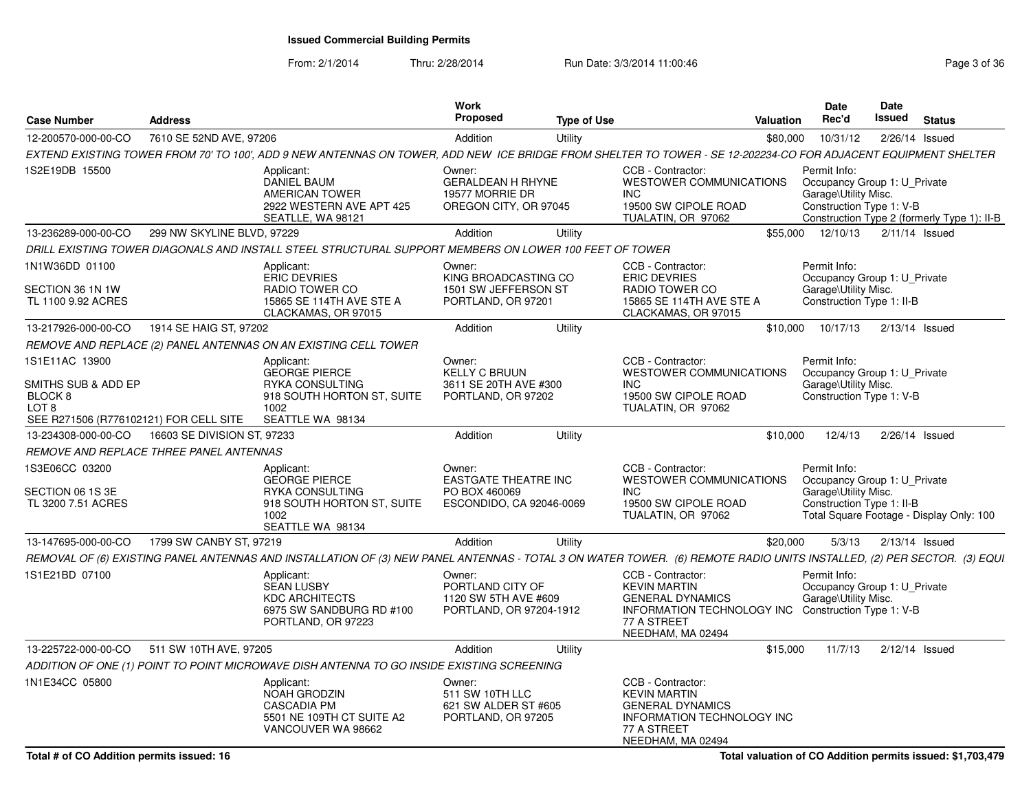From: 2/1/2014

| <b>Case Number</b>                                        | <b>Address</b>                          |                                                                                                                                                                        | Work<br>Proposed                                                                   | <b>Type of Use</b> |                                                                                                                                              | <b>Valuation</b> | Date<br>Rec'd                                                                                     | Date<br>Issued | <b>Status</b>                               |
|-----------------------------------------------------------|-----------------------------------------|------------------------------------------------------------------------------------------------------------------------------------------------------------------------|------------------------------------------------------------------------------------|--------------------|----------------------------------------------------------------------------------------------------------------------------------------------|------------------|---------------------------------------------------------------------------------------------------|----------------|---------------------------------------------|
| 12-200570-000-00-CO                                       | 7610 SE 52ND AVE, 97206                 |                                                                                                                                                                        | Addition                                                                           | Utility            |                                                                                                                                              | \$80,000         | 10/31/12                                                                                          |                | 2/26/14 Issued                              |
|                                                           |                                         | EXTEND EXISTING TOWER FROM 70' TO 100'. ADD 9 NEW ANTENNAS ON TOWER, ADD NEW ICE BRIDGE FROM SHELTER TO TOWER - SE 12-202234-CO FOR ADJACENT EQUIPMENT SHELTER         |                                                                                    |                    |                                                                                                                                              |                  |                                                                                                   |                |                                             |
| 1S2E19DB 15500                                            |                                         | Applicant:<br><b>DANIEL BAUM</b><br>AMERICAN TOWER<br>2922 WESTERN AVE APT 425<br>SEATLLE, WA 98121                                                                    | Owner:<br><b>GERALDEAN H RHYNE</b><br>19577 MORRIE DR<br>OREGON CITY, OR 97045     |                    | CCB - Contractor:<br><b>WESTOWER COMMUNICATIONS</b><br>INC.<br>19500 SW CIPOLE ROAD<br>TUALATIN, OR 97062                                    |                  | Permit Info:<br>Occupancy Group 1: U Private<br>Garage\Utility Misc.<br>Construction Type 1: V-B  |                | Construction Type 2 (formerly Type 1): II-B |
| 13-236289-000-00-CO                                       | 299 NW SKYLINE BLVD, 97229              |                                                                                                                                                                        | Addition                                                                           | Utility            |                                                                                                                                              | \$55.000         | 12/10/13                                                                                          |                | $2/11/14$ Issued                            |
|                                                           |                                         | DRILL EXISTING TOWER DIAGONALS AND INSTALL STEEL STRUCTURAL SUPPORT MEMBERS ON LOWER 100 FEET OF TOWER                                                                 |                                                                                    |                    |                                                                                                                                              |                  |                                                                                                   |                |                                             |
| 1N1W36DD 01100<br>SECTION 36 1N 1W<br>TL 1100 9.92 ACRES  |                                         | Applicant:<br><b>ERIC DEVRIES</b><br>RADIO TOWER CO<br>15865 SE 114TH AVE STE A<br>CLACKAMAS, OR 97015                                                                 | Owner:<br>KING BROADCASTING CO<br>1501 SW JEFFERSON ST<br>PORTLAND, OR 97201       |                    | CCB - Contractor:<br><b>ERIC DEVRIES</b><br>RADIO TOWER CO<br>15865 SE 114TH AVE STE A<br>CLACKAMAS, OR 97015                                |                  | Permit Info:<br>Occupancy Group 1: U Private<br>Garage\Utility Misc.<br>Construction Type 1: II-B |                |                                             |
| 13-217926-000-00-CO                                       | 1914 SE HAIG ST, 97202                  |                                                                                                                                                                        | Addition                                                                           | Utility            |                                                                                                                                              | \$10,000         | 10/17/13                                                                                          |                | $2/13/14$ Issued                            |
|                                                           |                                         | REMOVE AND REPLACE (2) PANEL ANTENNAS ON AN EXISTING CELL TOWER                                                                                                        |                                                                                    |                    |                                                                                                                                              |                  |                                                                                                   |                |                                             |
| 1S1E11AC 13900<br>SMITHS SUB & ADD EP<br>BLOCK 8<br>LOT 8 |                                         | Applicant:<br><b>GEORGE PIERCE</b><br>RYKA CONSULTING<br>918 SOUTH HORTON ST, SUITE<br>1002                                                                            | Owner:<br><b>KELLY C BRUUN</b><br>3611 SE 20TH AVE #300<br>PORTLAND, OR 97202      |                    | CCB - Contractor:<br><b>WESTOWER COMMUNICATIONS</b><br>INC.<br>19500 SW CIPOLE ROAD<br>TUALATIN, OR 97062                                    |                  | Permit Info:<br>Occupancy Group 1: U Private<br>Garage\Utility Misc.<br>Construction Type 1: V-B  |                |                                             |
| SEE R271506 (R776102121) FOR CELL SITE                    |                                         | SEATTLE WA 98134                                                                                                                                                       |                                                                                    |                    |                                                                                                                                              |                  |                                                                                                   |                |                                             |
| 13-234308-000-00-CO                                       | 16603 SE DIVISION ST, 97233             |                                                                                                                                                                        | Addition                                                                           | Utility            |                                                                                                                                              | \$10,000         | 12/4/13                                                                                           |                | 2/26/14 Issued                              |
|                                                           | REMOVE AND REPLACE THREE PANEL ANTENNAS |                                                                                                                                                                        |                                                                                    |                    |                                                                                                                                              |                  |                                                                                                   |                |                                             |
| 1S3E06CC 03200<br>SECTION 06 1S 3E<br>TL 3200 7.51 ACRES  |                                         | Applicant:<br><b>GEORGE PIERCE</b><br>RYKA CONSULTING<br>918 SOUTH HORTON ST, SUITE<br>1002<br>SEATTLE WA 98134                                                        | Owner:<br><b>EASTGATE THEATRE INC</b><br>PO BOX 460069<br>ESCONDIDO, CA 92046-0069 |                    | CCB - Contractor:<br>WESTOWER COMMUNICATIONS<br><b>INC</b><br>19500 SW CIPOLE ROAD<br>TUALATIN, OR 97062                                     |                  | Permit Info:<br>Occupancy Group 1: U Private<br>Garage\Utility Misc.<br>Construction Type 1: II-B |                | Total Square Footage - Display Only: 100    |
| 13-147695-000-00-CO                                       | 1799 SW CANBY ST, 97219                 |                                                                                                                                                                        | Addition                                                                           | Utility            |                                                                                                                                              | \$20,000         | 5/3/13                                                                                            |                | $2/13/14$ Issued                            |
|                                                           |                                         | REMOVAL OF (6) EXISTING PANEL ANTENNAS AND INSTALLATION OF (3) NEW PANEL ANTENNAS - TOTAL 3 ON WATER TOWER. (6) REMOTE RADIO UNITS INSTALLED, (2) PER SECTOR. (3) EQUI |                                                                                    |                    |                                                                                                                                              |                  |                                                                                                   |                |                                             |
| 1S1E21BD 07100                                            |                                         | Applicant:<br><b>SEAN LUSBY</b><br><b>KDC ARCHITECTS</b><br>6975 SW SANDBURG RD #100<br>PORTLAND, OR 97223                                                             | Owner:<br>PORTLAND CITY OF<br>1120 SW 5TH AVE #609<br>PORTLAND, OR 97204-1912      |                    | CCB - Contractor:<br><b>KEVIN MARTIN</b><br><b>GENERAL DYNAMICS</b><br>INFORMATION TECHNOLOGY INC<br>77 A STREET<br>NEEDHAM, MA 02494        |                  | Permit Info:<br>Occupancy Group 1: U_Private<br>Garage\Utility Misc.<br>Construction Type 1: V-B  |                |                                             |
| 13-225722-000-00-CO                                       | 511 SW 10TH AVE, 97205                  |                                                                                                                                                                        | Addition                                                                           | Utility            |                                                                                                                                              | \$15,000         | 11/7/13                                                                                           |                | $2/12/14$ Issued                            |
|                                                           |                                         | ADDITION OF ONE (1) POINT TO POINT MICROWAVE DISH ANTENNA TO GO INSIDE EXISTING SCREENING                                                                              |                                                                                    |                    |                                                                                                                                              |                  |                                                                                                   |                |                                             |
| 1N1E34CC 05800                                            |                                         | Applicant:<br>NOAH GRODZIN<br><b>CASCADIA PM</b><br>5501 NE 109TH CT SUITE A2<br>VANCOUVER WA 98662                                                                    | Owner:<br>511 SW 10TH LLC<br>621 SW ALDER ST #605<br>PORTLAND, OR 97205            |                    | CCB - Contractor:<br><b>KEVIN MARTIN</b><br><b>GENERAL DYNAMICS</b><br><b>INFORMATION TECHNOLOGY INC</b><br>77 A STREET<br>NEEDHAM, MA 02494 |                  |                                                                                                   |                |                                             |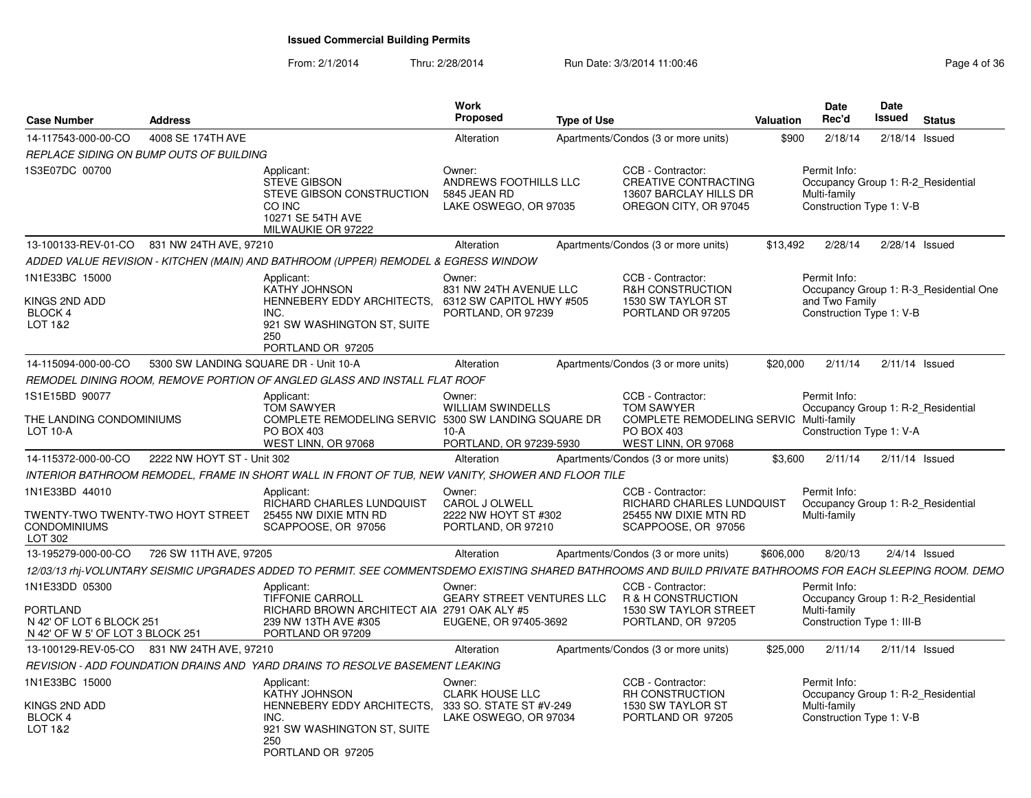| Case Number                                                                                | <b>Address</b>                        |                                                                                                                                                              | Work<br><b>Proposed</b>                                                            | <b>Type of Use</b> |                                                                                                                        | Valuation | <b>Date</b><br>Rec'd                                       | Date | <b>Issued</b> Status                   |
|--------------------------------------------------------------------------------------------|---------------------------------------|--------------------------------------------------------------------------------------------------------------------------------------------------------------|------------------------------------------------------------------------------------|--------------------|------------------------------------------------------------------------------------------------------------------------|-----------|------------------------------------------------------------|------|----------------------------------------|
| 14-117543-000-00-CO                                                                        | 4008 SE 174TH AVE                     |                                                                                                                                                              | Alteration                                                                         |                    | Apartments/Condos (3 or more units)                                                                                    | \$900     | 2/18/14                                                    |      | 2/18/14 Issued                         |
| REPLACE SIDING ON BUMP OUTS OF BUILDING                                                    |                                       |                                                                                                                                                              |                                                                                    |                    |                                                                                                                        |           |                                                            |      |                                        |
| 1S3E07DC 00700                                                                             |                                       | Applicant:<br><b>STEVE GIBSON</b><br>STEVE GIBSON CONSTRUCTION<br>CO INC<br>10271 SE 54TH AVE<br>MILWAUKIE OR 97222                                          | Owner:<br>ANDREWS FOOTHILLS LLC<br>5845 JEAN RD<br>LAKE OSWEGO, OR 97035           |                    | CCB - Contractor:<br><b>CREATIVE CONTRACTING</b><br>13607 BARCLAY HILLS DR<br>OREGON CITY, OR 97045                    |           | Permit Info:<br>Multi-family<br>Construction Type 1: V-B   |      | Occupancy Group 1: R-2_Residential     |
| 13-100133-REV-01-CO 831 NW 24TH AVE, 97210                                                 |                                       |                                                                                                                                                              | Alteration                                                                         |                    | Apartments/Condos (3 or more units)                                                                                    | \$13.492  |                                                            |      | 2/28/14  2/28/14  Issued               |
|                                                                                            |                                       | ADDED VALUE REVISION - KITCHEN (MAIN) AND BATHROOM (UPPER) REMODEL & EGRESS WINDOW                                                                           |                                                                                    |                    |                                                                                                                        |           |                                                            |      |                                        |
| 1N1E33BC 15000<br>KINGS 2ND ADD<br><b>BLOCK 4</b><br>LOT 1&2                               |                                       | Applicant:<br><b>KATHY JOHNSON</b><br>HENNEBERY EDDY ARCHITECTS.<br>INC.<br>921 SW WASHINGTON ST, SUITE<br>250<br>PORTLAND OR 97205                          | Owner:<br>831 NW 24TH AVENUE LLC<br>6312 SW CAPITOL HWY #505<br>PORTLAND, OR 97239 |                    | CCB - Contractor:<br><b>R&amp;H CONSTRUCTION</b><br>1530 SW TAYLOR ST<br>PORTLAND OR 97205                             |           | Permit Info:<br>and Two Family<br>Construction Type 1: V-B |      | Occupancy Group 1: R-3_Residential One |
| 14-115094-000-00-CO                                                                        | 5300 SW LANDING SQUARE DR - Unit 10-A |                                                                                                                                                              | Alteration                                                                         |                    | Apartments/Condos (3 or more units)                                                                                    | \$20,000  |                                                            |      | 2/11/14 2/11/14 Issued                 |
|                                                                                            |                                       | REMODEL DINING ROOM, REMOVE PORTION OF ANGLED GLASS AND INSTALL FLAT ROOF                                                                                    |                                                                                    |                    |                                                                                                                        |           |                                                            |      |                                        |
| 1S1E15BD 90077<br>THE LANDING CONDOMINIUMS<br><b>LOT 10-A</b>                              |                                       | Applicant:<br><b>TOM SAWYER</b><br>COMPLETE REMODELING SERVIC 5300 SW LANDING SQUARE DR<br>PO BOX 403<br>WEST LINN, OR 97068                                 | Owner:<br><b>WILLIAM SWINDELLS</b><br>10-A<br>PORTLAND, OR 97239-5930              |                    | CCB - Contractor:<br>TOM SAWYER<br><b>COMPLETE REMODELING SERVIC Multi-family</b><br>PO BOX 403<br>WEST LINN, OR 97068 |           | Permit Info:<br>Construction Type 1: V-A                   |      | Occupancy Group 1: R-2 Residential     |
| 14-115372-000-00-CO  2222 NW HOYT ST - Unit 302                                            |                                       |                                                                                                                                                              | Alteration                                                                         |                    | Apartments/Condos (3 or more units)                                                                                    | \$3,600   |                                                            |      | 2/11/14  2/11/14  Issued               |
|                                                                                            |                                       | INTERIOR BATHROOM REMODEL, FRAME IN SHORT WALL IN FRONT OF TUB, NEW VANITY, SHOWER AND FLOOR TILE                                                            |                                                                                    |                    |                                                                                                                        |           |                                                            |      |                                        |
| 1N1E33BD 44010<br>TWENTY-TWO TWENTY-TWO HOYT STREET<br>CONDOMINIUMS<br>LOT 302             |                                       | Applicant:<br>RICHARD CHARLES LUNDQUIST<br>25455 NW DIXIE MTN RD<br>SCAPPOOSE, OR 97056                                                                      | Owner:<br>CAROL J OLWELL<br>2222 NW HOYT ST #302<br>PORTLAND, OR 97210             |                    | CCB - Contractor:<br>RICHARD CHARLES LUNDQUIST<br>25455 NW DIXIE MTN RD<br>SCAPPOOSE, OR 97056                         |           | Permit Info:<br>Multi-family                               |      | Occupancy Group 1: R-2 Residential     |
| 13-195279-000-00-CO 726 SW 11TH AVE, 97205                                                 |                                       |                                                                                                                                                              | Alteration                                                                         |                    | Apartments/Condos (3 or more units)                                                                                    | \$606,000 | 8/20/13                                                    |      | $2/4/14$ Issued                        |
|                                                                                            |                                       | 12/03/13 rhj-VOLUNTARY SEISMIC UPGRADES ADDED TO PERMIT. SEE COMMENTSDEMO EXISTING SHARED BATHROOMS AND BUILD PRIVATE BATHROOMS FOR EACH SLEEPING ROOM. DEMO |                                                                                    |                    |                                                                                                                        |           |                                                            |      |                                        |
| 1N1E33DD 05300<br>PORTLAND<br>N 42' OF LOT 6 BLOCK 251<br>N 42' OF W 5' OF LOT 3 BLOCK 251 |                                       | Applicant:<br><b>TIFFONIE CARROLL</b><br>RICHARD BROWN ARCHITECT AIA 2791 OAK ALY #5<br>239 NW 13TH AVE #305<br>PORTLAND OR 97209                            | Owner:<br><b>GEARY STREET VENTURES LLC</b><br>EUGENE, OR 97405-3692                |                    | CCB - Contractor:<br>R & H CONSTRUCTION<br>1530 SW TAYLOR STREET<br>PORTLAND, OR 97205                                 |           | Permit Info:<br>Multi-family<br>Construction Type 1: III-B |      | Occupancy Group 1: R-2 Residential     |
| 13-100129-REV-05-CO 831 NW 24TH AVE, 97210                                                 |                                       |                                                                                                                                                              | Alteration                                                                         |                    | Apartments/Condos (3 or more units)                                                                                    | \$25.000  |                                                            |      | 2/11/14 2/11/14 Issued                 |
|                                                                                            |                                       | REVISION - ADD FOUNDATION DRAINS AND YARD DRAINS TO RESOLVE BASEMENT LEAKING                                                                                 |                                                                                    |                    |                                                                                                                        |           |                                                            |      |                                        |
| 1N1E33BC 15000                                                                             |                                       | Applicant:<br><b>KATHY JOHNSON</b>                                                                                                                           | Owner:<br><b>CLARK HOUSE LLC</b>                                                   |                    | CCB - Contractor:<br>RH CONSTRUCTION                                                                                   |           | Permit Info:                                               |      | Occupancy Group 1: R-2 Residential     |
| KINGS 2ND ADD<br>BLOCK 4<br>LOT 1&2                                                        |                                       | HENNEBERY EDDY ARCHITECTS, 333 SO. STATE ST #V-249<br>INC.<br>921 SW WASHINGTON ST, SUITE<br>250<br>PORTLAND OR 97205                                        | LAKE OSWEGO, OR 97034                                                              |                    | 1530 SW TAYLOR ST<br>PORTLAND OR 97205                                                                                 |           | Multi-family<br>Construction Type 1: V-B                   |      |                                        |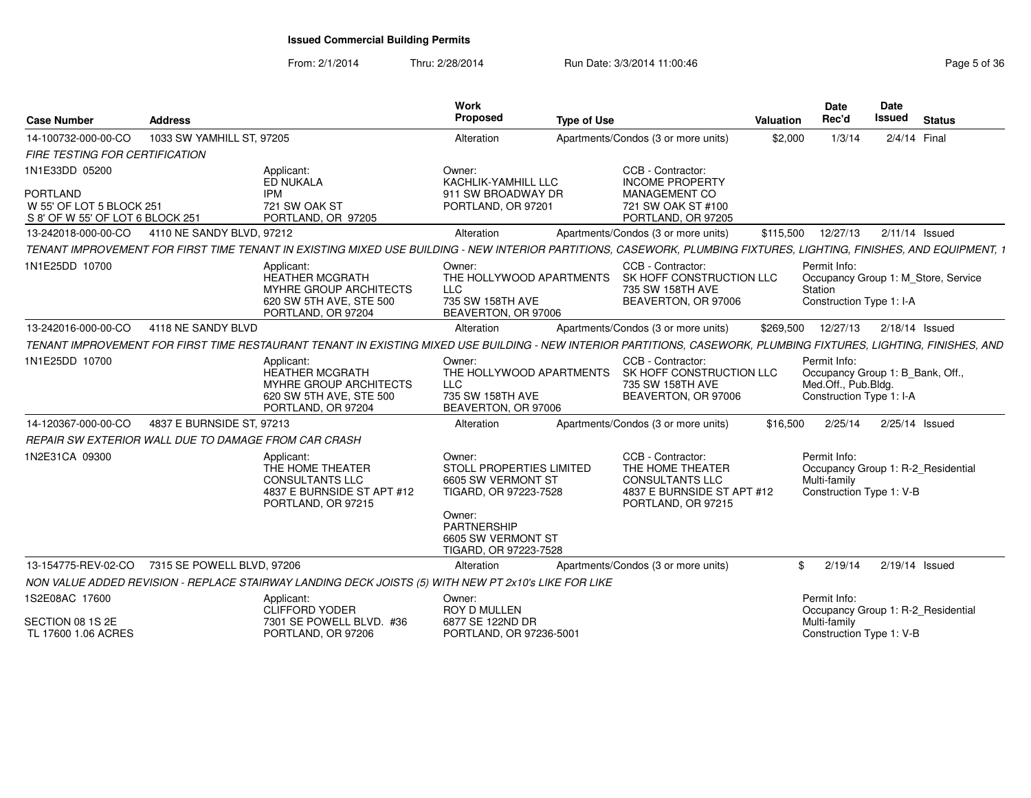#### From: 2/1/2014Thru: 2/28/2014 **Run Date: 3/3/2014 11:00:46 Pag F Pag**

| <b>Case Number</b>                                                                                | <b>Address</b>             |                                                                                                                                                                      | Work<br>Proposed                                                                            | <b>Type of Use</b> |                                                                                                                     | Valuation | Date<br>Rec'd                                                                                       | <b>Date</b><br><b>Issued</b> | <b>Status</b>                       |
|---------------------------------------------------------------------------------------------------|----------------------------|----------------------------------------------------------------------------------------------------------------------------------------------------------------------|---------------------------------------------------------------------------------------------|--------------------|---------------------------------------------------------------------------------------------------------------------|-----------|-----------------------------------------------------------------------------------------------------|------------------------------|-------------------------------------|
| 14-100732-000-00-CO                                                                               | 1033 SW YAMHILL ST, 97205  |                                                                                                                                                                      | Alteration                                                                                  |                    | Apartments/Condos (3 or more units)                                                                                 | \$2.000   | 1/3/14                                                                                              | 2/4/14 Final                 |                                     |
| FIRE TESTING FOR CERTIFICATION                                                                    |                            |                                                                                                                                                                      |                                                                                             |                    |                                                                                                                     |           |                                                                                                     |                              |                                     |
| 1N1E33DD 05200<br><b>PORTLAND</b><br>W 55' OF LOT 5 BLOCK 251<br>S 8' OF W 55' OF LOT 6 BLOCK 251 |                            | Applicant:<br><b>ED NUKALA</b><br><b>IPM</b><br>721 SW OAK ST<br>PORTLAND, OR 97205                                                                                  | Owner:<br>KACHLIK-YAMHILL LLC<br>911 SW BROADWAY DR<br>PORTLAND, OR 97201                   |                    | CCB - Contractor:<br><b>INCOME PROPERTY</b><br>MANAGEMENT CO<br>721 SW OAK ST #100<br>PORTLAND, OR 97205            |           |                                                                                                     |                              |                                     |
| 13-242018-000-00-CO                                                                               | 4110 NE SANDY BLVD, 97212  |                                                                                                                                                                      | Alteration                                                                                  |                    | Apartments/Condos (3 or more units)                                                                                 | \$115,500 | 12/27/13                                                                                            | $2/11/14$ Issued             |                                     |
|                                                                                                   |                            | TENANT IMPROVEMENT FOR FIRST TIME TENANT IN EXISTING MIXED USE BUILDING - NEW INTERIOR PARTITIONS, CASEWORK, PLUMBING FIXTURES, LIGHTING, FINISHES, AND EQUIPMENT, 1 |                                                                                             |                    |                                                                                                                     |           |                                                                                                     |                              |                                     |
| 1N1E25DD 10700                                                                                    |                            | Applicant:<br><b>HEATHER MCGRATH</b><br>MYHRE GROUP ARCHITECTS<br>620 SW 5TH AVE, STE 500<br>PORTLAND, OR 97204                                                      | Owner:<br>THE HOLLYWOOD APARTMENTS<br><b>LLC</b><br>735 SW 158TH AVE<br>BEAVERTON, OR 97006 |                    | CCB - Contractor:<br>SK HOFF CONSTRUCTION LLC<br>735 SW 158TH AVE<br>BEAVERTON, OR 97006                            |           | Permit Info:<br>Station<br>Construction Type 1: I-A                                                 |                              | Occupancy Group 1: M_Store, Service |
| 13-242016-000-00-CO                                                                               | 4118 NE SANDY BLVD         |                                                                                                                                                                      | Alteration                                                                                  |                    | Apartments/Condos (3 or more units)                                                                                 | \$269,500 | 12/27/13                                                                                            | $2/18/14$ Issued             |                                     |
|                                                                                                   |                            | TENANT IMPROVEMENT FOR FIRST TIME RESTAURANT TENANT IN EXISTING MIXED USE BUILDING - NEW INTERIOR PARTITIONS, CASEWORK, PLUMBING FIXTURES, LIGHTING, FINISHES, AND   |                                                                                             |                    |                                                                                                                     |           |                                                                                                     |                              |                                     |
| 1N1E25DD 10700                                                                                    |                            | Applicant:<br><b>HEATHER MCGRATH</b><br><b>MYHRE GROUP ARCHITECTS</b><br>620 SW 5TH AVE, STE 500<br>PORTLAND, OR 97204                                               | Owner:<br>THE HOLLYWOOD APARTMENTS<br><b>LLC</b><br>735 SW 158TH AVE<br>BEAVERTON, OR 97006 |                    | CCB - Contractor:<br>SK HOFF CONSTRUCTION LLC<br>735 SW 158TH AVE<br>BEAVERTON, OR 97006                            |           | Permit Info:<br>Occupancy Group 1: B_Bank, Off.,<br>Med.Off., Pub.Bldg.<br>Construction Type 1: I-A |                              |                                     |
| 14-120367-000-00-CO                                                                               | 4837 E BURNSIDE ST, 97213  |                                                                                                                                                                      | Alteration                                                                                  |                    | Apartments/Condos (3 or more units)                                                                                 | \$16,500  | 2/25/14                                                                                             | 2/25/14 Issued               |                                     |
| REPAIR SW EXTERIOR WALL DUE TO DAMAGE FROM CAR CRASH                                              |                            |                                                                                                                                                                      |                                                                                             |                    |                                                                                                                     |           |                                                                                                     |                              |                                     |
| 1N2E31CA 09300                                                                                    |                            | Applicant:<br>THE HOME THEATER<br><b>CONSULTANTS LLC</b><br>4837 E BURNSIDE ST APT #12<br>PORTLAND, OR 97215                                                         | Owner:<br><b>STOLL PROPERTIES LIMITED</b><br>6605 SW VERMONT ST<br>TIGARD, OR 97223-7528    |                    | CCB - Contractor:<br>THE HOME THEATER<br><b>CONSULTANTS LLC</b><br>4837 E BURNSIDE ST APT #12<br>PORTLAND, OR 97215 |           | Permit Info:<br>Occupancy Group 1: R-2 Residential<br>Multi-family<br>Construction Type 1: V-B      |                              |                                     |
|                                                                                                   |                            |                                                                                                                                                                      | Owner:<br><b>PARTNERSHIP</b><br>6605 SW VERMONT ST<br>TIGARD, OR 97223-7528                 |                    |                                                                                                                     |           |                                                                                                     |                              |                                     |
| 13-154775-REV-02-CO                                                                               | 7315 SE POWELL BLVD, 97206 |                                                                                                                                                                      | Alteration                                                                                  |                    | Apartments/Condos (3 or more units)                                                                                 |           | 2/19/14<br>\$                                                                                       | 2/19/14 Issued               |                                     |
|                                                                                                   |                            | NON VALUE ADDED REVISION - REPLACE STAIRWAY LANDING DECK JOISTS (5) WITH NEW PT 2x10's LIKE FOR LIKE                                                                 |                                                                                             |                    |                                                                                                                     |           |                                                                                                     |                              |                                     |
| 1S2E08AC 17600<br>SECTION 08 1S 2E<br>TL 17600 1.06 ACRES                                         |                            | Applicant:<br><b>CLIFFORD YODER</b><br>7301 SE POWELL BLVD. #36<br>PORTLAND, OR 97206                                                                                | Owner:<br><b>ROY D MULLEN</b><br>6877 SE 122ND DR<br>PORTLAND, OR 97236-5001                |                    |                                                                                                                     |           | Permit Info:<br>Occupancy Group 1: R-2_Residential<br>Multi-family<br>Construction Type 1: V-B      |                              |                                     |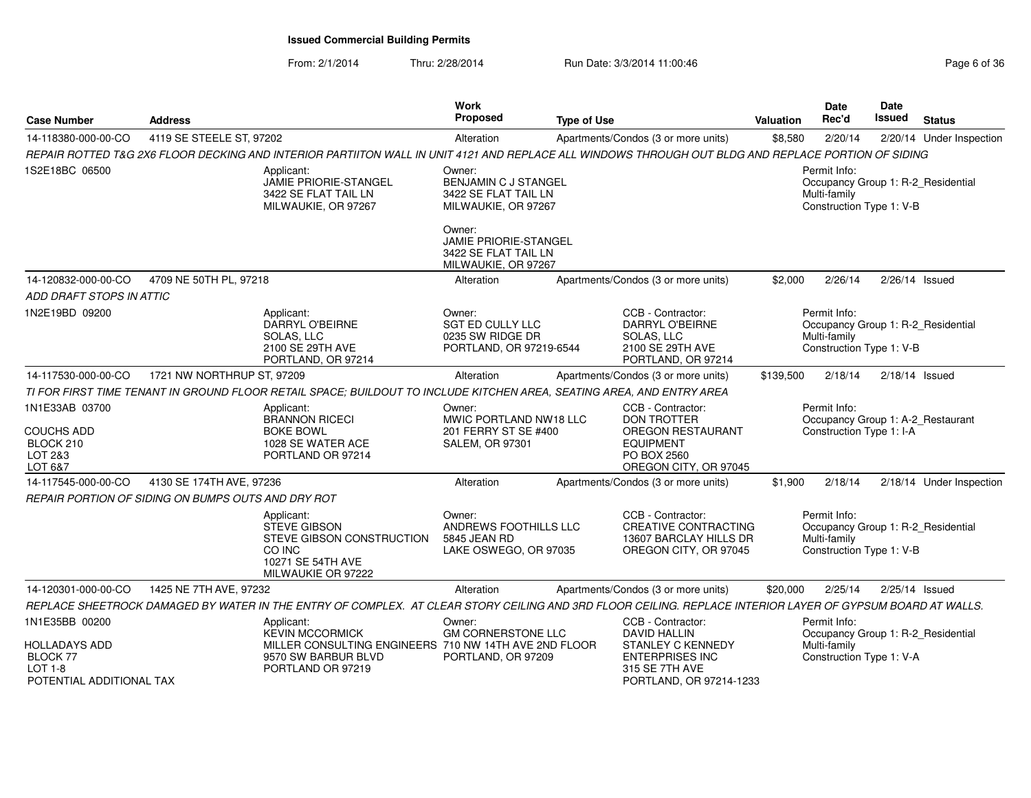#### From: 2/1/2014Thru: 2/28/2014 **Run Date: 3/3/2014 11:00:46 Pag Pag**

| Page 6 of 36 |  |
|--------------|--|
|--------------|--|

| <b>Case Number</b>                                                                    | <b>Address</b>                                     |                                                                                                                                                            | Work<br>Proposed                                                                   | <b>Type of Use</b> |                                                                                                                                 | Valuation | Date<br>Rec'd                                            | Date<br>Issued | <b>Status</b>                      |
|---------------------------------------------------------------------------------------|----------------------------------------------------|------------------------------------------------------------------------------------------------------------------------------------------------------------|------------------------------------------------------------------------------------|--------------------|---------------------------------------------------------------------------------------------------------------------------------|-----------|----------------------------------------------------------|----------------|------------------------------------|
| 14-118380-000-00-CO                                                                   | 4119 SE STEELE ST, 97202                           |                                                                                                                                                            | Alteration                                                                         |                    | Apartments/Condos (3 or more units)                                                                                             | \$8,580   | 2/20/14                                                  |                | 2/20/14 Under Inspection           |
|                                                                                       |                                                    | REPAIR ROTTED T&G 2X6 FLOOR DECKING AND INTERIOR PARTIITON WALL IN UNIT 4121 AND REPLACE ALL WINDOWS THROUGH OUT BLDG AND REPLACE PORTION OF SIDING        |                                                                                    |                    |                                                                                                                                 |           |                                                          |                |                                    |
| 1S2E18BC 06500                                                                        |                                                    | Applicant:<br>JAMIE PRIORIE-STANGEL<br>3422 SE FLAT TAIL LN<br>MILWAUKIE, OR 97267                                                                         | Owner:<br>BENJAMIN C J STANGEL<br>3422 SE FLAT TAIL LN<br>MILWAUKIE, OR 97267      |                    |                                                                                                                                 |           | Permit Info:<br>Multi-family<br>Construction Type 1: V-B |                | Occupancy Group 1: R-2_Residential |
|                                                                                       |                                                    |                                                                                                                                                            | Owner:<br>JAMIE PRIORIE-STANGEL<br>3422 SE FLAT TAIL LN<br>MILWAUKIE, OR 97267     |                    |                                                                                                                                 |           |                                                          |                |                                    |
| 14-120832-000-00-CO                                                                   | 4709 NE 50TH PL, 97218                             |                                                                                                                                                            | Alteration                                                                         |                    | Apartments/Condos (3 or more units)                                                                                             | \$2,000   | 2/26/14                                                  |                | 2/26/14 Issued                     |
| ADD DRAFT STOPS IN ATTIC                                                              |                                                    |                                                                                                                                                            |                                                                                    |                    |                                                                                                                                 |           |                                                          |                |                                    |
| 1N2E19BD 09200                                                                        |                                                    | Applicant:<br>DARRYL O'BEIRNE<br>SOLAS, LLC<br>2100 SE 29TH AVE<br>PORTLAND, OR 97214                                                                      | Owner:<br><b>SGT ED CULLY LLC</b><br>0235 SW RIDGE DR<br>PORTLAND, OR 97219-6544   |                    | CCB - Contractor:<br><b>DARRYL O'BEIRNE</b><br>SOLAS, LLC<br>2100 SE 29TH AVE<br>PORTLAND, OR 97214                             |           | Permit Info:<br>Multi-family<br>Construction Type 1: V-B |                | Occupancy Group 1: R-2 Residential |
| 14-117530-000-00-CO                                                                   | 1721 NW NORTHRUP ST, 97209                         |                                                                                                                                                            | Alteration                                                                         |                    | Apartments/Condos (3 or more units)                                                                                             | \$139,500 | 2/18/14                                                  |                | $2/18/14$ Issued                   |
|                                                                                       |                                                    | TI FOR FIRST TIME TENANT IN GROUND FLOOR RETAIL SPACE; BUILDOUT TO INCLUDE KITCHEN AREA, SEATING AREA, AND ENTRY AREA                                      |                                                                                    |                    |                                                                                                                                 |           |                                                          |                |                                    |
| 1N1E33AB 03700<br><b>COUCHS ADD</b><br>BLOCK 210<br>LOT 2&3<br>LOT 6&7                |                                                    | Applicant:<br><b>BRANNON RICECI</b><br><b>BOKE BOWL</b><br>1028 SE WATER ACE<br>PORTLAND OR 97214                                                          | Owner:<br>MWIC PORTLAND NW18 LLC<br>201 FERRY ST SE #400<br><b>SALEM, OR 97301</b> |                    | CCB - Contractor:<br><b>DON TROTTER</b><br><b>OREGON RESTAURANT</b><br><b>EQUIPMENT</b><br>PO BOX 2560<br>OREGON CITY, OR 97045 |           | Permit Info:<br>Construction Type 1: I-A                 |                | Occupancy Group 1: A-2_Restaurant  |
| 14-117545-000-00-CO                                                                   | 4130 SE 174TH AVE, 97236                           |                                                                                                                                                            | Alteration                                                                         |                    | Apartments/Condos (3 or more units)                                                                                             | \$1,900   | 2/18/14                                                  |                | 2/18/14 Under Inspection           |
|                                                                                       | REPAIR PORTION OF SIDING ON BUMPS OUTS AND DRY ROT |                                                                                                                                                            |                                                                                    |                    |                                                                                                                                 |           |                                                          |                |                                    |
|                                                                                       |                                                    | Applicant:<br><b>STEVE GIBSON</b><br>STEVE GIBSON CONSTRUCTION<br>CO INC<br>10271 SE 54TH AVE<br>MILWAUKIE OR 97222                                        | Owner:<br>ANDREWS FOOTHILLS LLC<br>5845 JEAN RD<br>LAKE OSWEGO, OR 97035           |                    | CCB - Contractor:<br><b>CREATIVE CONTRACTING</b><br>13607 BARCLAY HILLS DR<br>OREGON CITY, OR 97045                             |           | Permit Info:<br>Multi-family<br>Construction Type 1: V-B |                | Occupancy Group 1: R-2_Residential |
| 14-120301-000-00-CO                                                                   | 1425 NE 7TH AVE, 97232                             |                                                                                                                                                            | Alteration                                                                         |                    | Apartments/Condos (3 or more units)                                                                                             | \$20,000  | 2/25/14                                                  |                | 2/25/14 Issued                     |
|                                                                                       |                                                    | REPLACE SHEETROCK DAMAGED BY WATER IN THE ENTRY OF COMPLEX. AT CLEAR STORY CEILING AND 3RD FLOOR CEILING. REPLACE INTERIOR LAYER OF GYPSUM BOARD AT WALLS. |                                                                                    |                    |                                                                                                                                 |           |                                                          |                |                                    |
| 1N1E35BB 00200                                                                        |                                                    | Applicant:<br><b>KEVIN MCCORMICK</b>                                                                                                                       | Owner:<br><b>GM CORNERSTONE LLC</b>                                                |                    | CCB - Contractor:<br><b>DAVID HALLIN</b>                                                                                        |           | Permit Info:                                             |                | Occupancy Group 1: R-2_Residential |
| <b>HOLLADAYS ADD</b><br><b>BLOCK 77</b><br><b>LOT 1-8</b><br>POTENTIAL ADDITIONAL TAX |                                                    | MILLER CONSULTING ENGINEERS 710 NW 14TH AVE 2ND FLOOR<br>9570 SW BARBUR BLVD<br>PORTLAND OR 97219                                                          | PORTLAND, OR 97209                                                                 |                    | <b>STANLEY C KENNEDY</b><br><b>ENTERPRISES INC</b><br>315 SE 7TH AVE<br>PORTLAND, OR 97214-1233                                 |           | Multi-family<br>Construction Type 1: V-A                 |                |                                    |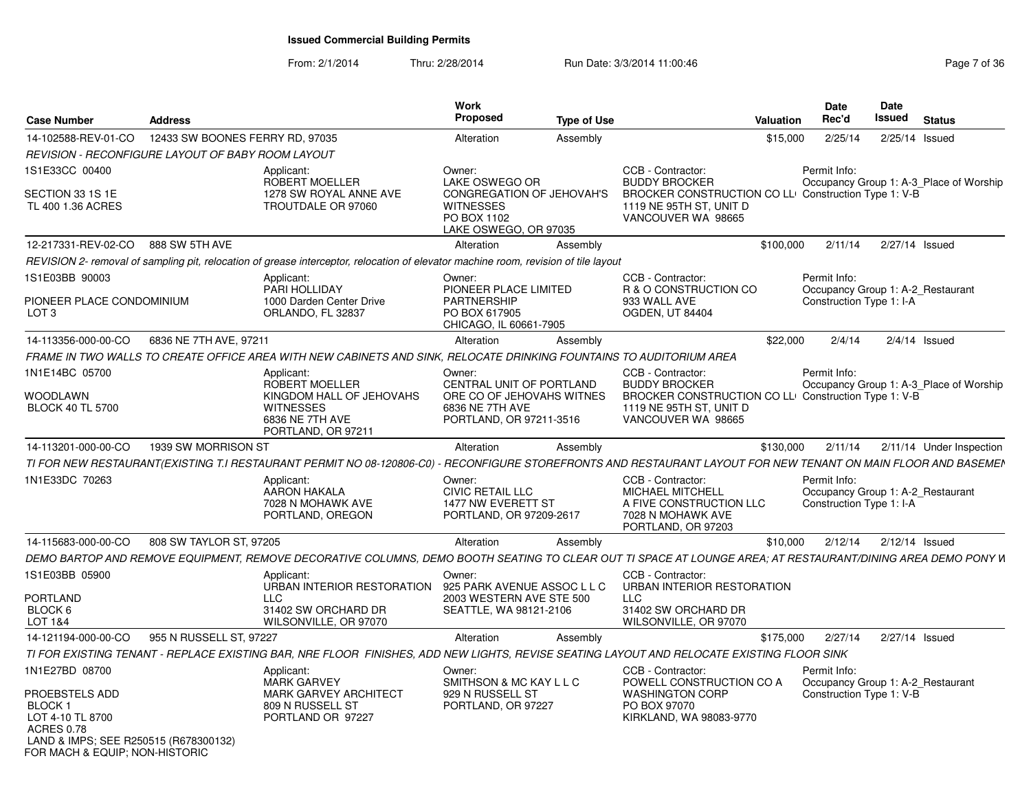|                                                                                                                  |                                 |                                                                                                                                                             | Work                                                                                                              |                    |                                                                                                                                                   |           | Date                                                                          | Date             |                                         |
|------------------------------------------------------------------------------------------------------------------|---------------------------------|-------------------------------------------------------------------------------------------------------------------------------------------------------------|-------------------------------------------------------------------------------------------------------------------|--------------------|---------------------------------------------------------------------------------------------------------------------------------------------------|-----------|-------------------------------------------------------------------------------|------------------|-----------------------------------------|
| <b>Case Number</b>                                                                                               | <b>Address</b>                  |                                                                                                                                                             | <b>Proposed</b>                                                                                                   | <b>Type of Use</b> |                                                                                                                                                   | Valuation | Rec'd                                                                         | <b>Issued</b>    | <b>Status</b>                           |
| 14-102588-REV-01-CO                                                                                              | 12433 SW BOONES FERRY RD, 97035 |                                                                                                                                                             | Alteration                                                                                                        | Assembly           |                                                                                                                                                   | \$15,000  | 2/25/14                                                                       | 2/25/14          | Issued                                  |
| REVISION - RECONFIGURE LAYOUT OF BABY ROOM LAYOUT                                                                |                                 |                                                                                                                                                             |                                                                                                                   |                    |                                                                                                                                                   |           |                                                                               |                  |                                         |
| 1S1E33CC 00400<br>SECTION 33 1S 1E<br>TL 400 1.36 ACRES                                                          |                                 | Applicant:<br>ROBERT MOELLER<br>1278 SW ROYAL ANNE AVE<br>TROUTDALE OR 97060                                                                                | Owner:<br>LAKE OSWEGO OR<br>CONGREGATION OF JEHOVAH'S<br><b>WITNESSES</b><br>PO BOX 1102<br>LAKE OSWEGO, OR 97035 |                    | CCB - Contractor:<br><b>BUDDY BROCKER</b><br>BROCKER CONSTRUCTION CO LL Construction Type 1: V-B<br>1119 NE 95TH ST, UNIT D<br>VANCOUVER WA 98665 |           | Permit Info:                                                                  |                  | Occupancy Group 1: A-3_Place of Worship |
| 12-217331-REV-02-CO                                                                                              | 888 SW 5TH AVE                  |                                                                                                                                                             | Alteration                                                                                                        | Assembly           |                                                                                                                                                   | \$100,000 | 2/11/14                                                                       | 2/27/14 Issued   |                                         |
|                                                                                                                  |                                 | REVISION 2- removal of sampling pit, relocation of grease interceptor, relocation of elevator machine room, revision of tile layout                         |                                                                                                                   |                    |                                                                                                                                                   |           |                                                                               |                  |                                         |
| 1S1E03BB 90003                                                                                                   |                                 | Applicant:<br>PARI HOLLIDAY                                                                                                                                 | Owner:<br>PIONEER PLACE LIMITED                                                                                   |                    | CCB - Contractor:<br>R & O CONSTRUCTION CO                                                                                                        |           | Permit Info:<br>Occupancy Group 1: A-2 Restaurant                             |                  |                                         |
| PIONEER PLACE CONDOMINIUM<br>LOT <sub>3</sub>                                                                    |                                 | 1000 Darden Center Drive<br>ORLANDO, FL 32837                                                                                                               | <b>PARTNERSHIP</b><br>PO BOX 617905<br>CHICAGO, IL 60661-7905                                                     |                    | 933 WALL AVE<br>OGDEN, UT 84404                                                                                                                   |           | Construction Type 1: I-A                                                      |                  |                                         |
| 14-113356-000-00-CO                                                                                              | 6836 NE 7TH AVE, 97211          |                                                                                                                                                             | Alteration                                                                                                        | Assembly           |                                                                                                                                                   | \$22,000  | 2/4/14                                                                        |                  | $2/4/14$ Issued                         |
|                                                                                                                  |                                 | FRAME IN TWO WALLS TO CREATE OFFICE AREA WITH NEW CABINETS AND SINK, RELOCATE DRINKING FOUNTAINS TO AUDITORIUM AREA                                         |                                                                                                                   |                    |                                                                                                                                                   |           |                                                                               |                  |                                         |
| 1N1E14BC 05700                                                                                                   |                                 | Applicant:<br><b>ROBERT MOELLER</b>                                                                                                                         | Owner:<br>CENTRAL UNIT OF PORTLAND                                                                                |                    | CCB - Contractor:<br><b>BUDDY BROCKER</b>                                                                                                         |           | Permit Info:                                                                  |                  | Occupancy Group 1: A-3_Place of Worship |
| <b>WOODLAWN</b><br><b>BLOCK 40 TL 5700</b>                                                                       |                                 | KINGDOM HALL OF JEHOVAHS<br><b>WITNESSES</b><br>6836 NE 7TH AVE<br>PORTLAND, OR 97211                                                                       | ORE CO OF JEHOVAHS WITNES<br>6836 NE 7TH AVE<br>PORTLAND, OR 97211-3516                                           |                    | BROCKER CONSTRUCTION CO LLI Construction Type 1: V-B<br>1119 NE 95TH ST, UNIT D<br>VANCOUVER WA 98665                                             |           |                                                                               |                  |                                         |
| 14-113201-000-00-CO                                                                                              | 1939 SW MORRISON ST             |                                                                                                                                                             | Alteration                                                                                                        | Assembly           |                                                                                                                                                   | \$130,000 | 2/11/14                                                                       |                  | 2/11/14 Under Inspection                |
|                                                                                                                  |                                 | TI FOR NEW RESTAURANT(EXISTING T.I RESTAURANT PERMIT NO 08-120806-C0)                                                                                       |                                                                                                                   |                    | RECONFIGURE STOREFRONTS AND RESTAURANT LAYOUT FOR NEW TENANT ON MAIN FLOOR AND BASEMEN                                                            |           |                                                                               |                  |                                         |
| 1N1E33DC 70263                                                                                                   |                                 | Applicant:<br><b>AARON HAKALA</b><br>7028 N MOHAWK AVE<br>PORTLAND, OREGON                                                                                  | Owner:<br>CIVIC RETAIL LLC<br>1477 NW EVERETT ST<br>PORTLAND, OR 97209-2617                                       |                    | CCB - Contractor:<br><b>MICHAEL MITCHELL</b><br>A FIVE CONSTRUCTION LLC<br>7028 N MOHAWK AVE<br>PORTLAND, OR 97203                                |           | Permit Info:<br>Occupancy Group 1: A-2_Restaurant<br>Construction Type 1: I-A |                  |                                         |
| 14-115683-000-00-CO                                                                                              | 808 SW TAYLOR ST, 97205         |                                                                                                                                                             | Alteration                                                                                                        | Assembly           |                                                                                                                                                   | \$10,000  | 2/12/14                                                                       | $2/12/14$ Issued |                                         |
|                                                                                                                  |                                 | DEMO BARTOP AND REMOVE EQUIPMENT, REMOVE DECORATIVE COLUMNS, DEMO BOOTH SEATING TO CLEAR OUT TI SPACE AT LOUNGE AREA; AT RESTAURANT/DINING AREA DEMO PONY W |                                                                                                                   |                    |                                                                                                                                                   |           |                                                                               |                  |                                         |
| 1S1E03BB 05900<br><b>PORTLAND</b><br>BLOCK 6<br>LOT 1&4                                                          |                                 | Applicant:<br>URBAN INTERIOR RESTORATION<br><b>LLC</b><br>31402 SW ORCHARD DR<br>WILSONVILLE, OR 97070                                                      | Owner:<br>925 PARK AVENUE ASSOC L L C<br>2003 WESTERN AVE STE 500<br>SEATTLE, WA 98121-2106                       |                    | CCB - Contractor:<br>URBAN INTERIOR RESTORATION<br><b>LLC</b><br>31402 SW ORCHARD DR<br>WILSONVILLE, OR 97070                                     |           |                                                                               |                  |                                         |
| 14-121194-000-00-CO                                                                                              | 955 N RUSSELL ST, 97227         |                                                                                                                                                             | Alteration                                                                                                        | Assembly           |                                                                                                                                                   | \$175,000 | 2/27/14                                                                       | 2/27/14 Issued   |                                         |
|                                                                                                                  |                                 | TI FOR EXISTING TENANT - REPLACE EXISTING BAR, NRE FLOOR FINISHES, ADD NEW LIGHTS, REVISE SEATING LAYOUT AND RELOCATE EXISTING FLOOR SINK                   |                                                                                                                   |                    |                                                                                                                                                   |           |                                                                               |                  |                                         |
| 1N1E27BD 08700<br>PROEBSTELS ADD<br>BLOCK 1                                                                      |                                 | Applicant:<br><b>MARK GARVEY</b><br><b>MARK GARVEY ARCHITECT</b><br>809 N RUSSELL ST                                                                        | Owner:<br>SMITHSON & MC KAY L L C<br>929 N RUSSELL ST<br>PORTLAND, OR 97227                                       |                    | CCB - Contractor:<br>POWELL CONSTRUCTION CO A<br><b>WASHINGTON CORP</b><br>PO BOX 97070                                                           |           | Permit Info:<br>Occupancy Group 1: A-2 Restaurant<br>Construction Type 1: V-B |                  |                                         |
| LOT 4-10 TL 8700<br><b>ACRES 0.78</b><br>LAND & IMPS; SEE R250515 (R678300132)<br>FOR MACH & EQUIP; NON-HISTORIC |                                 | PORTLAND OR 97227                                                                                                                                           |                                                                                                                   |                    | KIRKLAND, WA 98083-9770                                                                                                                           |           |                                                                               |                  |                                         |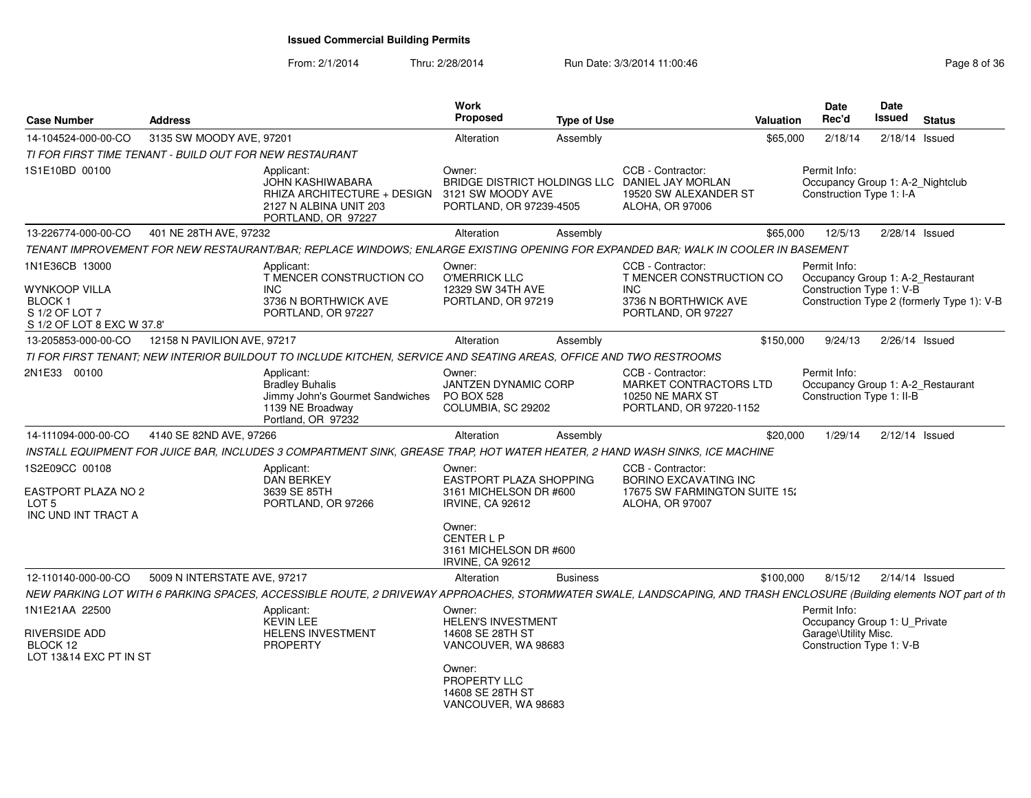| <b>Case Number</b>                                                                               | <b>Address</b>               |                                                                                                                                                                      | <b>Work</b><br>Proposed                                                                                                                             | <b>Type of Use</b> |                                                                                                                        | Valuation | Date<br>Rec'd                                                                                    | Date<br><b>Issued</b> | <b>Status</b>                                                                   |
|--------------------------------------------------------------------------------------------------|------------------------------|----------------------------------------------------------------------------------------------------------------------------------------------------------------------|-----------------------------------------------------------------------------------------------------------------------------------------------------|--------------------|------------------------------------------------------------------------------------------------------------------------|-----------|--------------------------------------------------------------------------------------------------|-----------------------|---------------------------------------------------------------------------------|
| 14-104524-000-00-CO                                                                              | 3135 SW MOODY AVE, 97201     |                                                                                                                                                                      | Alteration                                                                                                                                          | Assembly           |                                                                                                                        | \$65,000  | 2/18/14                                                                                          | $2/18/14$ Issued      |                                                                                 |
| TI FOR FIRST TIME TENANT - BUILD OUT FOR NEW RESTAURANT                                          |                              |                                                                                                                                                                      |                                                                                                                                                     |                    |                                                                                                                        |           |                                                                                                  |                       |                                                                                 |
| 1S1E10BD 00100                                                                                   |                              | Applicant:<br>JOHN KASHIWABARA<br>RHIZA ARCHITECTURE + DESIGN<br>2127 N ALBINA UNIT 203<br>PORTLAND, OR 97227                                                        | Owner:<br>3121 SW MOODY AVE<br>PORTLAND, OR 97239-4505                                                                                              |                    | CCB - Contractor:<br>BRIDGE DISTRICT HOLDINGS LLC DANIEL JAY MORLAN<br>19520 SW ALEXANDER ST<br><b>ALOHA, OR 97006</b> |           | Permit Info:<br>Occupancy Group 1: A-2_Nightclub<br>Construction Type 1: I-A                     |                       |                                                                                 |
| 13-226774-000-00-CO                                                                              | 401 NE 28TH AVE, 97232       |                                                                                                                                                                      | Alteration                                                                                                                                          | Assembly           |                                                                                                                        | \$65,000  | 12/5/13                                                                                          |                       | $2/28/14$ Issued                                                                |
|                                                                                                  |                              | TENANT IMPROVEMENT FOR NEW RESTAURANT/BAR; REPLACE WINDOWS; ENLARGE EXISTING OPENING FOR EXPANDED BAR; WALK IN COOLER IN BASEMENT                                    |                                                                                                                                                     |                    |                                                                                                                        |           |                                                                                                  |                       |                                                                                 |
| 1N1E36CB 13000<br>WYNKOOP VILLA<br><b>BLOCK1</b><br>S 1/2 OF LOT 7<br>S 1/2 OF LOT 8 EXC W 37.8' |                              | Applicant:<br>T MENCER CONSTRUCTION CO<br><b>INC</b><br>3736 N BORTHWICK AVE<br>PORTLAND, OR 97227                                                                   | Owner:<br><b>O'MERRICK LLC</b><br>12329 SW 34TH AVE<br>PORTLAND, OR 97219                                                                           |                    | CCB - Contractor:<br>T MENCER CONSTRUCTION CO<br><b>INC</b><br>3736 N BORTHWICK AVE<br>PORTLAND, OR 97227              |           | Permit Info:<br>Construction Type 1: V-B                                                         |                       | Occupancy Group 1: A-2_Restaurant<br>Construction Type 2 (formerly Type 1): V-B |
| 13-205853-000-00-CO                                                                              | 12158 N PAVILION AVE, 97217  |                                                                                                                                                                      | Alteration                                                                                                                                          | Assembly           |                                                                                                                        | \$150,000 | 9/24/13                                                                                          | $2/26/14$ Issued      |                                                                                 |
|                                                                                                  |                              | TI FOR FIRST TENANT; NEW INTERIOR BUILDOUT TO INCLUDE KITCHEN, SERVICE AND SEATING AREAS, OFFICE AND TWO RESTROOMS                                                   |                                                                                                                                                     |                    |                                                                                                                        |           |                                                                                                  |                       |                                                                                 |
| 2N1E33 00100                                                                                     |                              | Applicant:<br><b>Bradley Buhalis</b><br>Jimmy John's Gourmet Sandwiches<br>1139 NE Broadway<br>Portland, OR 97232                                                    | Owner:<br>JANTZEN DYNAMIC CORP<br><b>PO BOX 528</b><br>COLUMBIA, SC 29202                                                                           |                    | CCB - Contractor:<br>MARKET CONTRACTORS LTD<br><b>10250 NE MARX ST</b><br>PORTLAND, OR 97220-1152                      |           | Permit Info:<br>Construction Type 1: II-B                                                        |                       | Occupancy Group 1: A-2_Restaurant                                               |
| 14-111094-000-00-CO                                                                              | 4140 SE 82ND AVE, 97266      |                                                                                                                                                                      | Alteration                                                                                                                                          | Assembly           |                                                                                                                        | \$20,000  | 1/29/14                                                                                          |                       | $2/12/14$ Issued                                                                |
|                                                                                                  |                              | INSTALL EQUIPMENT FOR JUICE BAR, INCLUDES 3 COMPARTMENT SINK, GREASE TRAP, HOT WATER HEATER, 2 HAND WASH SINKS, ICE MACHINE                                          |                                                                                                                                                     |                    |                                                                                                                        |           |                                                                                                  |                       |                                                                                 |
| 1S2E09CC 00108<br>EASTPORT PLAZA NO 2<br>LOT 5<br>INC UND INT TRACT A                            |                              | Applicant:<br><b>DAN BERKEY</b><br>3639 SE 85TH<br>PORTLAND, OR 97266                                                                                                | Owner:<br>EASTPORT PLAZA SHOPPING<br>3161 MICHELSON DR #600<br><b>IRVINE, CA 92612</b><br>Owner:<br><b>CENTERLP</b><br>3161 MICHELSON DR #600       |                    | CCB - Contractor:<br>BORINO EXCAVATING INC<br>17675 SW FARMINGTON SUITE 15:<br><b>ALOHA, OR 97007</b>                  |           |                                                                                                  |                       |                                                                                 |
|                                                                                                  |                              |                                                                                                                                                                      | <b>IRVINE, CA 92612</b>                                                                                                                             |                    |                                                                                                                        |           |                                                                                                  |                       |                                                                                 |
| 12-110140-000-00-CO                                                                              | 5009 N INTERSTATE AVE, 97217 |                                                                                                                                                                      | Alteration                                                                                                                                          | <b>Business</b>    |                                                                                                                        | \$100,000 | 8/15/12                                                                                          | $2/14/14$ Issued      |                                                                                 |
|                                                                                                  |                              | NEW PARKING LOT WITH 6 PARKING SPACES, ACCESSIBLE ROUTE, 2 DRIVEWAY APPROACHES, STORMWATER SWALE, LANDSCAPING, AND TRASH ENCLOSURE (Building elements NOT part of th |                                                                                                                                                     |                    |                                                                                                                        |           |                                                                                                  |                       |                                                                                 |
| 1N1E21AA 22500<br>RIVERSIDE ADD<br>BLOCK 12<br>LOT 13&14 EXC PT IN ST                            |                              | Applicant:<br><b>KEVIN LEE</b><br><b>HELENS INVESTMENT</b><br><b>PROPERTY</b>                                                                                        | Owner:<br><b>HELEN'S INVESTMENT</b><br>14608 SE 28TH ST<br>VANCOUVER, WA 98683<br>Owner:<br>PROPERTY LLC<br>14608 SE 28TH ST<br>VANCOUVER, WA 98683 |                    |                                                                                                                        |           | Permit Info:<br>Occupancy Group 1: U_Private<br>Garage\Utility Misc.<br>Construction Type 1: V-B |                       |                                                                                 |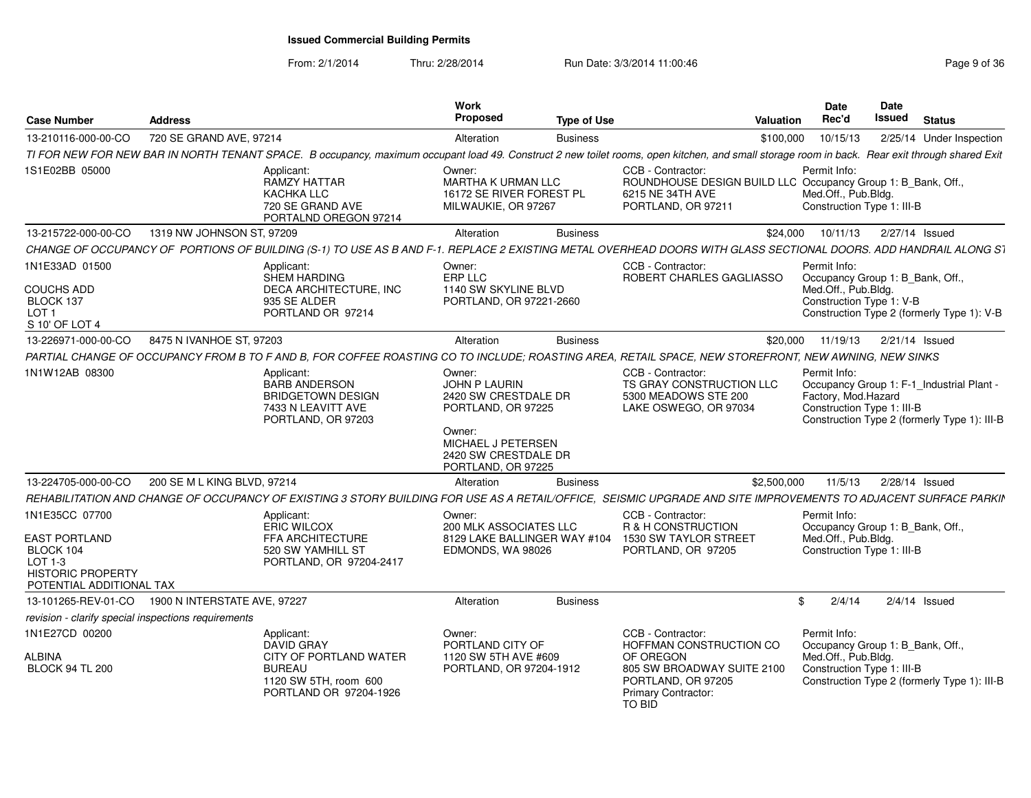From: 2/1/2014

| <b>Case Number</b>                                                                                                       | <b>Address</b>               |                                                                                                                                                                                                | Work<br>Proposed                                                                                                                                           | <b>Type of Use</b> |                                                                                                                                                | Valuation   | Date<br>Rec'd                                                                                         | Date<br><b>Issued</b> | <b>Status</b>                                                                             |
|--------------------------------------------------------------------------------------------------------------------------|------------------------------|------------------------------------------------------------------------------------------------------------------------------------------------------------------------------------------------|------------------------------------------------------------------------------------------------------------------------------------------------------------|--------------------|------------------------------------------------------------------------------------------------------------------------------------------------|-------------|-------------------------------------------------------------------------------------------------------|-----------------------|-------------------------------------------------------------------------------------------|
| 13-210116-000-00-CO                                                                                                      | 720 SE GRAND AVE, 97214      |                                                                                                                                                                                                | Alteration                                                                                                                                                 | <b>Business</b>    |                                                                                                                                                | \$100,000   | 10/15/13                                                                                              |                       | 2/25/14 Under Inspection                                                                  |
|                                                                                                                          |                              | TI FOR NEW FOR NEW BAR IN NORTH TENANT SPACE. B occupancy, maximum occupant load 49. Construct 2 new toilet rooms, open kitchen, and small storage room in back. Rear exit through shared Exit |                                                                                                                                                            |                    |                                                                                                                                                |             |                                                                                                       |                       |                                                                                           |
| 1S1E02BB 05000                                                                                                           |                              | Applicant:<br><b>RAMZY HATTAR</b><br>KACHKA LLC<br>720 SE GRAND AVE<br>PORTALND OREGON 97214                                                                                                   | Owner:<br><b>MARTHA K URMAN LLC</b><br>16172 SE RIVER FOREST PL<br>MILWAUKIE, OR 97267                                                                     |                    | CCB - Contractor:<br>ROUNDHOUSE DESIGN BUILD LLC Occupancy Group 1: B_Bank, Off.,<br>6215 NE 34TH AVE<br>PORTLAND, OR 97211                    |             | Permit Info:<br>Med.Off., Pub.Bldg.<br>Construction Type 1: III-B                                     |                       |                                                                                           |
| 13-215722-000-00-CO                                                                                                      | 1319 NW JOHNSON ST, 97209    |                                                                                                                                                                                                | Alteration                                                                                                                                                 | <b>Business</b>    |                                                                                                                                                | \$24,000    | 10/11/13                                                                                              |                       | 2/27/14 Issued                                                                            |
|                                                                                                                          |                              | CHANGE OF OCCUPANCY OF PORTIONS OF BUILDING (S-1) TO USE AS B AND F-1. REPLACE 2 EXISTING METAL OVERHEAD DOORS WITH GLASS SECTIONAL DOORS. ADD HANDRAIL ALONG S1                               |                                                                                                                                                            |                    |                                                                                                                                                |             |                                                                                                       |                       |                                                                                           |
| 1N1E33AD 01500<br><b>COUCHS ADD</b><br>BLOCK 137<br>LOT <sub>1</sub><br>S 10' OF LOT 4                                   |                              | Applicant:<br>SHEM HARDING<br>DECA ARCHITECTURE, INC<br>935 SE ALDER<br>PORTLAND OR 97214                                                                                                      | Owner:<br>ERP LLC<br>1140 SW SKYLINE BLVD<br>PORTLAND, OR 97221-2660                                                                                       |                    | CCB - Contractor:<br>ROBERT CHARLES GAGLIASSO                                                                                                  |             | Permit Info:<br>Occupancy Group 1: B_Bank, Off.,<br>Med.Off., Pub.Bldg.<br>Construction Type 1: V-B   |                       | Construction Type 2 (formerly Type 1): V-B                                                |
| 13-226971-000-00-CO                                                                                                      | 8475 N IVANHOE ST, 97203     |                                                                                                                                                                                                | Alteration                                                                                                                                                 | <b>Business</b>    |                                                                                                                                                | \$20,000    | 11/19/13                                                                                              |                       | 2/21/14 Issued                                                                            |
|                                                                                                                          |                              | PARTIAL CHANGE OF OCCUPANCY FROM B TO F AND B, FOR COFFEE ROASTING CO TO INCLUDE; ROASTING AREA, RETAIL SPACE, NEW STOREFRONT, NEW AWNING, NEW SINKS                                           |                                                                                                                                                            |                    |                                                                                                                                                |             |                                                                                                       |                       |                                                                                           |
| 1N1W12AB 08300                                                                                                           |                              | Applicant:<br><b>BARB ANDERSON</b><br><b>BRIDGETOWN DESIGN</b><br>7433 N LEAVITT AVE<br>PORTLAND, OR 97203                                                                                     | Owner:<br><b>JOHN P LAURIN</b><br>2420 SW CRESTDALE DR<br>PORTLAND, OR 97225<br>Owner:<br>MICHAEL J PETERSEN<br>2420 SW CRESTDALE DR<br>PORTLAND, OR 97225 |                    | CCB - Contractor:<br>TS GRAY CONSTRUCTION LLC<br>5300 MEADOWS STE 200<br>LAKE OSWEGO, OR 97034                                                 |             | Permit Info:<br>Factory, Mod.Hazard<br>Construction Type 1: III-B                                     |                       | Occupancy Group 1: F-1_Industrial Plant -<br>Construction Type 2 (formerly Type 1): III-B |
| 13-224705-000-00-CO                                                                                                      | 200 SE M L KING BLVD, 97214  |                                                                                                                                                                                                | Alteration                                                                                                                                                 | <b>Business</b>    |                                                                                                                                                | \$2,500,000 | 11/5/13                                                                                               |                       | $2/28/14$ Issued                                                                          |
|                                                                                                                          |                              | REHABILITATION AND CHANGE OF OCCUPANCY OF EXISTING 3 STORY BUILDING FOR USE AS A RETAIL/OFFICE, SEISMIC UPGRADE AND SITE IMPROVEMENTS TO ADJACENT SURFACE PARKIN                               |                                                                                                                                                            |                    |                                                                                                                                                |             |                                                                                                       |                       |                                                                                           |
| 1N1E35CC 07700<br><b>EAST PORTLAND</b><br>BLOCK 104<br>$LOT 1-3$<br><b>HISTORIC PROPERTY</b><br>POTENTIAL ADDITIONAL TAX |                              | Applicant:<br>ERIC WILCOX<br>FFA ARCHITECTURE<br>520 SW YAMHILL ST<br>PORTLAND, OR 97204-2417                                                                                                  | Owner:<br>200 MLK ASSOCIATES LLC<br>8129 LAKE BALLINGER WAY #104<br>EDMONDS, WA 98026                                                                      |                    | CCB - Contractor:<br>R & H CONSTRUCTION<br>1530 SW TAYLOR STREET<br>PORTLAND, OR 97205                                                         |             | Permit Info:<br>Occupancy Group 1: B_Bank, Off.,<br>Med.Off., Pub.Bldg.<br>Construction Type 1: III-B |                       |                                                                                           |
| 13-101265-REV-01-CO                                                                                                      | 1900 N INTERSTATE AVE, 97227 |                                                                                                                                                                                                | Alteration                                                                                                                                                 | <b>Business</b>    |                                                                                                                                                | \$          | 2/4/14                                                                                                |                       | $2/4/14$ Issued                                                                           |
| revision - clarify special inspections requirements                                                                      |                              |                                                                                                                                                                                                |                                                                                                                                                            |                    |                                                                                                                                                |             |                                                                                                       |                       |                                                                                           |
| 1N1E27CD 00200<br>ALBINA<br><b>BLOCK 94 TL 200</b>                                                                       |                              | Applicant:<br><b>DAVID GRAY</b><br>CITY OF PORTLAND WATER<br><b>BUREAU</b><br>1120 SW 5TH, room 600<br>PORTLAND OR 97204-1926                                                                  | Owner:<br>PORTLAND CITY OF<br>1120 SW 5TH AVE #609<br>PORTLAND, OR 97204-1912                                                                              |                    | CCB - Contractor:<br>HOFFMAN CONSTRUCTION CO<br>OF OREGON<br>805 SW BROADWAY SUITE 2100<br>PORTLAND, OR 97205<br>Primary Contractor:<br>TO BID |             | Permit Info:<br>Occupancy Group 1: B_Bank, Off.,<br>Med.Off., Pub.Bldg.<br>Construction Type 1: III-B |                       | Construction Type 2 (formerly Type 1): III-B                                              |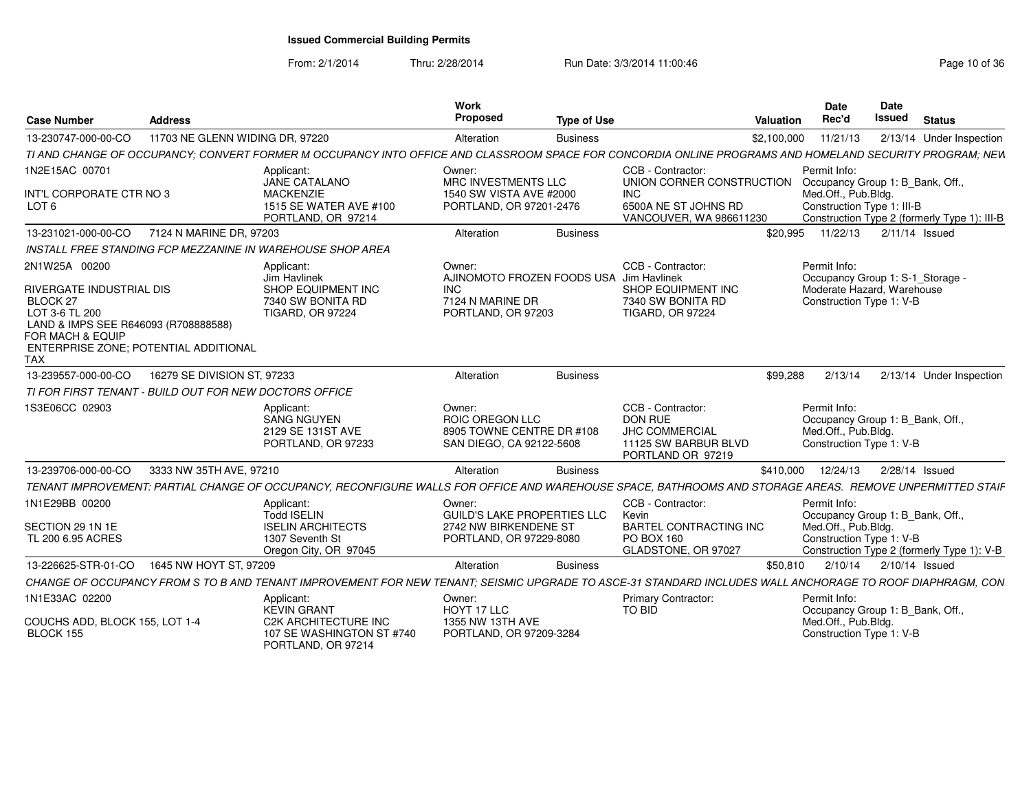PORTLAND, OR 97214

| <b>Case Number</b>                                                                                                                                                                         | Address                                                    |                                                                                                  | Work<br><b>Proposed</b>                                                                              | <b>Type of Use</b> |                                                                                                    | Date<br>Rec'd<br>Valuation          | Date<br><b>Issued</b> Status                                                                                                                             |
|--------------------------------------------------------------------------------------------------------------------------------------------------------------------------------------------|------------------------------------------------------------|--------------------------------------------------------------------------------------------------|------------------------------------------------------------------------------------------------------|--------------------|----------------------------------------------------------------------------------------------------|-------------------------------------|----------------------------------------------------------------------------------------------------------------------------------------------------------|
| 13-230747-000-00-CO                                                                                                                                                                        | 11703 NE GLENN WIDING DR. 97220                            |                                                                                                  | Alteration                                                                                           | <b>Business</b>    |                                                                                                    | \$2.100.000<br>11/21/13             | 2/13/14 Under Inspection                                                                                                                                 |
|                                                                                                                                                                                            |                                                            |                                                                                                  |                                                                                                      |                    |                                                                                                    |                                     | TI AND CHANGE OF OCCUPANCY; CONVERT FORMER M OCCUPANCY INTO OFFICE AND CLASSROOM SPACE FOR CONCORDIA ONLINE PROGRAMS AND HOMELAND SECURITY PROGRAM; NEW  |
| 1N2E15AC 00701                                                                                                                                                                             |                                                            | Applicant:                                                                                       | Owner:                                                                                               |                    | CCB - Contractor:                                                                                  | Permit Info:                        |                                                                                                                                                          |
|                                                                                                                                                                                            |                                                            | JANE CATALANO                                                                                    | MRC INVESTMENTS LLC                                                                                  |                    | UNION CORNER CONSTRUCTION Occupancy Group 1: B_Bank, Off.                                          |                                     |                                                                                                                                                          |
| INT'L CORPORATE CTR NO 3<br>LOT <sub>6</sub>                                                                                                                                               |                                                            | <b>MACKENZIE</b><br>1515 SE WATER AVE #100<br>PORTLAND, OR 97214                                 | 1540 SW VISTA AVE #2000<br>PORTLAND, OR 97201-2476                                                   |                    | <b>INC</b><br>6500A NE ST JOHNS RD<br>VANCOUVER, WA 986611230                                      | Med.Off., Pub.Bldg.                 | Construction Type 1: III-B<br>Construction Type 2 (formerly Type 1): III-B                                                                               |
|                                                                                                                                                                                            | 13-231021-000-00-CO 7124 N MARINE DR, 97203                |                                                                                                  | Alteration                                                                                           | <b>Business</b>    |                                                                                                    | \$20,995                            | 11/22/13  2/11/14  Issued                                                                                                                                |
|                                                                                                                                                                                            | INSTALL FREE STANDING FCP MEZZANINE IN WAREHOUSE SHOP AREA |                                                                                                  |                                                                                                      |                    |                                                                                                    |                                     |                                                                                                                                                          |
| 2N1W25A 00200<br>RIVERGATE INDUSTRIAL DIS<br>BLOCK 27<br>LOT 3-6 TL 200<br>LAND & IMPS SEE R646093 (R708888588)<br>FOR MACH & EQUIP<br>ENTERPRISE ZONE; POTENTIAL ADDITIONAL<br><b>TAX</b> |                                                            | Applicant:<br>Jim Havlinek<br>SHOP EQUIPMENT INC<br>7340 SW BONITA RD<br><b>TIGARD, OR 97224</b> | Owner:<br>AJINOMOTO FROZEN FOODS USA Jim Havlinek<br>INC .<br>7124 N MARINE DR<br>PORTLAND, OR 97203 |                    | CCB - Contractor:<br>SHOP EQUIPMENT INC<br>7340 SW BONITA RD<br><b>TIGARD, OR 97224</b>            | Permit Info:                        | Occupancy Group 1: S-1_Storage<br>Moderate Hazard, Warehouse<br>Construction Type 1: V-B                                                                 |
| 13-239557-000-00-CO                                                                                                                                                                        | 16279 SE DIVISION ST, 97233                                |                                                                                                  | Alteration                                                                                           | <b>Business</b>    |                                                                                                    | \$99,288<br>2/13/14                 | 2/13/14 Under Inspection                                                                                                                                 |
|                                                                                                                                                                                            | TI FOR FIRST TENANT - BUILD OUT FOR NEW DOCTORS OFFICE     |                                                                                                  |                                                                                                      |                    |                                                                                                    |                                     |                                                                                                                                                          |
| 1S3E06CC 02903                                                                                                                                                                             |                                                            | Applicant:<br>SANG NGUYEN<br>2129 SE 131ST AVE<br>PORTLAND, OR 97233                             | Owner:<br>ROIC OREGON LLC<br>8905 TOWNE CENTRE DR #10<br>SAN DIEGO, CA 92122-5608                    |                    | CCB - Contractor:<br>DON RUE<br><b>JHC COMMERCIAL</b><br>11125 SW BARBUR BLVD<br>PORTLAND OR 97219 | Permit Info:<br>Med.Off., Pub.Bldg. | Occupancy Group 1: B_Bank, Off.<br>Construction Type 1: V-B                                                                                              |
|                                                                                                                                                                                            | 13-239706-000-00-CO 3333 NW 35TH AVE, 97210                |                                                                                                  | Alteration                                                                                           | <b>Business</b>    |                                                                                                    |                                     | \$410,000  12/24/13  2/28/14  Issued                                                                                                                     |
|                                                                                                                                                                                            |                                                            |                                                                                                  |                                                                                                      |                    |                                                                                                    |                                     | TENANT IMPROVEMENT: PARTIAL CHANGE OF OCCUPANCY, RECONFIGURE WALLS FOR OFFICE AND WAREHOUSE SPACE, BATHROOMS AND STORAGE AREAS. REMOVE UNPERMITTED STAIF |
| 1N1E29BB 00200                                                                                                                                                                             |                                                            | Applicant:                                                                                       | Owner:                                                                                               |                    | CCB - Contractor:                                                                                  | Permit Info:                        |                                                                                                                                                          |
| SECTION 29 1N 1E<br>TL 200 6.95 ACRES                                                                                                                                                      |                                                            | <b>Todd ISELIN</b><br><b>ISELIN ARCHITECTS</b><br>1307 Seventh St<br>Oregon City, OR 97045       | GUILD'S LAKE PROPERTIES LLC<br>2742 NW BIRKENDENE ST<br>PORTLAND, OR 97229-8080                      |                    | Kevin<br><b>BARTEL CONTRACTING INC</b><br>PO BOX 160<br>GLADSTONE, OR 97027                        | Med.Off., Pub.Bldg.                 | Occupancy Group 1: B Bank, Off.<br>Construction Type 1: V-B<br>Construction Type 2 (formerly Type 1): V-B                                                |
| 13-226625-STR-01-CO  1645 NW HOYT ST, 97209                                                                                                                                                |                                                            |                                                                                                  | Alteration                                                                                           | <b>Business</b>    |                                                                                                    | \$50,810                            | 2/10/14  2/10/14  Issued                                                                                                                                 |
|                                                                                                                                                                                            |                                                            | CHANGE OF OCCUPANCY FROM S TO B AND TENANT IMPROVEMENT FOR NEW                                   |                                                                                                      |                    |                                                                                                    |                                     | TENANT; SEISMIC UPGRADE TO ASCE-31 STANDARD INCLUDES WALL ANCHORAGE TO ROOF DIAPHRAGM, CON                                                               |
| 1N1E33AC 02200                                                                                                                                                                             |                                                            | Applicant:<br><b>KEVIN GRANT</b>                                                                 | Owner:<br>HOYT 17 LLC                                                                                |                    | <b>Primary Contractor:</b><br>TO BID                                                               | Permit Info:                        | Occupancy Group 1: B_Bank, Off.                                                                                                                          |
| COUCHS ADD, BLOCK 155, LOT 1-4<br>BLOCK 155                                                                                                                                                |                                                            | <b>C2K ARCHITECTURE INC</b><br>107 SE WASHINGTON ST #740                                         | 1355 NW 13TH AVE<br>PORTLAND, OR 97209-3284                                                          |                    |                                                                                                    | Med.Off., Pub.Bldg.                 | Construction Type 1: V-B                                                                                                                                 |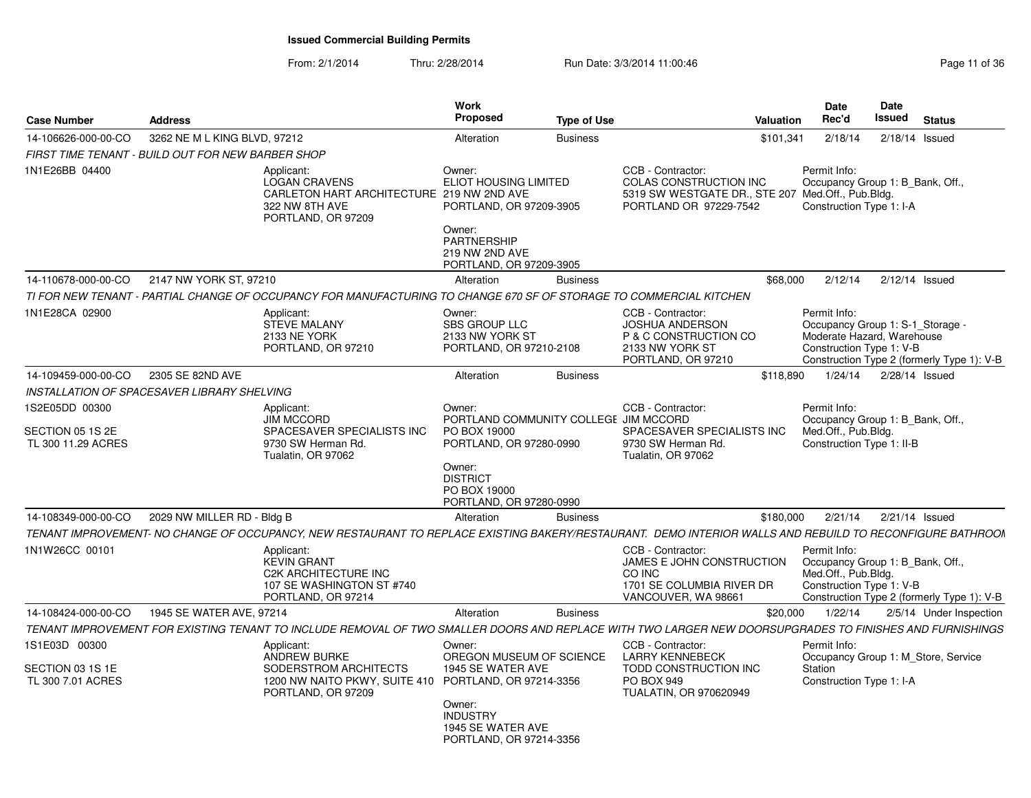#### From: 2/1/2014Thru: 2/28/2014 Run Date: 3/3/2014 11:00:46

| <b>Case Number</b>                                     | <b>Address</b>                                    |                                                                                                                                                           | Work<br><b>Proposed</b>                                                                                         | <b>Type of Use</b> |                                                                                                                            | Valuation | <b>Date</b><br>Rec'd                                                                                       | Date<br>Issued   | <b>Status</b>                              |
|--------------------------------------------------------|---------------------------------------------------|-----------------------------------------------------------------------------------------------------------------------------------------------------------|-----------------------------------------------------------------------------------------------------------------|--------------------|----------------------------------------------------------------------------------------------------------------------------|-----------|------------------------------------------------------------------------------------------------------------|------------------|--------------------------------------------|
| 14-106626-000-00-CO                                    | 3262 NE M L KING BLVD, 97212                      |                                                                                                                                                           | Alteration                                                                                                      | <b>Business</b>    |                                                                                                                            | \$101,341 | 2/18/14                                                                                                    | $2/18/14$ Issued |                                            |
|                                                        | FIRST TIME TENANT - BUILD OUT FOR NEW BARBER SHOP |                                                                                                                                                           |                                                                                                                 |                    |                                                                                                                            |           |                                                                                                            |                  |                                            |
| 1N1E26BB 04400                                         |                                                   | Applicant:<br><b>LOGAN CRAVENS</b><br>CARLETON HART ARCHITECTURE 219 NW 2ND AVE<br>322 NW 8TH AVE<br>PORTLAND, OR 97209                                   | Owner:<br><b>ELIOT HOUSING LIMITED</b><br>PORTLAND, OR 97209-3905<br>Owner:                                     |                    | CCB - Contractor:<br>COLAS CONSTRUCTION INC<br>5319 SW WESTGATE DR., STE 207 Med.Off., Pub.Bldg.<br>PORTLAND OR 97229-7542 |           | Permit Info:<br>Occupancy Group 1: B_Bank, Off.,<br>Construction Type 1: I-A                               |                  |                                            |
|                                                        |                                                   |                                                                                                                                                           | <b>PARTNERSHIP</b><br>219 NW 2ND AVE<br>PORTLAND, OR 97209-3905                                                 |                    |                                                                                                                            |           |                                                                                                            |                  |                                            |
| 14-110678-000-00-CO                                    | 2147 NW YORK ST, 97210                            |                                                                                                                                                           | Alteration                                                                                                      | <b>Business</b>    |                                                                                                                            | \$68,000  | 2/12/14                                                                                                    | $2/12/14$ Issued |                                            |
|                                                        |                                                   | TI FOR NEW TENANT - PARTIAL CHANGE OF OCCUPANCY FOR MANUFACTURING TO CHANGE 670 SF OF STORAGE TO COMMERCIAL KITCHEN                                       |                                                                                                                 |                    |                                                                                                                            |           |                                                                                                            |                  |                                            |
| 1N1E28CA 02900                                         |                                                   | Applicant:<br><b>STEVE MALANY</b><br>2133 NE YORK<br>PORTLAND, OR 97210                                                                                   | Owner:<br><b>SBS GROUP LLC</b><br>2133 NW YORK ST<br>PORTLAND, OR 97210-2108                                    |                    | CCB - Contractor:<br><b>JOSHUA ANDERSON</b><br>P & C CONSTRUCTION CO<br>2133 NW YORK ST<br>PORTLAND, OR 97210              |           | Permit Info:<br>Occupancy Group 1: S-1 Storage -<br>Moderate Hazard, Warehouse<br>Construction Type 1: V-B |                  | Construction Type 2 (formerly Type 1): V-B |
| 14-109459-000-00-CO                                    | 2305 SE 82ND AVE                                  |                                                                                                                                                           | Alteration                                                                                                      | <b>Business</b>    |                                                                                                                            | \$118,890 | 1/24/14                                                                                                    | 2/28/14 Issued   |                                            |
|                                                        | INSTALLATION OF SPACESAVER LIBRARY SHELVING       |                                                                                                                                                           |                                                                                                                 |                    |                                                                                                                            |           |                                                                                                            |                  |                                            |
| 1S2E05DD 00300                                         |                                                   | Applicant:<br><b>JIM MCCORD</b>                                                                                                                           | Owner:<br>PORTLAND COMMUNITY COLLEGE JIM MCCORD                                                                 |                    | CCB - Contractor:                                                                                                          |           | Permit Info:<br>Occupancy Group 1: B Bank, Off.,                                                           |                  |                                            |
| SECTION 05 1S 2E<br>TL 300 11.29 ACRES                 |                                                   | SPACESAVER SPECIALISTS INC<br>9730 SW Herman Rd.<br>Tualatin, OR 97062                                                                                    | PO BOX 19000<br>PORTLAND, OR 97280-0990<br>Owner:<br><b>DISTRICT</b><br>PO BOX 19000<br>PORTLAND, OR 97280-0990 |                    | SPACESAVER SPECIALISTS INC<br>9730 SW Herman Rd.<br>Tualatin, OR 97062                                                     |           | Med.Off., Pub.Bldg.<br>Construction Type 1: II-B                                                           |                  |                                            |
| 14-108349-000-00-CO                                    | 2029 NW MILLER RD - Bldg B                        |                                                                                                                                                           | Alteration                                                                                                      | <b>Business</b>    |                                                                                                                            | \$180,000 | 2/21/14                                                                                                    | $2/21/14$ Issued |                                            |
|                                                        |                                                   | TENANT IMPROVEMENT- NO CHANGE OF OCCUPANCY, NEW RESTAURANT TO REPLACE EXISTING BAKERY/RESTAURANT. DEMO INTERIOR WALLS AND REBUILD TO RECONFIGURE BATHROON |                                                                                                                 |                    |                                                                                                                            |           |                                                                                                            |                  |                                            |
| 1N1W26CC 00101                                         |                                                   | Applicant:<br><b>KEVIN GRANT</b><br><b>C2K ARCHITECTURE INC</b><br>107 SE WASHINGTON ST #740<br>PORTLAND, OR 97214                                        |                                                                                                                 |                    | CCB - Contractor:<br>JAMES E JOHN CONSTRUCTION<br>CO INC<br>1701 SE COLUMBIA RIVER DR<br>VANCOUVER, WA 98661               |           | Permit Info:<br>Occupancy Group 1: B Bank, Off.,<br>Med.Off., Pub.Bldg.<br>Construction Type 1: V-B        |                  | Construction Type 2 (formerly Type 1): V-B |
| 14-108424-000-00-CO                                    | 1945 SE WATER AVE, 97214                          |                                                                                                                                                           | Alteration                                                                                                      | <b>Business</b>    |                                                                                                                            | \$20,000  | 1/22/14                                                                                                    |                  | 2/5/14 Under Inspection                    |
|                                                        |                                                   | TENANT IMPROVEMENT FOR EXISTING TENANT TO INCLUDE REMOVAL OF TWO SMALLER DOORS AND REPLACE WITH TWO LARGER NEW DOORSUPGRADES TO FINISHES AND FURNISHINGS  |                                                                                                                 |                    |                                                                                                                            |           |                                                                                                            |                  |                                            |
| 1S1E03D 00300<br>SECTION 03 1S 1E<br>TL 300 7.01 ACRES |                                                   | Applicant:<br><b>ANDREW BURKE</b><br>SODERSTROM ARCHITECTS<br>1200 NW NAITO PKWY, SUITE 410 PORTLAND, OR 97214-3356<br>PORTLAND, OR 97209                 | Owner:<br>OREGON MUSEUM OF SCIENCE<br>1945 SE WATER AVE                                                         |                    | CCB - Contractor:<br><b>LARRY KENNEBECK</b><br>TODD CONSTRUCTION INC<br>PO BOX 949<br>TUALATIN, OR 970620949               |           | Permit Info:<br>Occupancy Group 1: M Store, Service<br>Station<br>Construction Type 1: I-A                 |                  |                                            |
|                                                        |                                                   |                                                                                                                                                           | Owner:<br><b>INDUSTRY</b><br>1945 SE WATER AVE<br>PORTLAND, OR 97214-3356                                       |                    |                                                                                                                            |           |                                                                                                            |                  |                                            |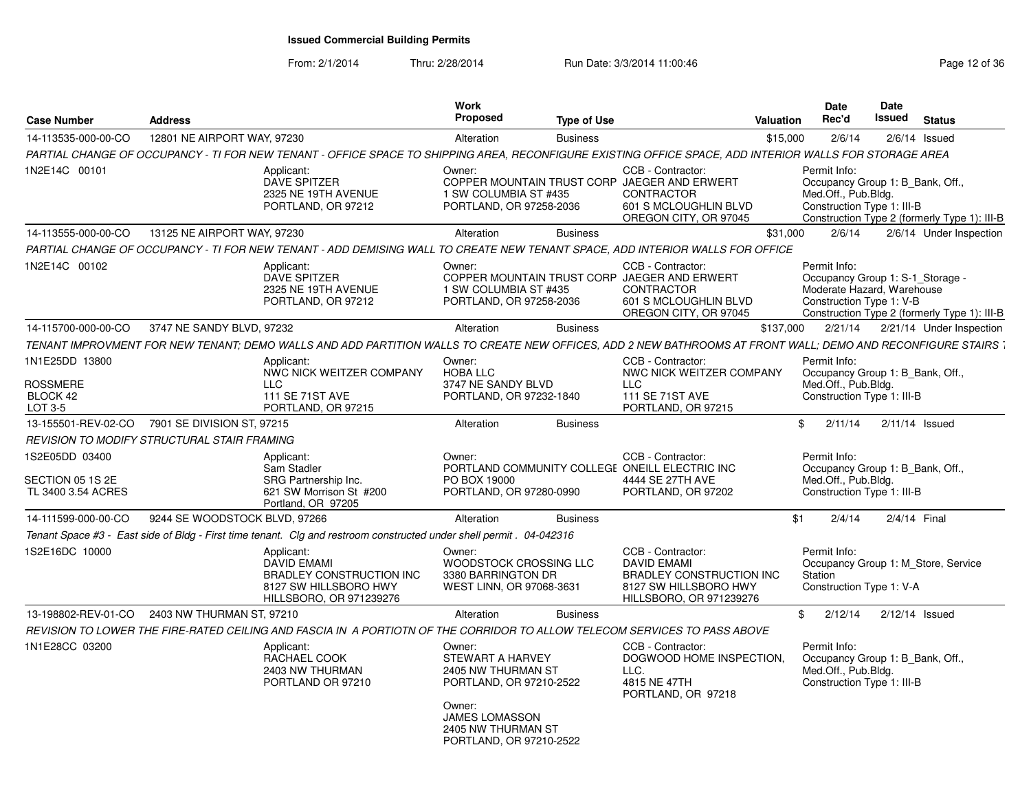| <b>Case Number</b>                                | <b>Address</b>                                     |                                                                                                                                                              | Work<br><b>Proposed</b>                                                                                                                                         | Type of Use     |                                                                                                                                          | Valuation | <b>Date</b><br>Rec'd                                                                                                                                       | Date<br>Issued | <b>Status</b>            |  |
|---------------------------------------------------|----------------------------------------------------|--------------------------------------------------------------------------------------------------------------------------------------------------------------|-----------------------------------------------------------------------------------------------------------------------------------------------------------------|-----------------|------------------------------------------------------------------------------------------------------------------------------------------|-----------|------------------------------------------------------------------------------------------------------------------------------------------------------------|----------------|--------------------------|--|
| 14-113535-000-00-CO                               | 12801 NE AIRPORT WAY, 97230                        |                                                                                                                                                              | Alteration                                                                                                                                                      | <b>Business</b> |                                                                                                                                          | \$15,000  | 2/6/14                                                                                                                                                     |                | $2/6/14$ Issued          |  |
|                                                   |                                                    | PARTIAL CHANGE OF OCCUPANCY - TI FOR NEW TENANT - OFFICE SPACE TO SHIPPING AREA, RECONFIGURE EXISTING OFFICE SPACE, ADD INTERIOR WALLS FOR STORAGE AREA      |                                                                                                                                                                 |                 |                                                                                                                                          |           |                                                                                                                                                            |                |                          |  |
| 1N2E14C 00101                                     |                                                    | Applicant:<br><b>DAVE SPITZER</b><br>2325 NE 19TH AVENUE<br>PORTLAND, OR 97212                                                                               | Owner:<br>1 SW COLUMBIA ST #435<br>PORTLAND, OR 97258-2036                                                                                                      |                 | CCB - Contractor:<br>COPPER MOUNTAIN TRUST CORP JAEGER AND ERWERT<br><b>CONTRACTOR</b><br>601 S MCLOUGHLIN BLVD<br>OREGON CITY, OR 97045 |           | Permit Info:<br>Occupancy Group 1: B Bank, Off.,<br>Med.Off., Pub.Bldg.<br>Construction Type 1: III-B<br>Construction Type 2 (formerly Type 1): III-B      |                |                          |  |
| 14-113555-000-00-CO                               | 13125 NE AIRPORT WAY, 97230                        |                                                                                                                                                              | Alteration                                                                                                                                                      | <b>Business</b> |                                                                                                                                          | \$31,000  | 2/6/14                                                                                                                                                     |                | 2/6/14 Under Inspection  |  |
|                                                   |                                                    | PARTIAL CHANGE OF OCCUPANCY - TI FOR NEW TENANT - ADD DEMISING WALL TO CREATE NEW TENANT SPACE. ADD INTERIOR WALLS FOR OFFICE                                |                                                                                                                                                                 |                 |                                                                                                                                          |           |                                                                                                                                                            |                |                          |  |
| 1N2E14C 00102                                     |                                                    | Applicant:<br>DAVE SPITZER<br>2325 NE 19TH AVENUE<br>PORTLAND, OR 97212                                                                                      | Owner:<br>1 SW COLUMBIA ST #435<br>PORTLAND, OR 97258-2036                                                                                                      |                 | CCB - Contractor:<br>COPPER MOUNTAIN TRUST CORP JAEGER AND ERWERT<br><b>CONTRACTOR</b><br>601 S MCLOUGHLIN BLVD<br>OREGON CITY, OR 97045 |           | Permit Info:<br>Occupancy Group 1: S-1 Storage -<br>Moderate Hazard, Warehouse<br>Construction Type 1: V-B<br>Construction Type 2 (formerly Type 1): III-B |                |                          |  |
| 14-115700-000-00-CO                               | 3747 NE SANDY BLVD, 97232                          |                                                                                                                                                              | Alteration                                                                                                                                                      | <b>Business</b> |                                                                                                                                          | \$137,000 | 2/21/14                                                                                                                                                    |                | 2/21/14 Under Inspection |  |
|                                                   |                                                    | TENANT IMPROVMENT FOR NEW TENANT; DEMO WALLS AND ADD PARTITION WALLS TO CREATE NEW OFFICES, ADD 2 NEW BATHROOMS AT FRONT WALL; DEMO AND RECONFIGURE STAIRS 7 |                                                                                                                                                                 |                 |                                                                                                                                          |           |                                                                                                                                                            |                |                          |  |
| 1N1E25DD 13800<br>ROSSMERE<br>BLOCK 42<br>LOT 3-5 |                                                    | Applicant:<br>NWC NICK WEITZER COMPANY<br>LLC.<br>111 SE 71ST AVE<br>PORTLAND, OR 97215                                                                      | Owner:<br><b>HOBA LLC</b><br>3747 NE SANDY BLVD<br>PORTLAND, OR 97232-1840                                                                                      |                 | CCB - Contractor:<br>NWC NICK WEITZER COMPANY<br>LLC.<br>111 SE 71ST AVE<br>PORTLAND, OR 97215                                           |           | Permit Info:<br>Occupancy Group 1: B_Bank, Off.,<br>Med.Off., Pub.Bldg.<br>Construction Type 1: III-B                                                      |                |                          |  |
|                                                   | 13-155501-REV-02-CO 7901 SE DIVISION ST. 97215     |                                                                                                                                                              | Alteration                                                                                                                                                      | <b>Business</b> |                                                                                                                                          |           | \$2/11/14                                                                                                                                                  |                | $2/11/14$ Issued         |  |
|                                                   | <b>REVISION TO MODIFY STRUCTURAL STAIR FRAMING</b> |                                                                                                                                                              |                                                                                                                                                                 |                 |                                                                                                                                          |           |                                                                                                                                                            |                |                          |  |
| 1S2E05DD 03400                                    |                                                    | Applicant:                                                                                                                                                   | Owner:                                                                                                                                                          |                 | CCB - Contractor:                                                                                                                        |           | Permit Info:                                                                                                                                               |                |                          |  |
| SECTION 05 1S 2E<br>TL 3400 3.54 ACRES            |                                                    | Sam Stadler<br>SRG Partnership Inc.<br>621 SW Morrison St #200<br>Portland, OR 97205                                                                         | PO BOX 19000<br>PORTLAND, OR 97280-0990                                                                                                                         |                 | PORTLAND COMMUNITY COLLEGE ONEILL ELECTRIC INC<br>4444 SE 27TH AVE<br>PORTLAND, OR 97202                                                 |           | Occupancy Group 1: B Bank, Off.,<br>Med.Off., Pub.Bldg.<br>Construction Type 1: III-B                                                                      |                |                          |  |
| 14-111599-000-00-CO                               | 9244 SE WOODSTOCK BLVD, 97266                      |                                                                                                                                                              | Alteration                                                                                                                                                      | <b>Business</b> |                                                                                                                                          | \$1       | 2/4/14                                                                                                                                                     |                | 2/4/14 Final             |  |
|                                                   |                                                    | Tenant Space #3 - East side of Bldg - First time tenant. Clg and restroom constructed under shell permit . 04-042316                                         |                                                                                                                                                                 |                 |                                                                                                                                          |           |                                                                                                                                                            |                |                          |  |
| 1S2E16DC 10000                                    |                                                    | Applicant:<br><b>DAVID EMAMI</b><br>BRADLEY CONSTRUCTION INC<br>8127 SW HILLSBORO HWY<br>HILLSBORO, OR 971239276                                             | Owner:<br>WOODSTOCK CROSSING LLC<br>3380 BARRINGTON DR<br>WEST LINN, OR 97068-3631                                                                              |                 | CCB - Contractor:<br><b>DAVID EMAMI</b><br><b>BRADLEY CONSTRUCTION INC.</b><br>8127 SW HILLSBORO HWY<br>HILLSBORO, OR 971239276          |           | Permit Info:<br>Occupancy Group 1: M Store, Service<br>Station<br>Construction Type 1: V-A                                                                 |                |                          |  |
| 13-198802-REV-01-CO                               | 2403 NW THURMAN ST, 97210                          |                                                                                                                                                              | Alteration                                                                                                                                                      | <b>Business</b> |                                                                                                                                          |           | \$2/12/14                                                                                                                                                  |                | $2/12/14$ Issued         |  |
|                                                   |                                                    | REVISION TO LOWER THE FIRE-RATED CEILING AND FASCIA IN A PORTIOTN OF THE CORRIDOR TO ALLOW TELECOM SERVICES TO PASS ABOVE                                    |                                                                                                                                                                 |                 |                                                                                                                                          |           |                                                                                                                                                            |                |                          |  |
| 1N1E28CC 03200                                    |                                                    | Applicant:<br>RACHAEL COOK<br>2403 NW THURMAN<br>PORTLAND OR 97210                                                                                           | Owner:<br>STEWART A HARVEY<br>2405 NW THURMAN ST<br>PORTLAND, OR 97210-2522<br>Owner:<br><b>JAMES LOMASSON</b><br>2405 NW THURMAN ST<br>PORTLAND, OR 97210-2522 |                 | CCB - Contractor:<br>DOGWOOD HOME INSPECTION.<br>LLC.<br>4815 NE 47TH<br>PORTLAND, OR 97218                                              |           | Permit Info:<br>Occupancy Group 1: B Bank, Off.,<br>Med.Off., Pub.Bldg.<br>Construction Type 1: III-B                                                      |                |                          |  |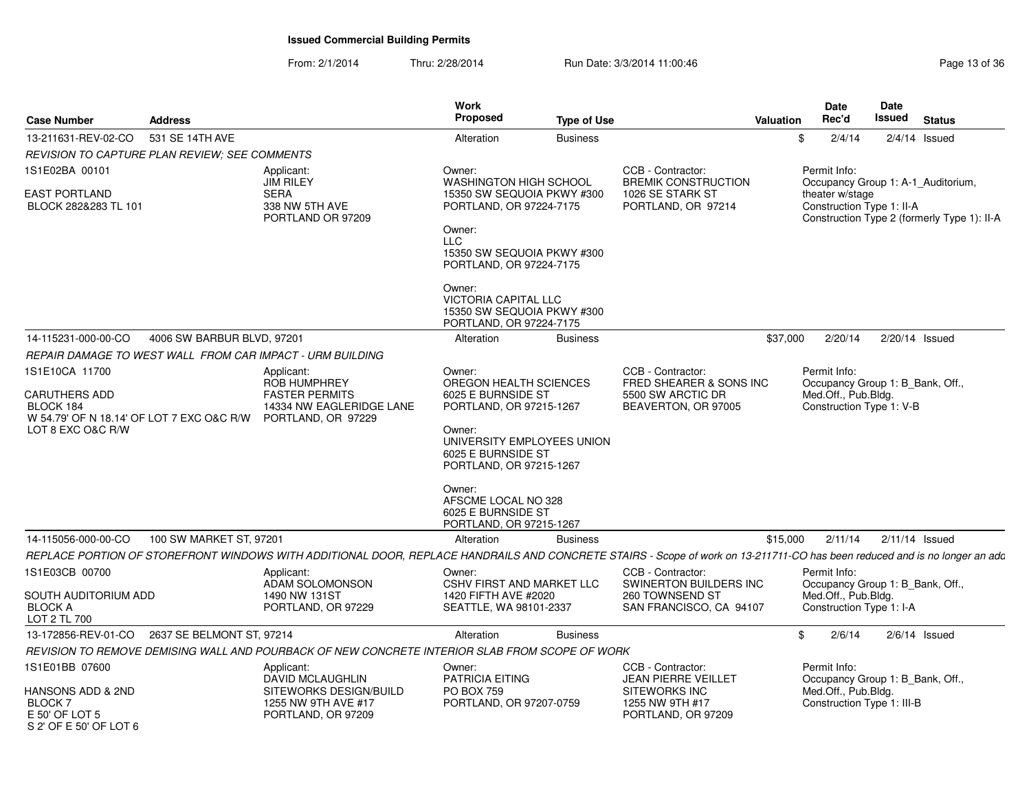| <b>Case Number</b>                                                             | <b>Address</b>             |                                                                                                                                                                            | Work<br><b>Proposed</b>                                                                        | <b>Type of Use</b> |                                                               | Valuation | <b>Date</b><br>Rec'd                               | Date<br>Issued                              | <b>Status</b>    |
|--------------------------------------------------------------------------------|----------------------------|----------------------------------------------------------------------------------------------------------------------------------------------------------------------------|------------------------------------------------------------------------------------------------|--------------------|---------------------------------------------------------------|-----------|----------------------------------------------------|---------------------------------------------|------------------|
| 13-211631-REV-02-CO                                                            | 531 SE 14TH AVE            |                                                                                                                                                                            | Alteration                                                                                     | <b>Business</b>    |                                                               |           | \$<br>2/4/14                                       |                                             | $2/4/14$ Issued  |
| <b>REVISION TO CAPTURE PLAN REVIEW: SEE COMMENTS</b>                           |                            |                                                                                                                                                                            |                                                                                                |                    |                                                               |           |                                                    |                                             |                  |
| 1S1E02BA 00101                                                                 |                            | Applicant:<br><b>JIM RILEY</b>                                                                                                                                             | Owner:<br><b>WASHINGTON HIGH SCHOOL</b>                                                        |                    | CCB - Contractor:<br><b>BREMIK CONSTRUCTION</b>               |           | Permit Info:<br>Occupancy Group 1: A-1_Auditorium, |                                             |                  |
| EAST PORTLAND<br>BLOCK 282&283 TL 101                                          |                            | <b>SERA</b><br>338 NW 5TH AVE<br>PORTLAND OR 97209                                                                                                                         | 15350 SW SEQUOIA PKWY #300<br>PORTLAND, OR 97224-7175                                          |                    | 1026 SE STARK ST<br>PORTLAND, OR 97214                        |           | theater w/stage<br>Construction Type 1: II-A       | Construction Type 2 (formerly Type 1): II-A |                  |
|                                                                                |                            |                                                                                                                                                                            | Owner:<br><b>LLC</b><br>15350 SW SEQUOIA PKWY #300<br>PORTLAND, OR 97224-7175                  |                    |                                                               |           |                                                    |                                             |                  |
|                                                                                |                            |                                                                                                                                                                            | Owner:<br><b>VICTORIA CAPITAL LLC</b><br>15350 SW SEQUOIA PKWY #300<br>PORTLAND, OR 97224-7175 |                    |                                                               |           |                                                    |                                             |                  |
| 14-115231-000-00-CO                                                            | 4006 SW BARBUR BLVD, 97201 |                                                                                                                                                                            | Alteration                                                                                     | <b>Business</b>    |                                                               | \$37,000  | 2/20/14                                            | 2/20/14 Issued                              |                  |
|                                                                                |                            | REPAIR DAMAGE TO WEST WALL FROM CAR IMPACT - URM BUILDING                                                                                                                  |                                                                                                |                    |                                                               |           |                                                    |                                             |                  |
| 1S1E10CA 11700                                                                 |                            | Applicant:<br><b>ROB HUMPHREY</b>                                                                                                                                          | Owner:<br>OREGON HEALTH SCIENCES                                                               |                    | CCB - Contractor:<br>FRED SHEARER & SONS INC                  |           | Permit Info:<br>Occupancy Group 1: B_Bank, Off.,   |                                             |                  |
| <b>CARUTHERS ADD</b><br>BLOCK 184<br>W 54.79' OF N 18.14' OF LOT 7 EXC O&C R/W |                            | <b>FASTER PERMITS</b><br>14334 NW EAGLERIDGE LANE<br>PORTLAND, OR 97229                                                                                                    | 6025 E BURNSIDE ST<br>PORTLAND, OR 97215-1267                                                  |                    | 5500 SW ARCTIC DR<br>BEAVERTON, OR 97005                      |           | Med.Off., Pub.Bldg.<br>Construction Type 1: V-B    |                                             |                  |
| LOT 8 EXC O&C R/W                                                              |                            |                                                                                                                                                                            | Owner:<br>UNIVERSITY EMPLOYEES UNION<br>6025 E BURNSIDE ST<br>PORTLAND, OR 97215-1267          |                    |                                                               |           |                                                    |                                             |                  |
|                                                                                |                            |                                                                                                                                                                            | Owner:<br>AFSCME LOCAL NO 328<br>6025 E BURNSIDE ST<br>PORTLAND, OR 97215-1267                 |                    |                                                               |           |                                                    |                                             |                  |
| 14-115056-000-00-CO                                                            | 100 SW MARKET ST, 97201    |                                                                                                                                                                            | Alteration                                                                                     | <b>Business</b>    |                                                               | \$15,000  | 2/11/14                                            |                                             | $2/11/14$ Issued |
|                                                                                |                            | REPLACE PORTION OF STOREFRONT WINDOWS WITH ADDITIONAL DOOR, REPLACE HANDRAILS AND CONCRETE STAIRS - Scope of work on 13-211711-CO has been reduced and is no longer an adc |                                                                                                |                    |                                                               |           |                                                    |                                             |                  |
| 1S1E03CB 00700                                                                 |                            | Applicant:<br>ADAM SOLOMONSON                                                                                                                                              | Owner:<br><b>CSHV FIRST AND MARKET LLC</b>                                                     |                    | CCB - Contractor:<br>SWINERTON BUILDERS INC                   |           | Permit Info:<br>Occupancy Group 1: B_Bank, Off.,   |                                             |                  |
| SOUTH AUDITORIUM ADD<br><b>BLOCK A</b><br>LOT 2 TL 700                         |                            | 1490 NW 131ST<br>PORTLAND, OR 97229                                                                                                                                        | 1420 FIFTH AVE #2020<br>SEATTLE, WA 98101-2337                                                 |                    | 260 TOWNSEND ST<br>SAN FRANCISCO, CA 94107                    |           | Med.Off., Pub.Bldg.<br>Construction Type 1: I-A    |                                             |                  |
| 13-172856-REV-01-CO                                                            | 2637 SE BELMONT ST, 97214  |                                                                                                                                                                            | Alteration                                                                                     | <b>Business</b>    |                                                               |           | \$<br>2/6/14                                       |                                             | $2/6/14$ Issued  |
|                                                                                |                            | REVISION TO REMOVE DEMISING WALL AND POURBACK OF NEW CONCRETE INTERIOR SLAB FROM SCOPE OF WORK                                                                             |                                                                                                |                    |                                                               |           |                                                    |                                             |                  |
| 1S1E01BB 07600                                                                 |                            | Applicant:<br><b>DAVID MCLAUGHLIN</b>                                                                                                                                      | Owner:<br><b>PATRICIA EITING</b>                                                               |                    | CCB - Contractor:<br><b>JEAN PIERRE VEILLET</b>               |           | Permit Info:<br>Occupancy Group 1: B_Bank, Off.,   |                                             |                  |
| HANSONS ADD & 2ND<br><b>BLOCK7</b><br>E 50' OF LOT 5<br>S 2' OF E 50' OF LOT 6 |                            | SITEWORKS DESIGN/BUILD<br>1255 NW 9TH AVE #17<br>PORTLAND, OR 97209                                                                                                        | PO BOX 759<br>PORTLAND, OR 97207-0759                                                          |                    | <b>SITEWORKS INC</b><br>1255 NW 9TH #17<br>PORTLAND, OR 97209 |           | Med.Off., Pub.Bldg.<br>Construction Type 1: III-B  |                                             |                  |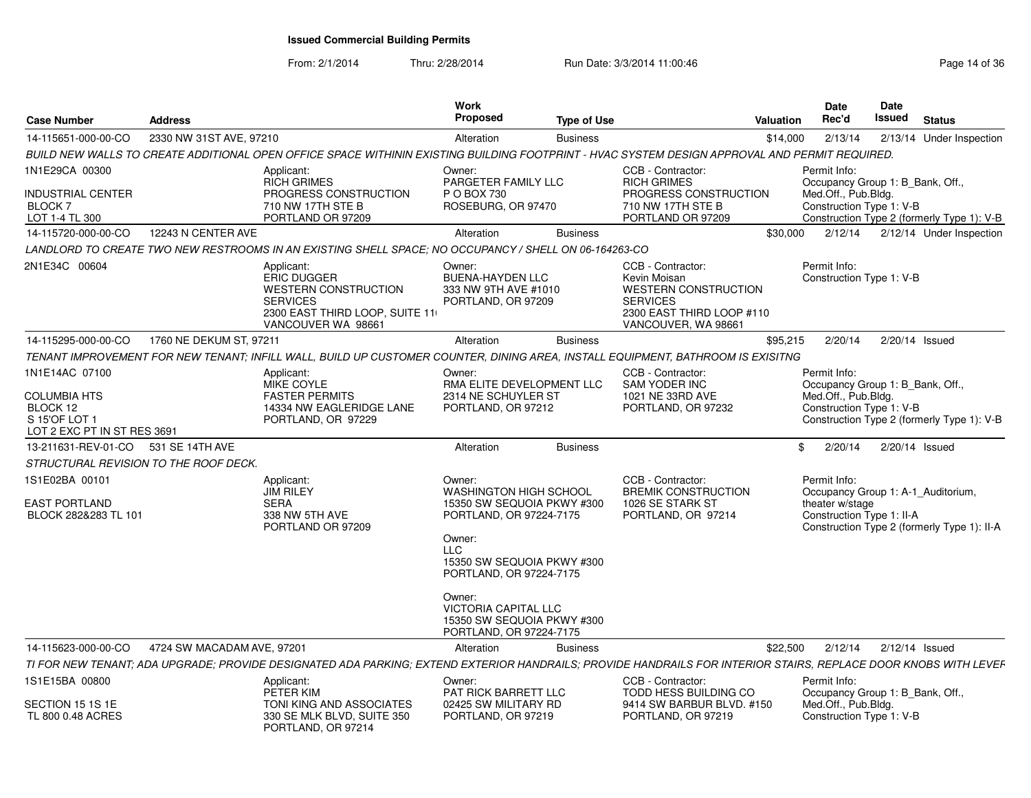| <b>Case Number</b>                                                              | <b>Address</b>             |                                                                                                                                                                 | Work<br>Proposed                                                                                                                       | <b>Type of Use</b> |                                                                                                                                         | <b>Valuation</b> | <b>Date</b><br>Rec'd                             | <b>Date</b><br>Issued | <b>Status</b>                               |
|---------------------------------------------------------------------------------|----------------------------|-----------------------------------------------------------------------------------------------------------------------------------------------------------------|----------------------------------------------------------------------------------------------------------------------------------------|--------------------|-----------------------------------------------------------------------------------------------------------------------------------------|------------------|--------------------------------------------------|-----------------------|---------------------------------------------|
| 14-115651-000-00-CO                                                             | 2330 NW 31ST AVE, 97210    |                                                                                                                                                                 | Alteration                                                                                                                             | <b>Business</b>    |                                                                                                                                         | \$14,000         | 2/13/14                                          |                       | 2/13/14 Under Inspection                    |
|                                                                                 |                            | BUILD NEW WALLS TO CREATE ADDITIONAL OPEN OFFICE SPACE WITHININ EXISTING BUILDING FOOTPRINT - HVAC SYSTEM DESIGN APPROVAL AND PERMIT REQUIRED.                  |                                                                                                                                        |                    |                                                                                                                                         |                  |                                                  |                       |                                             |
| 1N1E29CA 00300                                                                  |                            | Applicant:<br><b>RICH GRIMES</b>                                                                                                                                | Owner:<br>PARGETER FAMILY LLC                                                                                                          |                    | CCB - Contractor:<br><b>RICH GRIMES</b>                                                                                                 |                  | Permit Info:<br>Occupancy Group 1: B Bank, Off., |                       |                                             |
| <b>INDUSTRIAL CENTER</b><br><b>BLOCK7</b><br>LOT 1-4 TL 300                     |                            | PROGRESS CONSTRUCTION<br>710 NW 17TH STE B<br>PORTLAND OR 97209                                                                                                 | P O BOX 730<br>ROSEBURG, OR 97470                                                                                                      |                    | PROGRESS CONSTRUCTION<br>710 NW 17TH STE B<br>PORTLAND OR 97209                                                                         |                  | Med.Off., Pub.Bldg.<br>Construction Type 1: V-B  |                       | Construction Type 2 (formerly Type 1): V-B  |
| 14-115720-000-00-CO                                                             | 12243 N CENTER AVE         |                                                                                                                                                                 | Alteration                                                                                                                             | <b>Business</b>    |                                                                                                                                         | \$30,000         | 2/12/14                                          |                       | 2/12/14 Under Inspection                    |
|                                                                                 |                            | LANDLORD TO CREATE TWO NEW RESTROOMS IN AN EXISTING SHELL SPACE: NO OCCUPANCY / SHELL ON 06-164263-CO                                                           |                                                                                                                                        |                    |                                                                                                                                         |                  |                                                  |                       |                                             |
| 2N1E34C 00604                                                                   |                            | Applicant:<br>ERIC DUGGER<br><b>WESTERN CONSTRUCTION</b><br><b>SERVICES</b><br>2300 EAST THIRD LOOP, SUITE 11<br>VANCOUVER WA 98661                             | Owner:<br><b>BUENA-HAYDEN LLC</b><br>333 NW 9TH AVE #1010<br>PORTLAND, OR 97209                                                        |                    | CCB - Contractor:<br>Kevin Moisan<br><b>WESTERN CONSTRUCTION</b><br><b>SERVICES</b><br>2300 EAST THIRD LOOP #110<br>VANCOUVER, WA 98661 |                  | Permit Info:<br>Construction Type 1: V-B         |                       |                                             |
| 14-115295-000-00-CO                                                             | 1760 NE DEKUM ST. 97211    |                                                                                                                                                                 | Alteration                                                                                                                             | <b>Business</b>    |                                                                                                                                         | \$95.215         | 2/20/14                                          |                       | 2/20/14 Issued                              |
|                                                                                 |                            | TENANT IMPROVEMENT FOR NEW TENANT; INFILL WALL, BUILD UP CUSTOMER COUNTER, DINING AREA, INSTALL EQUIPMENT, BATHROOM IS EXISITNG                                 |                                                                                                                                        |                    |                                                                                                                                         |                  |                                                  |                       |                                             |
| 1N1E14AC 07100                                                                  |                            | Applicant:<br><b>MIKE COYLE</b>                                                                                                                                 | Owner:<br>RMA ELITE DEVELOPMENT LLC                                                                                                    |                    | CCB - Contractor:<br>SAM YODER INC                                                                                                      |                  | Permit Info:<br>Occupancy Group 1: B_Bank, Off., |                       |                                             |
| <b>COLUMBIA HTS</b><br>BLOCK 12<br>S 15'OF LOT 1<br>LOT 2 EXC PT IN ST RES 3691 |                            | <b>FASTER PERMITS</b><br>14334 NW EAGLERIDGE LANE<br>PORTLAND, OR 97229                                                                                         | 2314 NE SCHUYLER ST<br>PORTLAND, OR 97212                                                                                              |                    | 1021 NE 33RD AVE<br>PORTLAND, OR 97232                                                                                                  |                  | Med.Off., Pub.Bldg.<br>Construction Type 1: V-B  |                       | Construction Type 2 (formerly Type 1): V-B  |
| 13-211631-REV-01-CO 531 SE 14TH AVE                                             |                            |                                                                                                                                                                 | Alteration                                                                                                                             | <b>Business</b>    |                                                                                                                                         | .ፍ               | 2/20/14                                          |                       | 2/20/14 Issued                              |
| STRUCTURAL REVISION TO THE ROOF DECK.                                           |                            |                                                                                                                                                                 |                                                                                                                                        |                    |                                                                                                                                         |                  |                                                  |                       |                                             |
| 1S1E02BA 00101                                                                  |                            | Applicant:<br><b>JIM RILEY</b>                                                                                                                                  | Owner:<br><b>WASHINGTON HIGH SCHOOL</b>                                                                                                |                    | CCB - Contractor:<br><b>BREMIK CONSTRUCTION</b>                                                                                         |                  | Permit Info:                                     |                       | Occupancy Group 1: A-1 Auditorium,          |
| EAST PORTLAND<br>BLOCK 282&283 TL 101                                           |                            | <b>SERA</b><br>338 NW 5TH AVE<br>PORTLAND OR 97209                                                                                                              | 15350 SW SEQUOIA PKWY #300<br>PORTLAND, OR 97224-7175<br>Owner:<br><b>LLC</b><br>15350 SW SEQUOIA PKWY #300<br>PORTLAND, OR 97224-7175 |                    | 1026 SE STARK ST<br>PORTLAND, OR 97214                                                                                                  |                  | theater w/stage<br>Construction Type 1: II-A     |                       | Construction Type 2 (formerly Type 1): II-A |
|                                                                                 |                            |                                                                                                                                                                 | Owner:<br>VICTORIA CAPITAL LLC<br>15350 SW SEQUOIA PKWY #300<br>PORTLAND, OR 97224-7175                                                |                    |                                                                                                                                         |                  |                                                  |                       |                                             |
| 14-115623-000-00-CO                                                             | 4724 SW MACADAM AVE, 97201 |                                                                                                                                                                 | Alteration                                                                                                                             | <b>Business</b>    |                                                                                                                                         | \$22,500         | 2/12/14                                          |                       | $2/12/14$ Issued                            |
|                                                                                 |                            | TI FOR NEW TENANT; ADA UPGRADE; PROVIDE DESIGNATED ADA PARKING; EXTEND EXTERIOR HANDRAILS; PROVIDE HANDRAILS FOR INTERIOR STAIRS, REPLACE DOOR KNOBS WITH LEVEF |                                                                                                                                        |                    |                                                                                                                                         |                  |                                                  |                       |                                             |
| 1S1E15BA 00800                                                                  |                            | Applicant:<br>PETER KIM                                                                                                                                         | Owner:<br><b>PAT RICK BARRETT LLC</b>                                                                                                  |                    | CCB - Contractor:<br><b>TODD HESS BUILDING CO</b>                                                                                       |                  | Permit Info:<br>Occupancy Group 1: B Bank, Off., |                       |                                             |
| SECTION 15 1S 1E<br>TL 800 0.48 ACRES                                           |                            | TONI KING AND ASSOCIATES<br>330 SE MLK BLVD, SUITE 350<br>PORTLAND, OR 97214                                                                                    | 02425 SW MILITARY RD<br>PORTLAND, OR 97219                                                                                             |                    | 9414 SW BARBUR BLVD, #150<br>PORTLAND, OR 97219                                                                                         |                  | Med.Off., Pub.Bldg.<br>Construction Type 1: V-B  |                       |                                             |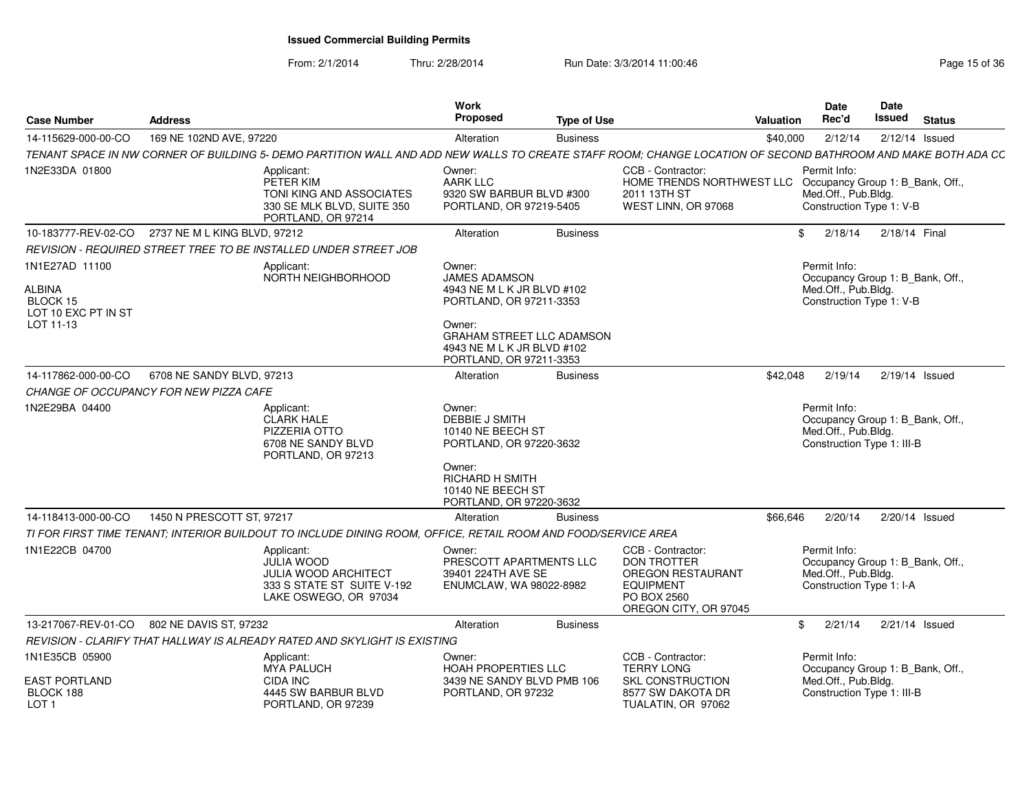| <b>Case Number</b>                                                              | <b>Address</b>               |                                                                                                                                                              | Work<br><b>Proposed</b>                                                                                                                                                                 | <b>Type of Use</b> |                                                                                                                          | <b>Valuation</b> | <b>Date</b><br>Rec'd                                                                                  | Date<br>Issued | <b>Status</b>    |
|---------------------------------------------------------------------------------|------------------------------|--------------------------------------------------------------------------------------------------------------------------------------------------------------|-----------------------------------------------------------------------------------------------------------------------------------------------------------------------------------------|--------------------|--------------------------------------------------------------------------------------------------------------------------|------------------|-------------------------------------------------------------------------------------------------------|----------------|------------------|
| 14-115629-000-00-CO                                                             | 169 NE 102ND AVE, 97220      |                                                                                                                                                              | Alteration                                                                                                                                                                              | <b>Business</b>    |                                                                                                                          | \$40,000         | 2/12/14                                                                                               |                | $2/12/14$ Issued |
|                                                                                 |                              | TENANT SPACE IN NW CORNER OF BUILDING 5- DEMO PARTITION WALL AND ADD NEW WALLS TO CREATE STAFF ROOM; CHANGE LOCATION OF SECOND BATHROOM AND MAKE BOTH ADA CC |                                                                                                                                                                                         |                    |                                                                                                                          |                  |                                                                                                       |                |                  |
| 1N2E33DA 01800                                                                  |                              | Applicant:<br>PETER KIM<br>TONI KING AND ASSOCIATES<br>330 SE MLK BLVD, SUITE 350<br>PORTLAND, OR 97214                                                      | Owner:<br><b>AARK LLC</b><br>9320 SW BARBUR BLVD #300<br>PORTLAND, OR 97219-5405                                                                                                        |                    | CCB - Contractor:<br>HOME TRENDS NORTHWEST LLC Occupancy Group 1: B_Bank, Off.,<br>2011 13TH ST<br>WEST LINN, OR 97068   |                  | Permit Info:<br>Med.Off., Pub.Bldg.<br>Construction Type 1: V-B                                       |                |                  |
| 10-183777-REV-02-CO                                                             | 2737 NE M L KING BLVD, 97212 |                                                                                                                                                              | Alteration                                                                                                                                                                              | <b>Business</b>    |                                                                                                                          | \$               | 2/18/14                                                                                               | 2/18/14 Final  |                  |
|                                                                                 |                              | REVISION - REQUIRED STREET TREE TO BE INSTALLED UNDER STREET JOB                                                                                             |                                                                                                                                                                                         |                    |                                                                                                                          |                  |                                                                                                       |                |                  |
| 1N1E27AD 11100<br><b>ALBINA</b><br>BLOCK 15<br>LOT 10 EXC PT IN ST<br>LOT 11-13 |                              | Applicant:<br>NORTH NEIGHBORHOOD                                                                                                                             | Owner:<br><b>JAMES ADAMSON</b><br>4943 NE M L K JR BLVD #102<br>PORTLAND, OR 97211-3353<br>Owner:<br>GRAHAM STREET LLC ADAMSON<br>4943 NE M L K JR BLVD #102<br>PORTLAND, OR 97211-3353 |                    |                                                                                                                          |                  | Permit Info:<br>Occupancy Group 1: B_Bank, Off.,<br>Med.Off., Pub.Bldg.<br>Construction Type 1: V-B   |                |                  |
| 14-117862-000-00-CO                                                             | 6708 NE SANDY BLVD, 97213    |                                                                                                                                                              | Alteration                                                                                                                                                                              | <b>Business</b>    |                                                                                                                          | \$42,048         | 2/19/14                                                                                               |                | 2/19/14 Issued   |
| CHANGE OF OCCUPANCY FOR NEW PIZZA CAFE                                          |                              |                                                                                                                                                              |                                                                                                                                                                                         |                    |                                                                                                                          |                  |                                                                                                       |                |                  |
| 1N2E29BA 04400                                                                  |                              | Applicant:<br><b>CLARK HALE</b><br>PIZZERIA OTTO<br>6708 NE SANDY BLVD<br>PORTLAND, OR 97213                                                                 | Owner:<br><b>DEBBIE J SMITH</b><br>10140 NE BEECH ST<br>PORTLAND, OR 97220-3632<br>Owner:<br><b>RICHARD H SMITH</b><br>10140 NE BEECH ST                                                |                    |                                                                                                                          |                  | Permit Info:<br>Occupancy Group 1: B_Bank, Off.,<br>Med.Off., Pub.Bldg.<br>Construction Type 1: III-B |                |                  |
|                                                                                 |                              |                                                                                                                                                              | PORTLAND, OR 97220-3632                                                                                                                                                                 |                    |                                                                                                                          |                  |                                                                                                       |                |                  |
| 14-118413-000-00-CO                                                             | 1450 N PRESCOTT ST, 97217    |                                                                                                                                                              | Alteration                                                                                                                                                                              | <b>Business</b>    |                                                                                                                          | \$66,646         | 2/20/14                                                                                               |                | 2/20/14 Issued   |
|                                                                                 |                              | TI FOR FIRST TIME TENANT; INTERIOR BUILDOUT TO INCLUDE DINING ROOM, OFFICE, RETAIL ROOM AND FOOD/SERVICE AREA                                                |                                                                                                                                                                                         |                    |                                                                                                                          |                  |                                                                                                       |                |                  |
| 1N1E22CB 04700                                                                  |                              | Applicant:<br><b>JULIA WOOD</b><br><b>JULIA WOOD ARCHITECT</b><br>333 S STATE ST SUITE V-192<br>LAKE OSWEGO, OR 97034                                        | Owner:<br>PRESCOTT APARTMENTS LLC<br>39401 224TH AVE SE<br>ENUMCLAW, WA 98022-8982                                                                                                      |                    | CCB - Contractor:<br><b>DON TROTTER</b><br>OREGON RESTAURANT<br><b>EQUIPMENT</b><br>PO BOX 2560<br>OREGON CITY, OR 97045 |                  | Permit Info:<br>Occupancy Group 1: B Bank, Off.,<br>Med.Off., Pub.Bldg.<br>Construction Type 1: I-A   |                |                  |
| 13-217067-REV-01-CO                                                             | 802 NE DAVIS ST, 97232       |                                                                                                                                                              | Alteration                                                                                                                                                                              | <b>Business</b>    |                                                                                                                          | \$               | 2/21/14                                                                                               |                | $2/21/14$ Issued |
|                                                                                 |                              | REVISION - CLARIFY THAT HALLWAY IS ALREADY RATED AND SKYLIGHT IS EXISTING                                                                                    |                                                                                                                                                                                         |                    |                                                                                                                          |                  |                                                                                                       |                |                  |
| 1N1E35CB 05900<br><b>EAST PORTLAND</b>                                          |                              | Applicant:<br><b>MYA PALUCH</b><br><b>CIDA INC</b>                                                                                                           | Owner:<br><b>HOAH PROPERTIES LLC</b><br>3439 NE SANDY BLVD PMB 106                                                                                                                      |                    | CCB - Contractor:<br><b>TERRY LONG</b><br>SKL CONSTRUCTION                                                               |                  | Permit Info:<br>Occupancy Group 1: B_Bank, Off.,<br>Med.Off., Pub.Bldg.                               |                |                  |
| BLOCK 188<br>LOT <sub>1</sub>                                                   |                              | 4445 SW BARBUR BLVD<br>PORTLAND, OR 97239                                                                                                                    | PORTLAND, OR 97232                                                                                                                                                                      |                    | 8577 SW DAKOTA DR<br>TUALATIN, OR 97062                                                                                  |                  | Construction Type 1: III-B                                                                            |                |                  |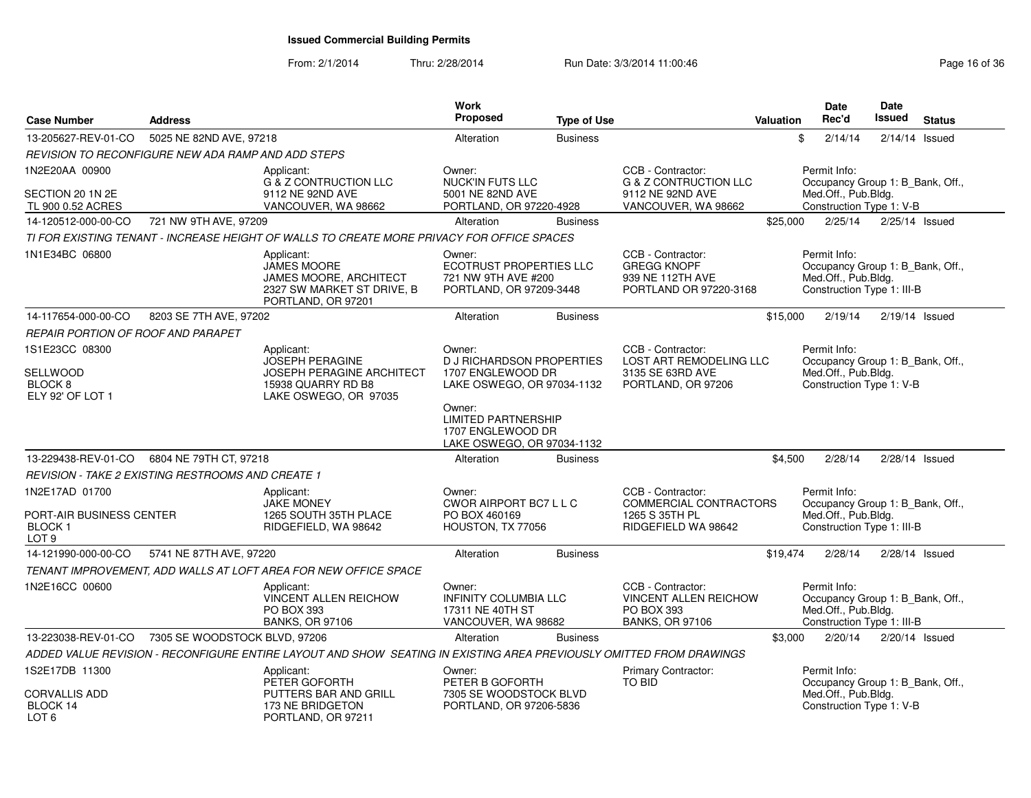| <b>Case Number</b>                                      | <b>Address</b>                                     |                                                                                                                       | Work<br>Proposed                                                                           | <b>Type of Use</b> |                                                                                           | <b>Valuation</b> | <b>Date</b><br>Rec'd                                                                                  | <b>Date</b><br><b>Issued</b> | <b>Status</b>    |
|---------------------------------------------------------|----------------------------------------------------|-----------------------------------------------------------------------------------------------------------------------|--------------------------------------------------------------------------------------------|--------------------|-------------------------------------------------------------------------------------------|------------------|-------------------------------------------------------------------------------------------------------|------------------------------|------------------|
| 13-205627-REV-01-CO                                     | 5025 NE 82ND AVE, 97218                            |                                                                                                                       | Alteration                                                                                 | <b>Business</b>    |                                                                                           | \$               | 2/14/14                                                                                               |                              | $2/14/14$ Issued |
|                                                         | REVISION TO RECONFIGURE NEW ADA RAMP AND ADD STEPS |                                                                                                                       |                                                                                            |                    |                                                                                           |                  |                                                                                                       |                              |                  |
| 1N2E20AA 00900                                          |                                                    | Applicant:                                                                                                            | Owner:                                                                                     |                    | CCB - Contractor:                                                                         |                  | Permit Info:                                                                                          |                              |                  |
| SECTION 20 1N 2E<br>TL 900 0.52 ACRES                   |                                                    | <b>G &amp; Z CONTRUCTION LLC</b><br>9112 NE 92ND AVE<br>VANCOUVER, WA 98662                                           | <b>NUCK'IN FUTS LLC</b><br>5001 NE 82ND AVE<br>PORTLAND, OR 97220-4928                     |                    | <b>G &amp; Z CONTRUCTION LLC</b><br>9112 NE 92ND AVE<br>VANCOUVER, WA 98662               |                  | Occupancy Group 1: B_Bank, Off.,<br>Med.Off., Pub.Bldg.<br>Construction Type 1: V-B                   |                              |                  |
| 14-120512-000-00-CO                                     | 721 NW 9TH AVE, 97209                              |                                                                                                                       | Alteration                                                                                 | <b>Business</b>    |                                                                                           | \$25,000         | 2/25/14                                                                                               |                              | $2/25/14$ Issued |
|                                                         |                                                    | TI FOR EXISTING TENANT - INCREASE HEIGHT OF WALLS TO CREATE MORE PRIVACY FOR OFFICE SPACES                            |                                                                                            |                    |                                                                                           |                  |                                                                                                       |                              |                  |
| 1N1E34BC 06800                                          |                                                    | Applicant:<br><b>JAMES MOORE</b><br><b>JAMES MOORE, ARCHITECT</b><br>2327 SW MARKET ST DRIVE, B<br>PORTLAND, OR 97201 | Owner:<br><b>ECOTRUST PROPERTIES LLC</b><br>721 NW 9TH AVE #200<br>PORTLAND, OR 97209-3448 |                    | CCB - Contractor:<br><b>GREGG KNOPF</b><br>939 NE 112TH AVE<br>PORTLAND OR 97220-3168     |                  | Permit Info:<br>Occupancy Group 1: B_Bank, Off.,<br>Med.Off., Pub.Bldg.<br>Construction Type 1: III-B |                              |                  |
| 14-117654-000-00-CO                                     | 8203 SE 7TH AVE, 97202                             |                                                                                                                       | Alteration                                                                                 | <b>Business</b>    |                                                                                           | \$15,000         | 2/19/14                                                                                               |                              | $2/19/14$ Issued |
| <b>REPAIR PORTION OF ROOF AND PARAPET</b>               |                                                    |                                                                                                                       |                                                                                            |                    |                                                                                           |                  |                                                                                                       |                              |                  |
| 1S1E23CC 08300                                          |                                                    | Applicant:                                                                                                            | Owner:                                                                                     |                    | CCB - Contractor:                                                                         |                  | Permit Info:                                                                                          |                              |                  |
| SELLWOOD<br>BLOCK <sub>8</sub><br>ELY 92' OF LOT 1      |                                                    | JOSEPH PERAGINE<br>JOSEPH PERAGINE ARCHITECT<br>15938 QUARRY RD B8<br>LAKE OSWEGO, OR 97035                           | <b>D J RICHARDSON PROPERTIES</b><br>1707 ENGLEWOOD DR<br>LAKE OSWEGO, OR 97034-1132        |                    | <b>LOST ART REMODELING LLC</b><br>3135 SE 63RD AVE<br>PORTLAND, OR 97206                  |                  | Occupancy Group 1: B_Bank, Off.,<br>Med.Off., Pub.Bldg.<br>Construction Type 1: V-B                   |                              |                  |
|                                                         |                                                    |                                                                                                                       | Owner:<br><b>LIMITED PARTNERSHIP</b><br>1707 ENGLEWOOD DR<br>LAKE OSWEGO, OR 97034-1132    |                    |                                                                                           |                  |                                                                                                       |                              |                  |
| 13-229438-REV-01-CO                                     | 6804 NE 79TH CT, 97218                             |                                                                                                                       | Alteration                                                                                 | <b>Business</b>    |                                                                                           | \$4,500          | 2/28/14                                                                                               |                              | $2/28/14$ Issued |
|                                                         | REVISION - TAKE 2 EXISTING RESTROOMS AND CREATE 1  |                                                                                                                       |                                                                                            |                    |                                                                                           |                  |                                                                                                       |                              |                  |
| 1N2E17AD 01700                                          |                                                    | Applicant:                                                                                                            | Owner:                                                                                     |                    | CCB - Contractor:                                                                         |                  | Permit Info:                                                                                          |                              |                  |
| PORT-AIR BUSINESS CENTER<br>BLOCK 1<br>LOT <sub>9</sub> |                                                    | <b>JAKE MONEY</b><br>1265 SOUTH 35TH PLACE<br>RIDGEFIELD, WA 98642                                                    | CWOR AIRPORT BC7 L L C<br>PO BOX 460169<br>HOUSTON, TX 77056                               |                    | COMMERCIAL CONTRACTORS<br>1265 S 35TH PL<br>RIDGEFIELD WA 98642                           |                  | Occupancy Group 1: B_Bank, Off.,<br>Med.Off., Pub.Bldg.<br>Construction Type 1: III-B                 |                              |                  |
| 14-121990-000-00-CO                                     | 5741 NE 87TH AVE, 97220                            |                                                                                                                       | Alteration                                                                                 | <b>Business</b>    |                                                                                           | \$19,474         | 2/28/14                                                                                               |                              | 2/28/14 Issued   |
|                                                         |                                                    | TENANT IMPROVEMENT, ADD WALLS AT LOFT AREA FOR NEW OFFICE SPACE                                                       |                                                                                            |                    |                                                                                           |                  |                                                                                                       |                              |                  |
| 1N2E16CC 00600                                          |                                                    | Applicant:<br><b>VINCENT ALLEN REICHOW</b><br>PO BOX 393<br><b>BANKS, OR 97106</b>                                    | Owner:<br><b>INFINITY COLUMBIA LLC</b><br>17311 NE 40TH ST<br>VANCOUVER, WA 98682          |                    | CCB - Contractor:<br><b>VINCENT ALLEN REICHOW</b><br>PO BOX 393<br><b>BANKS, OR 97106</b> |                  | Permit Info:<br>Occupancy Group 1: B_Bank, Off.,<br>Med.Off., Pub.Bldg.<br>Construction Type 1: III-B |                              |                  |
| 13-223038-REV-01-CO                                     | 7305 SE WOODSTOCK BLVD, 97206                      |                                                                                                                       | Alteration                                                                                 | <b>Business</b>    |                                                                                           | \$3,000          | 2/20/14                                                                                               |                              | 2/20/14 Issued   |
|                                                         |                                                    | ADDED VALUE REVISION - RECONFIGURE ENTIRE LAYOUT AND SHOW SEATING IN EXISTING AREA PREVIOUSLY OMITTED FROM DRAWINGS   |                                                                                            |                    |                                                                                           |                  |                                                                                                       |                              |                  |
| 1S2E17DB 11300                                          |                                                    | Applicant:                                                                                                            | Owner:                                                                                     |                    | <b>Primary Contractor:</b>                                                                |                  | Permit Info:                                                                                          |                              |                  |
| <b>CORVALLIS ADD</b><br>BLOCK 14<br>LOT <sub>6</sub>    |                                                    | PETER GOFORTH<br>PUTTERS BAR AND GRILL<br>173 NE BRIDGETON<br>PORTLAND, OR 97211                                      | PETER B GOFORTH<br>7305 SE WOODSTOCK BLVD<br>PORTLAND, OR 97206-5836                       |                    | TO BID                                                                                    |                  | Occupancy Group 1: B_Bank, Off.,<br>Med.Off., Pub.Bldg.<br>Construction Type 1: V-B                   |                              |                  |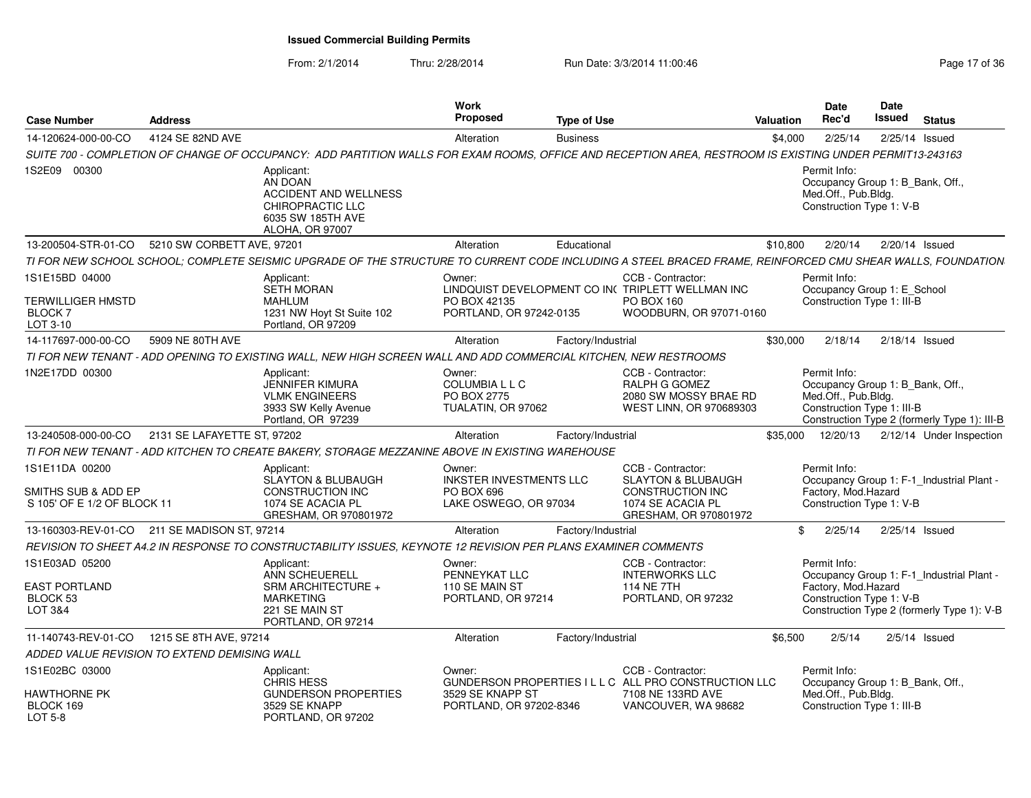| <b>Case Number</b>                                                      | <b>Address</b>   |                                                                                                                                                            | Work<br>Proposed                                                                | <b>Type of Use</b> |                                                                                                                             | Valuation | <b>Date</b><br>Rec'd                                                                                  | <b>Date</b><br>Issued | <b>Status</b>                                                                           |
|-------------------------------------------------------------------------|------------------|------------------------------------------------------------------------------------------------------------------------------------------------------------|---------------------------------------------------------------------------------|--------------------|-----------------------------------------------------------------------------------------------------------------------------|-----------|-------------------------------------------------------------------------------------------------------|-----------------------|-----------------------------------------------------------------------------------------|
| 14-120624-000-00-CO                                                     | 4124 SE 82ND AVE |                                                                                                                                                            | Alteration                                                                      | <b>Business</b>    |                                                                                                                             | \$4,000   | 2/25/14  2/25/14  Issued                                                                              |                       |                                                                                         |
|                                                                         |                  | SUITE 700 - COMPLETION OF CHANGE OF OCCUPANCY: ADD PARTITION WALLS FOR EXAM ROOMS, OFFICE AND RECEPTION AREA, RESTROOM IS EXISTING UNDER PERMIT13-243163   |                                                                                 |                    |                                                                                                                             |           |                                                                                                       |                       |                                                                                         |
| 1S2E09 00300                                                            |                  | Applicant:<br>AN DOAN<br><b>ACCIDENT AND WELLNESS</b><br>CHIROPRACTIC LLC<br>6035 SW 185TH AVE<br><b>ALOHA, OR 97007</b>                                   |                                                                                 |                    |                                                                                                                             |           | Permit Info:<br>Occupancy Group 1: B_Bank, Off.<br>Med.Off., Pub.Bldg.<br>Construction Type 1: V-B    |                       |                                                                                         |
| 13-200504-STR-01-CO 5210 SW CORBETT AVE, 97201                          |                  |                                                                                                                                                            | Alteration                                                                      | Educational        |                                                                                                                             | \$10.800  | 2/20/14  2/20/14  Issued                                                                              |                       |                                                                                         |
|                                                                         |                  | TI FOR NEW SCHOOL SCHOOL; COMPLETE SEISMIC UPGRADE OF THE STRUCTURE TO CURRENT CODE INCLUDING A STEEL BRACED FRAME, REINFORCED CMU SHEAR WALLS, FOUNDATION |                                                                                 |                    |                                                                                                                             |           |                                                                                                       |                       |                                                                                         |
| 1S1E15BD 04000<br><b>TERWILLIGER HMSTD</b><br><b>BLOCK7</b><br>LOT 3-10 |                  | Applicant:<br>SETH MORAN<br><b>MAHLUM</b><br>1231 NW Hoyt St Suite 102<br>Portland, OR 97209                                                               | Owner:<br>PO BOX 42135<br>PORTLAND, OR 97242-0135                               |                    | CCB - Contractor<br>LINDQUIST DEVELOPMENT CO IN( TRIPLETT WELLMAN INC<br>PO BOX 160<br>WOODBURN, OR 97071-0160              |           | Permit Info:<br>Occupancy Group 1: E_School<br>Construction Type 1: III-B                             |                       |                                                                                         |
| 14-117697-000-00-CO                                                     | 5909 NE 80TH AVE |                                                                                                                                                            | Alteration                                                                      | Factory/Industrial |                                                                                                                             | \$30,000  | 2/18/14  2/18/14  Issued                                                                              |                       |                                                                                         |
|                                                                         |                  | TI FOR NEW TENANT - ADD OPENING TO EXISTING WALL, NEW HIGH SCREEN WALL AND ADD COMMERCIAL KITCHEN, NEW RESTROOMS                                           |                                                                                 |                    |                                                                                                                             |           |                                                                                                       |                       |                                                                                         |
| 1N2E17DD 00300                                                          |                  | Applicant:<br>JENNIFER KIMURA<br><b>VLMK ENGINEERS</b><br>3933 SW Kelly Avenue<br>Portland, OR 97239                                                       | Owner:<br>COLUMBIA L L C<br>PO BOX 2775<br>TUALATIN, OR 97062                   |                    | CCB - Contractor:<br>RALPH G GOMEZ<br>2080 SW MOSSY BRAE RD<br>WEST LINN, OR 970689303                                      |           | Permit Info:<br>Occupancy Group 1: B Bank, Off.,<br>Med.Off., Pub.Bldg.<br>Construction Type 1: III-B |                       | Construction Type 2 (formerly Type 1): III-B                                            |
| 13-240508-000-00-CO 2131 SE LAFAYETTE ST. 97202                         |                  |                                                                                                                                                            | Alteration                                                                      | Factory/Industrial |                                                                                                                             |           |                                                                                                       |                       | \$35,000  12/20/13  2/12/14  Under Inspection                                           |
|                                                                         |                  | TI FOR NEW TENANT - ADD KITCHEN TO CREATE BAKERY, STORAGE MEZZANINE ABOVE IN EXISTING WAREHOUSE                                                            |                                                                                 |                    |                                                                                                                             |           |                                                                                                       |                       |                                                                                         |
| 1S1E11DA 00200<br>SMITHS SUB & ADD EP<br>S 105' OF E 1/2 OF BLOCK 11    |                  | Applicant:<br>SLAYTON & BLUBAUGH<br><b>CONSTRUCTION INC</b><br>1074 SE ACACIA PL<br>GRESHAM, OR 970801972                                                  | Owner:<br><b>INKSTER INVESTMENTS LLC</b><br>PO BOX 696<br>LAKE OSWEGO, OR 97034 |                    | CCB - Contractor:<br><b>SLAYTON &amp; BLUBAUGH</b><br><b>CONSTRUCTION INC</b><br>1074 SE ACACIA PL<br>GRESHAM, OR 970801972 |           | Permit Info:<br>Factory, Mod.Hazard<br>Construction Type 1: V-B                                       |                       | Occupancy Group 1: F-1_Industrial Plant -                                               |
| 13-160303-REV-01-CO 211 SE MADISON ST, 97214                            |                  |                                                                                                                                                            | Alteration                                                                      | Factory/Industrial |                                                                                                                             |           | \$ 2/25/14 2/25/14 Issued                                                                             |                       |                                                                                         |
|                                                                         |                  | REVISION TO SHEET A4.2 IN RESPONSE TO CONSTRUCTABILITY ISSUES, KEYNOTE 12 REVISION PER PLANS EXAMINER COMMENTS                                             |                                                                                 |                    |                                                                                                                             |           |                                                                                                       |                       |                                                                                         |
| 1S1E03AD 05200<br><b>EAST PORTLAND</b><br>BLOCK 53<br>LOT 3&4           |                  | Applicant:<br>ANN SCHEUERELL<br>SRM ARCHITECTURE +<br><b>MARKETING</b><br>221 SE MAIN ST<br>PORTLAND, OR 97214                                             | Owner:<br>PENNEYKAT LLC<br>110 SE MAIN ST<br>PORTLAND, OR 97214                 |                    | CCB - Contractor:<br><b>INTERWORKS LLC</b><br><b>114 NE 7TH</b><br>PORTLAND. OR 97232                                       |           | Permit Info:<br>Factory, Mod. Hazard<br>Construction Type 1: V-B                                      |                       | Occupancy Group 1: F-1_Industrial Plant -<br>Construction Type 2 (formerly Type 1): V-B |
| 11-140743-REV-01-CO  1215 SE 8TH AVE, 97214                             |                  |                                                                                                                                                            | Alteration                                                                      | Factory/Industrial |                                                                                                                             | \$6.500   | 2/5/14                                                                                                |                       | $2/5/14$ Issued                                                                         |
| ADDED VALUE REVISION TO EXTEND DEMISING WALL                            |                  |                                                                                                                                                            |                                                                                 |                    |                                                                                                                             |           |                                                                                                       |                       |                                                                                         |
| 1S1E02BC 03000<br><b>HAWTHORNE PK</b><br>BLOCK 169<br><b>LOT 5-8</b>    |                  | Applicant:<br>CHRIS HESS<br><b>GUNDERSON PROPERTIES</b><br>3529 SE KNAPP<br>PORTLAND, OR 97202                                                             | Owner:<br>3529 SE KNAPP ST<br>PORTLAND, OR 97202-8346                           |                    | CCB - Contractor<br>GUNDERSON PROPERTIES I L L C ALL PRO CONSTRUCTION LLC<br>7108 NE 133RD AVE<br>VANCOUVER, WA 98682       |           | Permit Info:<br>Occupancy Group 1: B_Bank, Off.,<br>Med.Off., Pub.Bldg.<br>Construction Type 1: III-B |                       |                                                                                         |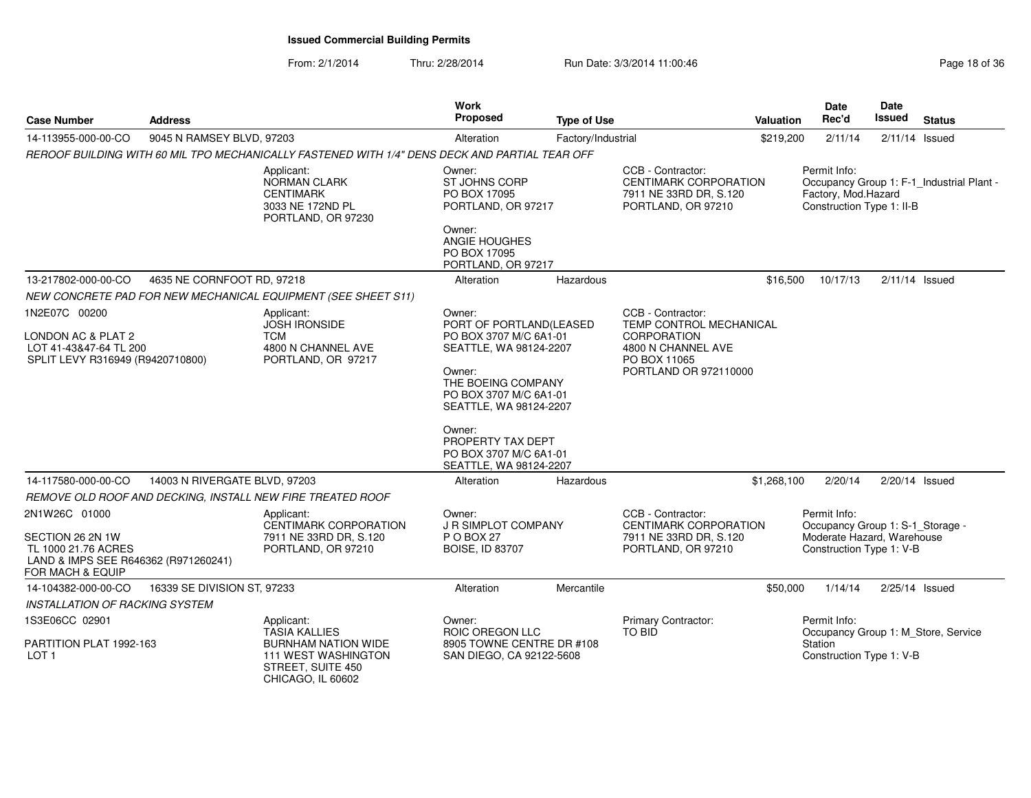| <b>Case Number</b>                                                                                  | <b>Address</b>                |                                                                                                | Work<br>Proposed                                                                      | <b>Type of Use</b> |                                                                                                                     | Valuation   | Date<br>Rec'd                                                    | Date<br><b>Issued</b> | <b>Status</b>                             |
|-----------------------------------------------------------------------------------------------------|-------------------------------|------------------------------------------------------------------------------------------------|---------------------------------------------------------------------------------------|--------------------|---------------------------------------------------------------------------------------------------------------------|-------------|------------------------------------------------------------------|-----------------------|-------------------------------------------|
| 14-113955-000-00-CO                                                                                 | 9045 N RAMSEY BLVD, 97203     |                                                                                                | Alteration                                                                            | Factory/Industrial |                                                                                                                     | \$219,200   | 2/11/14                                                          | $2/11/14$ Issued      |                                           |
|                                                                                                     |                               | REROOF BUILDING WITH 60 MIL TPO MECHANICALLY FASTENED WITH 1/4" DENS DECK AND PARTIAL TEAR OFF |                                                                                       |                    |                                                                                                                     |             |                                                                  |                       |                                           |
|                                                                                                     |                               | Applicant:<br>NORMAN CLARK<br><b>CENTIMARK</b><br>3033 NE 172ND PL<br>PORTLAND, OR 97230       | Owner:<br>ST JOHNS CORP<br>PO BOX 17095<br>PORTLAND, OR 97217                         |                    | CCB - Contractor:<br><b>CENTIMARK CORPORATION</b><br>7911 NE 33RD DR, S.120<br>PORTLAND, OR 97210                   |             | Permit Info:<br>Factory, Mod.Hazard<br>Construction Type 1: II-B |                       | Occupancy Group 1: F-1 Industrial Plant - |
|                                                                                                     |                               |                                                                                                | Owner:<br>ANGIE HOUGHES<br>PO BOX 17095<br>PORTLAND, OR 97217                         |                    |                                                                                                                     |             |                                                                  |                       |                                           |
| 13-217802-000-00-CO                                                                                 | 4635 NE CORNFOOT RD, 97218    |                                                                                                | Alteration                                                                            | Hazardous          |                                                                                                                     | \$16,500    | 10/17/13                                                         | $2/11/14$ Issued      |                                           |
|                                                                                                     |                               | <b>NEW CONCRETE PAD FOR NEW MECHANICAL EQUIPMENT (SEE SHEET S11)</b>                           |                                                                                       |                    |                                                                                                                     |             |                                                                  |                       |                                           |
| 1N2E07C 00200                                                                                       |                               | Applicant:                                                                                     | Owner:                                                                                |                    | CCB - Contractor:                                                                                                   |             |                                                                  |                       |                                           |
| LONDON AC & PLAT 2<br>LOT 41-43&47-64 TL 200<br>SPLIT LEVY R316949 (R9420710800)                    |                               | <b>JOSH IRONSIDE</b><br><b>TCM</b><br>4800 N CHANNEL AVE<br>PORTLAND, OR 97217                 | PORT OF PORTLAND(LEASED<br>PO BOX 3707 M/C 6A1-01<br>SEATTLE, WA 98124-2207<br>Owner: |                    | <b>TEMP CONTROL MECHANICAL</b><br><b>CORPORATION</b><br>4800 N CHANNEL AVE<br>PO BOX 11065<br>PORTLAND OR 972110000 |             |                                                                  |                       |                                           |
|                                                                                                     |                               |                                                                                                | THE BOEING COMPANY<br>PO BOX 3707 M/C 6A1-01<br>SEATTLE, WA 98124-2207                |                    |                                                                                                                     |             |                                                                  |                       |                                           |
|                                                                                                     |                               |                                                                                                | Owner:<br>PROPERTY TAX DEPT<br>PO BOX 3707 M/C 6A1-01<br>SEATTLE, WA 98124-2207       |                    |                                                                                                                     |             |                                                                  |                       |                                           |
| 14-117580-000-00-CO                                                                                 | 14003 N RIVERGATE BLVD, 97203 |                                                                                                | Alteration                                                                            | Hazardous          |                                                                                                                     | \$1,268,100 | 2/20/14                                                          | $2/20/14$ Issued      |                                           |
|                                                                                                     |                               | REMOVE OLD ROOF AND DECKING, INSTALL NEW FIRE TREATED ROOF                                     |                                                                                       |                    |                                                                                                                     |             |                                                                  |                       |                                           |
| 2N1W26C 01000                                                                                       |                               | Applicant:<br><b>CENTIMARK CORPORATION</b>                                                     | Owner:<br><b>J R SIMPLOT COMPANY</b>                                                  |                    | CCB - Contractor:<br><b>CENTIMARK CORPORATION</b>                                                                   |             | Permit Info:<br>Occupancy Group 1: S-1 Storage -                 |                       |                                           |
| SECTION 26 2N 1W<br>TL 1000 21.76 ACRES<br>LAND & IMPS SEE R646362 (R971260241)<br>FOR MACH & EQUIP |                               | 7911 NE 33RD DR, S.120<br>PORTLAND, OR 97210                                                   | P O BOX 27<br><b>BOISE, ID 83707</b>                                                  |                    | 7911 NE 33RD DR, S.120<br>PORTLAND, OR 97210                                                                        |             | Moderate Hazard, Warehouse<br>Construction Type 1: V-B           |                       |                                           |
| 14-104382-000-00-CO                                                                                 | 16339 SE DIVISION ST, 97233   |                                                                                                | Alteration                                                                            | Mercantile         |                                                                                                                     | \$50,000    | 1/14/14                                                          | 2/25/14 Issued        |                                           |
| <b>INSTALLATION OF RACKING SYSTEM</b>                                                               |                               |                                                                                                |                                                                                       |                    |                                                                                                                     |             |                                                                  |                       |                                           |
| 1S3E06CC 02901                                                                                      |                               | Applicant:<br><b>TASIA KALLIES</b>                                                             | Owner:<br>ROIC OREGON LLC                                                             |                    | Primary Contractor:<br>TO BID                                                                                       |             | Permit Info:<br>Occupancy Group 1: M Store, Service              |                       |                                           |
| PARTITION PLAT 1992-163<br>LOT <sub>1</sub>                                                         |                               | <b>BURNHAM NATION WIDE</b><br>111 WEST WASHINGTON<br>STREET, SUITE 450<br>CHICAGO, IL 60602    | 8905 TOWNE CENTRE DR #108<br>SAN DIEGO, CA 92122-5608                                 |                    |                                                                                                                     |             | Station<br>Construction Type 1: V-B                              |                       |                                           |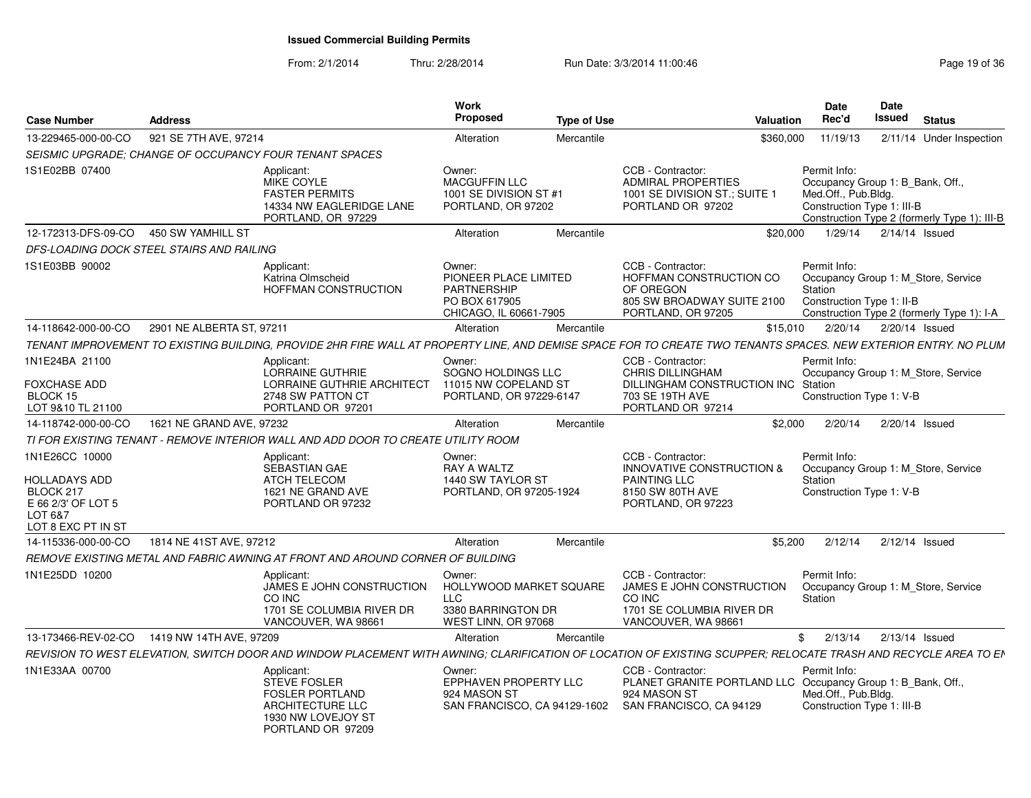| Case Number                                                                                                | <b>Address</b>                            |                                                                                                                            | Work<br>Proposed                                                                                 | <b>Type of Use</b> | Valuation                                                                                                                                                       | <b>Date</b><br>Rec'd                                                                                  | Date<br>Issued   | <b>Status</b>                                |
|------------------------------------------------------------------------------------------------------------|-------------------------------------------|----------------------------------------------------------------------------------------------------------------------------|--------------------------------------------------------------------------------------------------|--------------------|-----------------------------------------------------------------------------------------------------------------------------------------------------------------|-------------------------------------------------------------------------------------------------------|------------------|----------------------------------------------|
| 13-229465-000-00-CO                                                                                        | 921 SE 7TH AVE, 97214                     |                                                                                                                            | Alteration                                                                                       | Mercantile         | \$360,000                                                                                                                                                       | 11/19/13                                                                                              |                  | 2/11/14 Under Inspection                     |
|                                                                                                            |                                           | SEISMIC UPGRADE: CHANGE OF OCCUPANCY FOUR TENANT SPACES                                                                    |                                                                                                  |                    |                                                                                                                                                                 |                                                                                                       |                  |                                              |
| 1S1E02BB 07400                                                                                             |                                           | Applicant:<br>MIKE COYLE<br><b>FASTER PERMITS</b><br>14334 NW EAGLERIDGE LANE<br>PORTLAND, OR 97229                        | Owner:<br><b>MACGUFFIN LLC</b><br>1001 SE DIVISION ST #1<br>PORTLAND, OR 97202                   |                    | CCB - Contractor:<br><b>ADMIRAL PROPERTIES</b><br>1001 SE DIVISION ST.; SUITE 1<br>PORTLAND OR 97202                                                            | Permit Info:<br>Occupancy Group 1: B_Bank, Off.,<br>Med.Off., Pub.Bldg.<br>Construction Type 1: III-B |                  | Construction Type 2 (formerly Type 1): III-B |
| 12-172313-DFS-09-CO                                                                                        | 450 SW YAMHILL ST                         |                                                                                                                            | Alteration                                                                                       | Mercantile         | \$20,000                                                                                                                                                        | 1/29/14                                                                                               | 2/14/14 Issued   |                                              |
|                                                                                                            | DFS-LOADING DOCK STEEL STAIRS AND RAILING |                                                                                                                            |                                                                                                  |                    |                                                                                                                                                                 |                                                                                                       |                  |                                              |
| 1S1E03BB 90002                                                                                             |                                           | Applicant:<br>Katrina Olmscheid<br><b>HOFFMAN CONSTRUCTION</b>                                                             | Owner:<br>PIONEER PLACE LIMITED<br><b>PARTNERSHIP</b><br>PO BOX 617905<br>CHICAGO, IL 60661-7905 |                    | CCB - Contractor:<br>HOFFMAN CONSTRUCTION CO<br>OF OREGON<br>805 SW BROADWAY SUITE 2100<br>PORTLAND, OR 97205                                                   | Permit Info:<br>Occupancy Group 1: M Store, Service<br>Station<br>Construction Type 1: II-B           |                  | Construction Type 2 (formerly Type 1): I-A   |
| 14-118642-000-00-CO                                                                                        | 2901 NE ALBERTA ST, 97211                 |                                                                                                                            | Alteration                                                                                       | Mercantile         | \$15.010                                                                                                                                                        | 2/20/14                                                                                               | 2/20/14 Issued   |                                              |
|                                                                                                            |                                           |                                                                                                                            |                                                                                                  |                    | TENANT IMPROVEMENT TO EXISTING BUILDING, PROVIDE 2HR FIRE WALL AT PROPERTY LINE, AND DEMISE SPACE FOR TO CREATE TWO TENANTS SPACES. NEW EXTERIOR ENTRY. NO PLUM |                                                                                                       |                  |                                              |
| 1N1E24BA 21100                                                                                             |                                           | Applicant:                                                                                                                 | Owner:                                                                                           |                    | CCB - Contractor:                                                                                                                                               | Permit Info:                                                                                          |                  |                                              |
| <b>FOXCHASE ADD</b><br>BLOCK 15<br>LOT 9&10 TL 21100                                                       |                                           | LORRAINE GUTHRIE<br><b>LORRAINE GUTHRIE ARCHITECT</b><br>2748 SW PATTON CT<br>PORTLAND OR 97201                            | SOGNO HOLDINGS LLC<br>11015 NW COPELAND ST<br>PORTLAND, OR 97229-6147                            |                    | <b>CHRIS DILLINGHAM</b><br>DILLINGHAM CONSTRUCTION INC Station<br>703 SE 19TH AVE<br>PORTLAND OR 97214                                                          | Occupancy Group 1: M Store, Service<br>Construction Type 1: V-B                                       |                  |                                              |
| 14-118742-000-00-CO                                                                                        | 1621 NE GRAND AVE, 97232                  |                                                                                                                            | Alteration                                                                                       | Mercantile         | \$2,000                                                                                                                                                         | 2/20/14                                                                                               |                  | 2/20/14 Issued                               |
|                                                                                                            |                                           | TI FOR EXISTING TENANT - REMOVE INTERIOR WALL AND ADD DOOR TO CREATE UTILITY ROOM                                          |                                                                                                  |                    |                                                                                                                                                                 |                                                                                                       |                  |                                              |
| 1N1E26CC 10000<br><b>HOLLADAYS ADD</b><br>BLOCK 217<br>E 66 2/3' OF LOT 5<br>LOT 6&7<br>LOT 8 EXC PT IN ST |                                           | Applicant:<br>SEBASTIAN GAE<br><b>ATCH TELECOM</b><br>1621 NE GRAND AVE<br>PORTLAND OR 97232                               | Owner:<br>RAY A WALTZ<br>1440 SW TAYLOR ST<br>PORTLAND, OR 97205-1924                            |                    | CCB - Contractor:<br><b>INNOVATIVE CONSTRUCTION &amp;</b><br><b>PAINTING LLC</b><br>8150 SW 80TH AVE<br>PORTLAND, OR 97223                                      | Permit Info:<br>Occupancy Group 1: M Store, Service<br>Station<br>Construction Type 1: V-B            |                  |                                              |
| 14-115336-000-00-CO                                                                                        | 1814 NE 41ST AVE, 97212                   |                                                                                                                            | Alteration                                                                                       | Mercantile         | \$5,200                                                                                                                                                         | 2/12/14                                                                                               | $2/12/14$ Issued |                                              |
|                                                                                                            |                                           | REMOVE EXISTING METAL AND FABRIC AWNING AT FRONT AND AROUND CORNER OF BUILDING                                             |                                                                                                  |                    |                                                                                                                                                                 |                                                                                                       |                  |                                              |
| 1N1E25DD 10200                                                                                             |                                           | Applicant:<br>JAMES E JOHN CONSTRUCTION<br>CO INC<br>1701 SE COLUMBIA RIVER DR<br>VANCOUVER, WA 98661                      | Owner:<br>HOLLYWOOD MARKET SQUARE<br>LLC<br>3380 BARRINGTON DR<br>WEST LINN, OR 97068            |                    | CCB - Contractor:<br>JAMES E JOHN CONSTRUCTION<br>CO INC<br>1701 SE COLUMBIA RIVER DR<br>VANCOUVER, WA 98661                                                    | Permit Info:<br>Occupancy Group 1: M Store, Service<br>Station                                        |                  |                                              |
| 13-173466-REV-02-CO                                                                                        | 1419 NW 14TH AVE, 97209                   |                                                                                                                            | Alteration                                                                                       | Mercantile         |                                                                                                                                                                 | \$2/13/14                                                                                             | $2/13/14$ Issued |                                              |
|                                                                                                            |                                           |                                                                                                                            |                                                                                                  |                    | REVISION TO WEST ELEVATION. SWITCH DOOR AND WINDOW PLACEMENT WITH AWNING: CLARIFICATION OF LOCATION OF EXISTING SCUPPER: RELOCATE TRASH AND RECYCLE AREA TO EN  |                                                                                                       |                  |                                              |
| 1N1E33AA 00700                                                                                             |                                           | Applicant:<br><b>STEVE FOSLER</b><br><b>FOSLER PORTLAND</b><br>ARCHITECTURE LLC<br>1930 NW LOVEJOY ST<br>PORTLAND OR 97209 | Owner:<br><b>EPPHAVEN PROPERTY LLC</b><br>924 MASON ST<br>SAN FRANCISCO, CA 94129-1602           |                    | CCB - Contractor:<br>PLANET GRANITE PORTLAND LLC Occupancy Group 1: B Bank, Off.,<br>924 MASON ST<br>SAN FRANCISCO, CA 94129                                    | Permit Info:<br>Med.Off., Pub.Bldg.<br>Construction Type 1: III-B                                     |                  |                                              |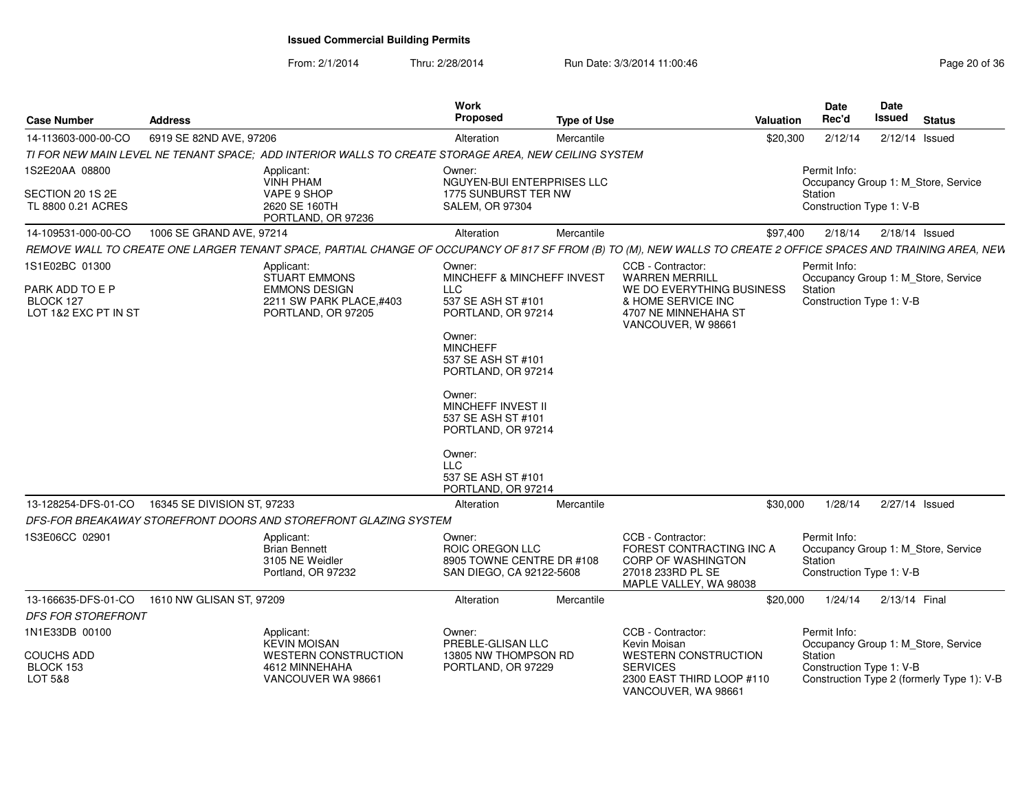From: 2/1/2014

| <b>Case Number</b>                                   | <b>Address</b>                                                                                                                                                   | Work<br>Proposed                                                                                                                                  | <b>Type of Use</b> |                                                                                                                    | Valuation | Date<br>Rec'd                                       | Date<br><b>Issued</b> | <b>Status</b>                              |
|------------------------------------------------------|------------------------------------------------------------------------------------------------------------------------------------------------------------------|---------------------------------------------------------------------------------------------------------------------------------------------------|--------------------|--------------------------------------------------------------------------------------------------------------------|-----------|-----------------------------------------------------|-----------------------|--------------------------------------------|
| 14-113603-000-00-CO                                  | 6919 SE 82ND AVE, 97206                                                                                                                                          | Alteration                                                                                                                                        | Mercantile         |                                                                                                                    | \$20,300  | 2/12/14                                             | 2/12/14 Issued        |                                            |
|                                                      | TI FOR NEW MAIN LEVEL NE TENANT SPACE; ADD INTERIOR WALLS TO CREATE STORAGE AREA, NEW CEILING SYSTEM                                                             |                                                                                                                                                   |                    |                                                                                                                    |           |                                                     |                       |                                            |
| 1S2E20AA 08800                                       | Applicant:<br><b>VINH PHAM</b>                                                                                                                                   | Owner:<br>NGUYEN-BUI ENTERPRISES LLC                                                                                                              |                    |                                                                                                                    |           | Permit Info:                                        |                       | Occupancy Group 1: M Store, Service        |
| SECTION 20 1S 2E<br>TL 8800 0.21 ACRES               | VAPE 9 SHOP<br>2620 SE 160TH<br>PORTLAND, OR 97236                                                                                                               | 1775 SUNBURST TER NW<br><b>SALEM, OR 97304</b>                                                                                                    |                    |                                                                                                                    |           | Station<br>Construction Type 1: V-B                 |                       |                                            |
| 14-109531-000-00-CO                                  | 1006 SE GRAND AVE, 97214                                                                                                                                         | Alteration                                                                                                                                        | Mercantile         |                                                                                                                    | \$97,400  | 2/18/14                                             | 2/18/14 Issued        |                                            |
|                                                      | REMOVE WALL TO CREATE ONE LARGER TENANT SPACE, PARTIAL CHANGE OF OCCUPANCY OF 817 SF FROM (B) TO (M), NEW WALLS TO CREATE 2 OFFICE SPACES AND TRAINING AREA, NEW |                                                                                                                                                   |                    |                                                                                                                    |           |                                                     |                       |                                            |
| 1S1E02BC 01300                                       | Applicant:<br><b>STUART EMMONS</b>                                                                                                                               | Owner:<br>MINCHEFF & MINCHEFF INVEST                                                                                                              |                    | CCB - Contractor:<br><b>WARREN MERRILL</b>                                                                         |           | Permit Info:                                        |                       | Occupancy Group 1: M_Store, Service        |
| PARK ADD TO E P<br>BLOCK 127<br>LOT 1&2 EXC PT IN ST | <b>EMMONS DESIGN</b><br>2211 SW PARK PLACE.#403<br>PORTLAND, OR 97205                                                                                            | <b>LLC</b><br>537 SE ASH ST #101<br>PORTLAND, OR 97214                                                                                            |                    | WE DO EVERYTHING BUSINESS<br>& HOME SERVICE INC<br>4707 NE MINNEHAHA ST<br>VANCOUVER, W 98661                      |           | Station<br>Construction Type 1: V-B                 |                       |                                            |
|                                                      |                                                                                                                                                                  | Owner:<br><b>MINCHEFF</b><br>537 SE ASH ST #101<br>PORTLAND, OR 97214<br>Owner:<br>MINCHEFF INVEST II<br>537 SE ASH ST #101<br>PORTLAND, OR 97214 |                    |                                                                                                                    |           |                                                     |                       |                                            |
|                                                      |                                                                                                                                                                  | Owner:<br><b>LLC</b><br>537 SE ASH ST #101<br>PORTLAND, OR 97214                                                                                  |                    |                                                                                                                    |           |                                                     |                       |                                            |
| 13-128254-DFS-01-CO                                  | 16345 SE DIVISION ST, 97233                                                                                                                                      | Alteration                                                                                                                                        | Mercantile         |                                                                                                                    | \$30,000  | 1/28/14                                             | 2/27/14 Issued        |                                            |
|                                                      | DFS-FOR BREAKAWAY STOREFRONT DOORS AND STOREFRONT GLAZING SYSTEM                                                                                                 |                                                                                                                                                   |                    |                                                                                                                    |           |                                                     |                       |                                            |
| 1S3E06CC 02901                                       | Applicant:<br><b>Brian Bennett</b><br>3105 NE Weidler<br>Portland, OR 97232                                                                                      | Owner:<br>ROIC OREGON LLC<br>8905 TOWNE CENTRE DR #108<br>SAN DIEGO, CA 92122-5608                                                                |                    | CCB - Contractor:<br>FOREST CONTRACTING INC A<br>CORP OF WASHINGTON<br>27018 233RD PL SE<br>MAPLE VALLEY, WA 98038 |           | Permit Info:<br>Station<br>Construction Type 1: V-B |                       | Occupancy Group 1: M_Store, Service        |
| 13-166635-DFS-01-CO                                  | 1610 NW GLISAN ST, 97209                                                                                                                                         | Alteration                                                                                                                                        | Mercantile         |                                                                                                                    | \$20,000  | 1/24/14                                             | 2/13/14 Final         |                                            |
| DFS FOR STOREFRONT                                   |                                                                                                                                                                  |                                                                                                                                                   |                    |                                                                                                                    |           |                                                     |                       |                                            |
| 1N1E33DB 00100                                       | Applicant:<br><b>KEVIN MOISAN</b>                                                                                                                                | Owner:<br>PREBLE-GLISAN LLC                                                                                                                       |                    | CCB - Contractor:<br>Kevin Moisan                                                                                  |           | Permit Info:                                        |                       | Occupancy Group 1: M_Store, Service        |
| <b>COUCHS ADD</b><br>BLOCK 153<br>LOT 5&8            | <b>WESTERN CONSTRUCTION</b><br>4612 MINNEHAHA<br>VANCOUVER WA 98661                                                                                              | 13805 NW THOMPSON RD<br>PORTLAND, OR 97229                                                                                                        |                    | <b>WESTERN CONSTRUCTION</b><br><b>SERVICES</b><br>2300 EAST THIRD LOOP #110<br>VANCOUVER, WA 98661                 |           | Station<br>Construction Type 1: V-B                 |                       | Construction Type 2 (formerly Type 1): V-B |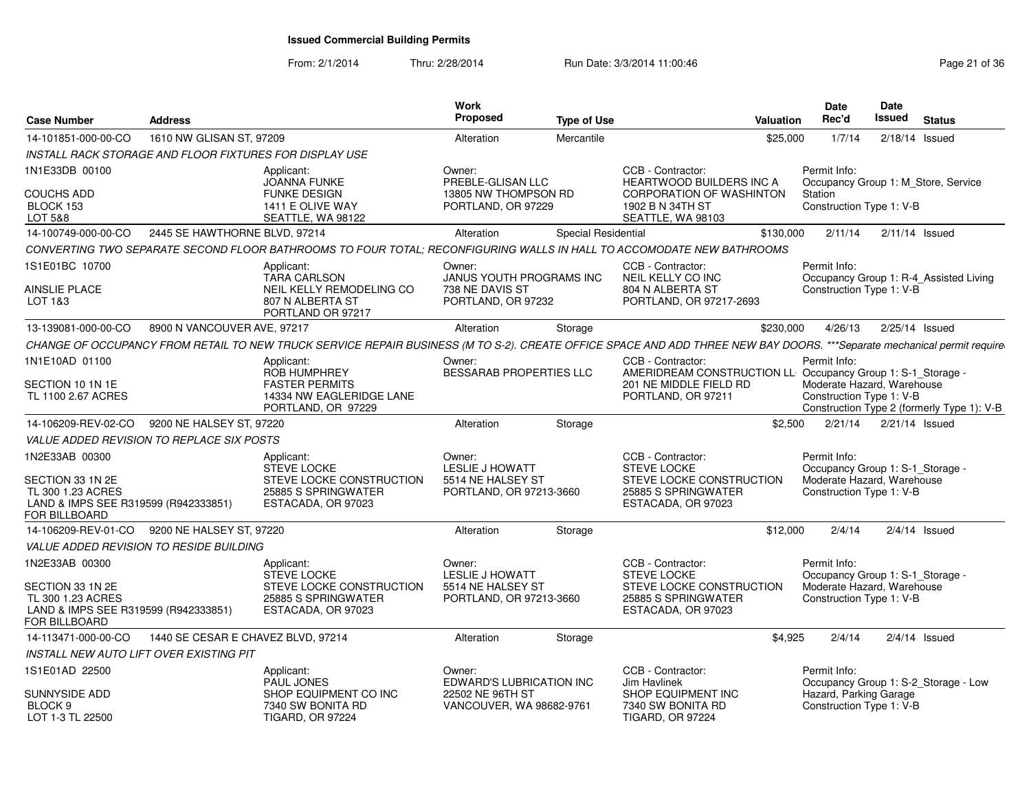| <b>Case Number</b>                                                                             | <b>Address</b>                                          |                                                                                                                                                                         | Work<br><b>Proposed</b>                      | <b>Type of Use</b>         |                                                                                  | <b>Valuation</b> | <b>Date</b><br>Rec'd                                   | <b>Date</b><br>Issued |                  | <b>Status</b>                              |
|------------------------------------------------------------------------------------------------|---------------------------------------------------------|-------------------------------------------------------------------------------------------------------------------------------------------------------------------------|----------------------------------------------|----------------------------|----------------------------------------------------------------------------------|------------------|--------------------------------------------------------|-----------------------|------------------|--------------------------------------------|
| 14-101851-000-00-CO                                                                            | 1610 NW GLISAN ST, 97209                                |                                                                                                                                                                         | Alteration                                   | Mercantile                 |                                                                                  | \$25,000         | 1/7/14                                                 |                       | $2/18/14$ Issued |                                            |
|                                                                                                | INSTALL RACK STORAGE AND FLOOR FIXTURES FOR DISPLAY USE |                                                                                                                                                                         |                                              |                            |                                                                                  |                  |                                                        |                       |                  |                                            |
| 1N1E33DB 00100                                                                                 |                                                         | Applicant:<br><b>JOANNA FUNKE</b>                                                                                                                                       | Owner:<br>PREBLE-GLISAN LLC                  |                            | CCB - Contractor:<br><b>HEARTWOOD BUILDERS INC A</b>                             |                  | Permit Info:<br>Occupancy Group 1: M Store, Service    |                       |                  |                                            |
| <b>COUCHS ADD</b><br>BLOCK 153<br>LOT 5&8                                                      |                                                         | <b>FUNKE DESIGN</b><br>1411 E OLIVE WAY<br>SEATTLE, WA 98122                                                                                                            | 13805 NW THOMPSON RD<br>PORTLAND, OR 97229   |                            | <b>CORPORATION OF WASHINTON</b><br>1902 B N 34TH ST<br>SEATTLE, WA 98103         |                  | Station<br>Construction Type 1: V-B                    |                       |                  |                                            |
| 14-100749-000-00-CO                                                                            | 2445 SE HAWTHORNE BLVD, 97214                           |                                                                                                                                                                         | Alteration                                   | <b>Special Residential</b> |                                                                                  | \$130,000        | 2/11/14                                                |                       | $2/11/14$ Issued |                                            |
|                                                                                                |                                                         | CONVERTING TWO SEPARATE SECOND FLOOR BATHROOMS TO FOUR TOTAL; RECONFIGURING WALLS IN HALL TO ACCOMODATE NEW BATHROOMS                                                   |                                              |                            |                                                                                  |                  |                                                        |                       |                  |                                            |
| 1S1E01BC 10700                                                                                 |                                                         | Applicant:<br><b>TARA CARLSON</b>                                                                                                                                       | Owner:<br>JANUS YOUTH PROGRAMS INC           |                            | CCB - Contractor:<br>NEIL KELLY CO INC                                           |                  | Permit Info:                                           |                       |                  | Occupancy Group 1: R-4_Assisted Living     |
| <b>AINSLIE PLACE</b><br>LOT 1&3                                                                |                                                         | NEIL KELLY REMODELING CO<br>807 N ALBERTA ST<br>PORTLAND OR 97217                                                                                                       | 738 NE DAVIS ST<br>PORTLAND, OR 97232        |                            | 804 N ALBERTA ST<br>PORTLAND, OR 97217-2693                                      |                  | Construction Type 1: V-B                               |                       |                  |                                            |
| 13-139081-000-00-CO                                                                            | 8900 N VANCOUVER AVE, 97217                             |                                                                                                                                                                         | Alteration                                   | Storage                    |                                                                                  | \$230,000        | 4/26/13                                                |                       | 2/25/14 Issued   |                                            |
|                                                                                                |                                                         | CHANGE OF OCCUPANCY FROM RETAIL TO NEW TRUCK SERVICE REPAIR BUSINESS (M TO S-2). CREATE OFFICE SPACE AND ADD THREE NEW BAY DOORS. ***Separate mechanical permit require |                                              |                            |                                                                                  |                  |                                                        |                       |                  |                                            |
| 1N1E10AD 01100                                                                                 |                                                         | Applicant:<br>ROB HUMPHREY                                                                                                                                              | Owner:<br><b>BESSARAB PROPERTIES LLC</b>     |                            | CCB - Contractor:<br>AMERIDREAM CONSTRUCTION LL Occupancy Group 1: S-1_Storage - |                  | Permit Info:                                           |                       |                  |                                            |
| SECTION 10 1N 1E<br>TL 1100 2.67 ACRES                                                         |                                                         | <b>FASTER PERMITS</b><br>14334 NW EAGLERIDGE LANE<br>PORTLAND, OR 97229                                                                                                 |                                              |                            | 201 NE MIDDLE FIELD RD<br>PORTLAND, OR 97211                                     |                  | Moderate Hazard, Warehouse<br>Construction Type 1: V-B |                       |                  | Construction Type 2 (formerly Type 1): V-B |
| 14-106209-REV-02-CO                                                                            | 9200 NE HALSEY ST, 97220                                |                                                                                                                                                                         | Alteration                                   | Storage                    |                                                                                  | \$2,500          | 2/21/14                                                |                       | $2/21/14$ Issued |                                            |
|                                                                                                | <b>VALUE ADDED REVISION TO REPLACE SIX POSTS</b>        |                                                                                                                                                                         |                                              |                            |                                                                                  |                  |                                                        |                       |                  |                                            |
| 1N2E33AB 00300                                                                                 |                                                         | Applicant:<br>STEVE LOCKE                                                                                                                                               | Owner:<br><b>LESLIE J HOWATT</b>             |                            | CCB - Contractor:<br><b>STEVE LOCKE</b>                                          |                  | Permit Info:<br>Occupancy Group 1: S-1_Storage -       |                       |                  |                                            |
| SECTION 33 1N 2E<br>TL 300 1.23 ACRES<br>LAND & IMPS SEE R319599 (R942333851)<br>FOR BILLBOARD |                                                         | STEVE LOCKE CONSTRUCTION<br>25885 S SPRINGWATER<br>ESTACADA, OR 97023                                                                                                   | 5514 NE HALSEY ST<br>PORTLAND, OR 97213-3660 |                            | STEVE LOCKE CONSTRUCTION<br>25885 S SPRINGWATER<br>ESTACADA, OR 97023            |                  | Moderate Hazard, Warehouse<br>Construction Type 1: V-B |                       |                  |                                            |
| 14-106209-REV-01-CO                                                                            | 9200 NE HALSEY ST, 97220                                |                                                                                                                                                                         | Alteration                                   | Storage                    |                                                                                  | \$12,000         | 2/4/14                                                 |                       | $2/4/14$ Issued  |                                            |
|                                                                                                | <b>VALUE ADDED REVISION TO RESIDE BUILDING</b>          |                                                                                                                                                                         |                                              |                            |                                                                                  |                  |                                                        |                       |                  |                                            |
| 1N2E33AB 00300                                                                                 |                                                         | Applicant:<br><b>STEVE LOCKE</b>                                                                                                                                        | Owner:<br>LESLIE J HOWATT                    |                            | CCB - Contractor:<br><b>STEVE LOCKE</b>                                          |                  | Permit Info:<br>Occupancy Group 1: S-1 Storage -       |                       |                  |                                            |
| SECTION 33 1N 2E<br>TL 300 1.23 ACRES<br>LAND & IMPS SEE R319599 (R942333851)<br>FOR BILLBOARD |                                                         | STEVE LOCKE CONSTRUCTION<br>25885 S SPRINGWATER<br>ESTACADA, OR 97023                                                                                                   | 5514 NE HALSEY ST<br>PORTLAND, OR 97213-3660 |                            | STEVE LOCKE CONSTRUCTION<br>25885 S SPRINGWATER<br>ESTACADA, OR 97023            |                  | Moderate Hazard, Warehouse<br>Construction Type 1: V-B |                       |                  |                                            |
| 14-113471-000-00-CO                                                                            | 1440 SE CESAR E CHAVEZ BLVD, 97214                      |                                                                                                                                                                         | Alteration                                   | Storage                    |                                                                                  | \$4,925          | 2/4/14                                                 |                       | $2/4/14$ Issued  |                                            |
|                                                                                                | INSTALL NEW AUTO LIFT OVER EXISTING PIT                 |                                                                                                                                                                         |                                              |                            |                                                                                  |                  |                                                        |                       |                  |                                            |
| 1S1E01AD 22500                                                                                 |                                                         | Applicant:<br><b>PAUL JONES</b>                                                                                                                                         | Owner:<br><b>EDWARD'S LUBRICATION INC</b>    |                            | CCB - Contractor:<br>Jim Havlinek                                                |                  | Permit Info:                                           |                       |                  | Occupancy Group 1: S-2 Storage - Low       |
| SUNNYSIDE ADD<br>BLOCK 9<br>LOT 1-3 TL 22500                                                   |                                                         | SHOP EQUIPMENT CO INC<br>7340 SW BONITA RD<br><b>TIGARD, OR 97224</b>                                                                                                   | 22502 NE 96TH ST<br>VANCOUVER, WA 98682-9761 |                            | SHOP EQUIPMENT INC<br>7340 SW BONITA RD<br><b>TIGARD, OR 97224</b>               |                  | Hazard, Parking Garage<br>Construction Type 1: V-B     |                       |                  |                                            |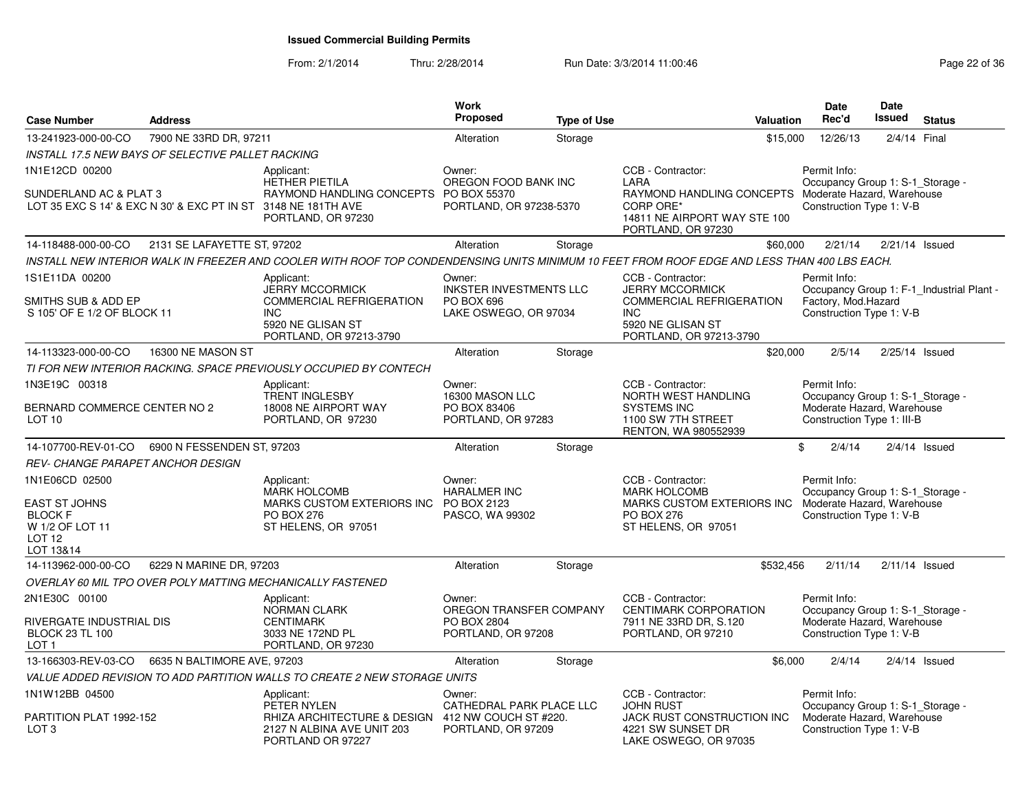| <b>Case Number</b>                                                                                        | <b>Address</b>              |                                                                                                                                       | Work<br>Proposed                                                                | <b>Type of Use</b> | Valuation                                                                                                                                            | <b>Date</b><br>Rec'd                                                                                       | <b>Date</b><br><b>Issued</b> | <b>Status</b>                             |
|-----------------------------------------------------------------------------------------------------------|-----------------------------|---------------------------------------------------------------------------------------------------------------------------------------|---------------------------------------------------------------------------------|--------------------|------------------------------------------------------------------------------------------------------------------------------------------------------|------------------------------------------------------------------------------------------------------------|------------------------------|-------------------------------------------|
| 13-241923-000-00-CO                                                                                       | 7900 NE 33RD DR, 97211      |                                                                                                                                       | Alteration                                                                      | Storage            | \$15,000                                                                                                                                             | 12/26/13                                                                                                   |                              | 2/4/14 Final                              |
| INSTALL 17.5 NEW BAYS OF SELECTIVE PALLET RACKING                                                         |                             |                                                                                                                                       |                                                                                 |                    |                                                                                                                                                      |                                                                                                            |                              |                                           |
| 1N1E12CD 00200<br>SUNDERLAND AC & PLAT 3<br>LOT 35 EXC S 14' & EXC N 30' & EXC PT IN ST 3148 NE 181TH AVE |                             | Applicant:<br><b>HETHER PIETILA</b><br>RAYMOND HANDLING CONCEPTS PO BOX 55370<br>PORTLAND, OR 97230                                   | Owner:<br>OREGON FOOD BANK INC<br>PORTLAND, OR 97238-5370                       |                    | CCB - Contractor:<br>LARA<br>RAYMOND HANDLING CONCEPTS Moderate Hazard, Warehouse<br>CORP ORE*<br>14811 NE AIRPORT WAY STE 100<br>PORTLAND, OR 97230 | Permit Info:<br>Occupancy Group 1: S-1_Storage -<br>Construction Type 1: V-B                               |                              |                                           |
| 14-118488-000-00-CO                                                                                       | 2131 SE LAFAYETTE ST, 97202 |                                                                                                                                       | Alteration                                                                      | Storage            | \$60,000                                                                                                                                             | 2/21/14                                                                                                    |                              | $2/21/14$ Issued                          |
|                                                                                                           |                             |                                                                                                                                       |                                                                                 |                    | INSTALL NEW INTERIOR WALK IN FREEZER AND COOLER WITH ROOF TOP CONDENDENSING UNITS MINIMUM 10 FEET FROM ROOF EDGE AND LESS THAN 400 LBS EACH.         |                                                                                                            |                              |                                           |
| 1S1E11DA 00200<br>SMITHS SUB & ADD EP<br>S 105' OF E 1/2 OF BLOCK 11                                      |                             | Applicant:<br><b>JERRY MCCORMICK</b><br><b>COMMERCIAL REFRIGERATION</b><br><b>INC</b><br>5920 NE GLISAN ST<br>PORTLAND, OR 97213-3790 | Owner:<br><b>INKSTER INVESTMENTS LLC</b><br>PO BOX 696<br>LAKE OSWEGO, OR 97034 |                    | CCB - Contractor:<br><b>JERRY MCCORMICK</b><br>COMMERCIAL REFRIGERATION<br><b>INC</b><br>5920 NE GLISAN ST<br>PORTLAND, OR 97213-3790                | Permit Info:<br>Factory, Mod.Hazard<br>Construction Type 1: V-B                                            |                              | Occupancy Group 1: F-1_Industrial Plant - |
| 14-113323-000-00-CO                                                                                       | 16300 NE MASON ST           |                                                                                                                                       | Alteration                                                                      | Storage            | \$20,000                                                                                                                                             | 2/5/14                                                                                                     |                              | 2/25/14 Issued                            |
|                                                                                                           |                             | TI FOR NEW INTERIOR RACKING. SPACE PREVIOUSLY OCCUPIED BY CONTECH                                                                     |                                                                                 |                    |                                                                                                                                                      |                                                                                                            |                              |                                           |
| 1N3E19C 00318                                                                                             |                             | Applicant:<br><b>TRENT INGLESBY</b>                                                                                                   | Owner:<br>16300 MASON LLC                                                       |                    | CCB - Contractor:<br>NORTH WEST HANDLING                                                                                                             | Permit Info:<br>Occupancy Group 1: S-1_Storage -                                                           |                              |                                           |
| BERNARD COMMERCE CENTER NO 2<br>LOT 10                                                                    |                             | 18008 NE AIRPORT WAY<br>PORTLAND, OR 97230                                                                                            | PO BOX 83406<br>PORTLAND, OR 97283                                              |                    | <b>SYSTEMS INC</b><br>1100 SW 7TH STREET<br>RENTON, WA 980552939                                                                                     | Moderate Hazard, Warehouse<br>Construction Type 1: III-B                                                   |                              |                                           |
| 14-107700-REV-01-CO                                                                                       | 6900 N FESSENDEN ST, 97203  |                                                                                                                                       | Alteration                                                                      | Storage            |                                                                                                                                                      | 2/4/14<br>\$                                                                                               |                              | $2/4/14$ Issued                           |
| <b>REV- CHANGE PARAPET ANCHOR DESIGN</b>                                                                  |                             |                                                                                                                                       |                                                                                 |                    |                                                                                                                                                      |                                                                                                            |                              |                                           |
| 1N1E06CD 02500<br><b>EAST ST JOHNS</b><br><b>BLOCK F</b><br>W 1/2 OF LOT 11<br><b>LOT 12</b><br>LOT 13&14 |                             | Applicant:<br><b>MARK HOLCOMB</b><br>MARKS CUSTOM EXTERIORS INC<br><b>PO BOX 276</b><br>ST HELENS, OR 97051                           | Owner:<br><b>HARALMER INC</b><br>PO BOX 2123<br>PASCO, WA 99302                 |                    | CCB - Contractor:<br><b>MARK HOLCOMB</b><br>MARKS CUSTOM EXTERIORS INC<br><b>PO BOX 276</b><br>ST HELENS, OR 97051                                   | Permit Info:<br>Occupancy Group 1: S-1_Storage -<br>Moderate Hazard, Warehouse<br>Construction Type 1: V-B |                              |                                           |
| 14-113962-000-00-CO                                                                                       | 6229 N MARINE DR, 97203     |                                                                                                                                       | Alteration                                                                      | Storage            | \$532,456                                                                                                                                            | 2/11/14                                                                                                    |                              | $2/11/14$ Issued                          |
|                                                                                                           |                             | <b>OVERLAY 60 MIL TPO OVER POLY MATTING MECHANICALLY FASTENED</b>                                                                     |                                                                                 |                    |                                                                                                                                                      |                                                                                                            |                              |                                           |
| 2N1E30C 00100<br>RIVERGATE INDUSTRIAL DIS<br><b>BLOCK 23 TL 100</b><br>LOT <sub>1</sub>                   |                             | Applicant:<br><b>NORMAN CLARK</b><br><b>CENTIMARK</b><br>3033 NE 172ND PL<br>PORTLAND, OR 97230                                       | Owner:<br>OREGON TRANSFER COMPANY<br>PO BOX 2804<br>PORTLAND, OR 97208          |                    | CCB - Contractor:<br><b>CENTIMARK CORPORATION</b><br>7911 NE 33RD DR, S.120<br>PORTLAND, OR 97210                                                    | Permit Info:<br>Occupancy Group 1: S-1_Storage -<br>Moderate Hazard, Warehouse<br>Construction Type 1: V-B |                              |                                           |
| 13-166303-REV-03-CO                                                                                       | 6635 N BALTIMORE AVE, 97203 |                                                                                                                                       | Alteration                                                                      | Storage            | \$6,000                                                                                                                                              | 2/4/14                                                                                                     |                              | $2/4/14$ Issued                           |
|                                                                                                           |                             | VALUE ADDED REVISION TO ADD PARTITION WALLS TO CREATE 2 NEW STORAGE UNITS                                                             |                                                                                 |                    |                                                                                                                                                      |                                                                                                            |                              |                                           |
| 1N1W12BB 04500                                                                                            |                             | Applicant:<br>PETER NYLEN                                                                                                             | Owner:<br>CATHEDRAL PARK PLACE LLC                                              |                    | CCB - Contractor:<br><b>JOHN RUST</b>                                                                                                                | Permit Info:<br>Occupancy Group 1: S-1_Storage -                                                           |                              |                                           |
| PARTITION PLAT 1992-152<br>LOT 3                                                                          |                             | RHIZA ARCHITECTURE & DESIGN 412 NW COUCH ST #220.<br>2127 N ALBINA AVE UNIT 203<br>PORTLAND OR 97227                                  | PORTLAND, OR 97209                                                              |                    | <b>JACK RUST CONSTRUCTION INC</b><br>4221 SW SUNSET DR<br>LAKE OSWEGO, OR 97035                                                                      | Moderate Hazard, Warehouse<br>Construction Type 1: V-B                                                     |                              |                                           |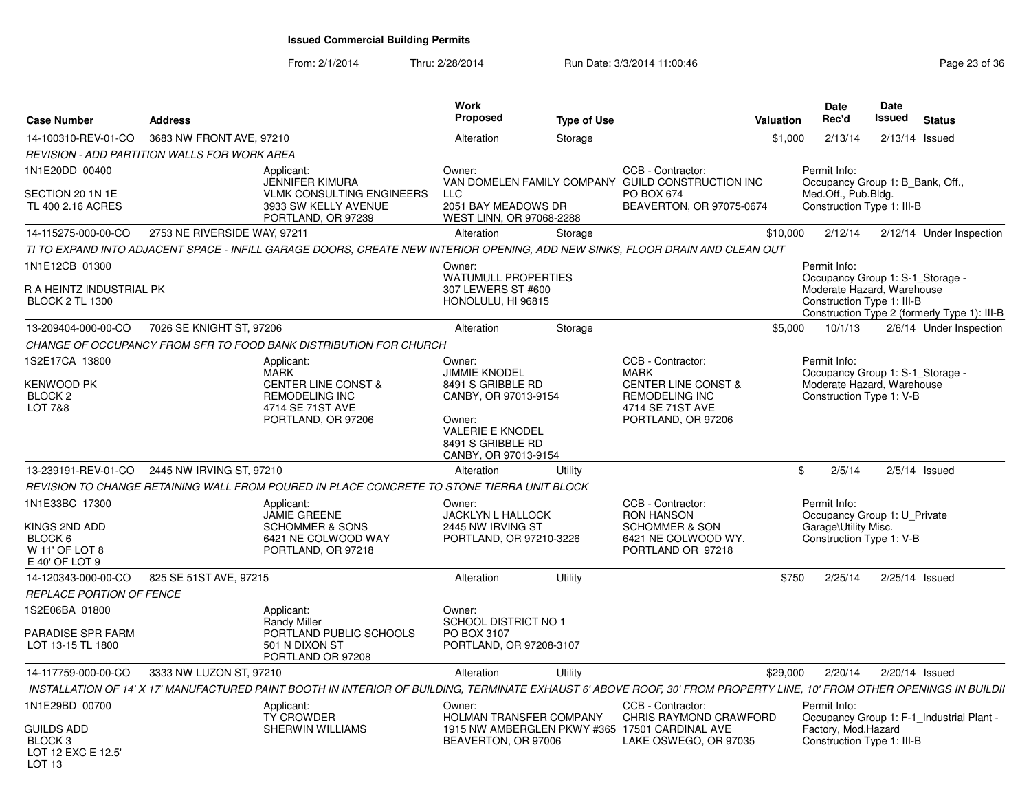From: 2/1/2014Thru: 2/28/2014 Run Date: 3/3/2014 11:00:46 Run Date: 3/3/2014 11:00:46

| <b>Case Number</b>                                                             | <b>Address</b>                                                                                                                                                          |                                                                                                          | Work<br>Proposed                                                                                                            | <b>Type of Use</b> |                                                                                                                 | Valuation      | <b>Date</b><br>Rec'd                                                                                                                         | <b>Date</b><br>Issued | <b>Status</b>            |
|--------------------------------------------------------------------------------|-------------------------------------------------------------------------------------------------------------------------------------------------------------------------|----------------------------------------------------------------------------------------------------------|-----------------------------------------------------------------------------------------------------------------------------|--------------------|-----------------------------------------------------------------------------------------------------------------|----------------|----------------------------------------------------------------------------------------------------------------------------------------------|-----------------------|--------------------------|
| 14-100310-REV-01-CO                                                            | 3683 NW FRONT AVE, 97210                                                                                                                                                |                                                                                                          | Alteration                                                                                                                  | Storage            |                                                                                                                 | \$1,000        | 2/13/14                                                                                                                                      | $2/13/14$ Issued      |                          |
|                                                                                | <b>REVISION - ADD PARTITION WALLS FOR WORK AREA</b>                                                                                                                     |                                                                                                          |                                                                                                                             |                    |                                                                                                                 |                |                                                                                                                                              |                       |                          |
| 1N1E20DD 00400                                                                 | Applicant:                                                                                                                                                              |                                                                                                          | Owner:                                                                                                                      |                    | CCB - Contractor:                                                                                               |                | Permit Info:                                                                                                                                 |                       |                          |
| SECTION 20 1N 1E<br>TL 400 2.16 ACRES                                          |                                                                                                                                                                         | <b>JENNIFER KIMURA</b><br><b>VLMK CONSULTING ENGINEERS</b><br>3933 SW KELLY AVENUE<br>PORTLAND, OR 97239 | <b>LLC</b><br>2051 BAY MEADOWS DR<br>WEST LINN, OR 97068-2288                                                               |                    | VAN DOMELEN FAMILY COMPANY GUILD CONSTRUCTION INC<br><b>PO BOX 674</b><br>BEAVERTON, OR 97075-0674              |                | Occupancy Group 1: B_Bank, Off.,<br>Med.Off., Pub.Bldg.<br>Construction Type 1: III-B                                                        |                       |                          |
| 14-115275-000-00-CO                                                            | 2753 NE RIVERSIDE WAY, 97211                                                                                                                                            |                                                                                                          | Alteration                                                                                                                  | Storage            |                                                                                                                 | \$10,000       | 2/12/14                                                                                                                                      |                       | 2/12/14 Under Inspection |
|                                                                                | TI TO EXPAND INTO ADJACENT SPACE - INFILL GARAGE DOORS, CREATE NEW INTERIOR OPENING, ADD NEW SINKS, FLOOR DRAIN AND CLEAN OUT                                           |                                                                                                          |                                                                                                                             |                    |                                                                                                                 |                |                                                                                                                                              |                       |                          |
| 1N1E12CB 01300                                                                 |                                                                                                                                                                         |                                                                                                          | Owner:                                                                                                                      |                    |                                                                                                                 |                | Permit Info:                                                                                                                                 |                       |                          |
| <b>R A HEINTZ INDUSTRIAL PK</b><br><b>BLOCK 2 TL 1300</b>                      |                                                                                                                                                                         |                                                                                                          | <b>WATUMULL PROPERTIES</b><br>307 LEWERS ST #600<br>HONOLULU, HI 96815                                                      |                    |                                                                                                                 |                | Occupancy Group 1: S-1_Storage -<br>Moderate Hazard, Warehouse<br>Construction Type 1: III-B<br>Construction Type 2 (formerly Type 1): III-B |                       |                          |
| 13-209404-000-00-CO                                                            | 7026 SE KNIGHT ST, 97206                                                                                                                                                |                                                                                                          | Alteration                                                                                                                  | Storage            |                                                                                                                 | \$5,000        | 10/1/13                                                                                                                                      |                       | 2/6/14 Under Inspection  |
|                                                                                | CHANGE OF OCCUPANCY FROM SFR TO FOOD BANK DISTRIBUTION FOR CHURCH                                                                                                       |                                                                                                          |                                                                                                                             |                    |                                                                                                                 |                |                                                                                                                                              |                       |                          |
| 1S2E17CA 13800                                                                 | Applicant:<br><b>MARK</b>                                                                                                                                               |                                                                                                          | Owner:<br><b>JIMMIE KNODEL</b>                                                                                              |                    | CCB - Contractor:<br><b>MARK</b>                                                                                |                | Permit Info:<br>Occupancy Group 1: S-1_Storage -                                                                                             |                       |                          |
| KENWOOD PK<br>BLOCK <sub>2</sub><br><b>LOT 7&amp;8</b>                         |                                                                                                                                                                         | <b>CENTER LINE CONST &amp;</b><br><b>REMODELING INC</b><br>4714 SE 71ST AVE<br>PORTLAND, OR 97206        | 8491 S GRIBBLE RD<br>CANBY, OR 97013-9154<br>Owner:<br><b>VALERIE E KNODEL</b><br>8491 S GRIBBLE RD<br>CANBY, OR 97013-9154 |                    | <b>CENTER LINE CONST &amp;</b><br><b>REMODELING INC</b><br>4714 SE 71ST AVE<br>PORTLAND, OR 97206               |                | Moderate Hazard, Warehouse<br>Construction Type 1: V-B                                                                                       |                       |                          |
| 13-239191-REV-01-CO                                                            | 2445 NW IRVING ST, 97210                                                                                                                                                |                                                                                                          | Alteration                                                                                                                  | Utility            |                                                                                                                 | $\mathfrak{S}$ | 2/5/14                                                                                                                                       |                       | $2/5/14$ Issued          |
|                                                                                | REVISION TO CHANGE RETAINING WALL FROM POURED IN PLACE CONCRETE TO STONE TIERRA UNIT BLOCK                                                                              |                                                                                                          |                                                                                                                             |                    |                                                                                                                 |                |                                                                                                                                              |                       |                          |
| 1N1E33BC 17300<br>KINGS 2ND ADD<br>BLOCK 6<br>W 11' OF LOT 8<br>E 40' OF LOT 9 | Applicant:<br><b>JAMIE GREENE</b>                                                                                                                                       | <b>SCHOMMER &amp; SONS</b><br>6421 NE COLWOOD WAY<br>PORTLAND, OR 97218                                  | Owner:<br>JACKLYN L HALLOCK<br>2445 NW IRVING ST<br>PORTLAND, OR 97210-3226                                                 |                    | CCB - Contractor:<br><b>RON HANSON</b><br><b>SCHOMMER &amp; SON</b><br>6421 NE COLWOOD WY.<br>PORTLAND OR 97218 |                | Permit Info:<br>Occupancy Group 1: U_Private<br>Garage\Utility Misc.<br>Construction Type 1: V-B                                             |                       |                          |
| 14-120343-000-00-CO                                                            | 825 SE 51ST AVE, 97215                                                                                                                                                  |                                                                                                          | Alteration                                                                                                                  | Utility            |                                                                                                                 | \$750          | 2/25/14                                                                                                                                      | 2/25/14 Issued        |                          |
| REPLACE PORTION OF FENCE                                                       |                                                                                                                                                                         |                                                                                                          |                                                                                                                             |                    |                                                                                                                 |                |                                                                                                                                              |                       |                          |
| 1S2E06BA 01800                                                                 | Applicant:<br><b>Randy Miller</b>                                                                                                                                       |                                                                                                          | Owner:<br><b>SCHOOL DISTRICT NO 1</b>                                                                                       |                    |                                                                                                                 |                |                                                                                                                                              |                       |                          |
| <b>PARADISE SPR FARM</b><br>LOT 13-15 TL 1800                                  | 501 N DIXON ST                                                                                                                                                          | PORTLAND PUBLIC SCHOOLS<br>PORTLAND OR 97208                                                             | PO BOX 3107<br>PORTLAND, OR 97208-3107                                                                                      |                    |                                                                                                                 |                |                                                                                                                                              |                       |                          |
| 14-117759-000-00-CO                                                            | 3333 NW LUZON ST, 97210                                                                                                                                                 |                                                                                                          | Alteration                                                                                                                  | Utility            |                                                                                                                 | \$29,000       | 2/20/14                                                                                                                                      | 2/20/14 Issued        |                          |
|                                                                                | INSTALLATION OF 14' X 17' MANUFACTURED PAINT BOOTH IN INTERIOR OF BUILDING, TERMINATE EXHAUST 6' ABOVE ROOF, 30' FROM PROPERTY LINE, 10' FROM OTHER OPENINGS IN BUILDII |                                                                                                          |                                                                                                                             |                    |                                                                                                                 |                |                                                                                                                                              |                       |                          |
| 1N1E29BD 00700                                                                 | Applicant:<br><b>TY CROWDER</b>                                                                                                                                         |                                                                                                          | Owner:<br>HOLMAN TRANSFER COMPANY                                                                                           |                    | CCB - Contractor:<br>CHRIS RAYMOND CRAWFORD                                                                     |                | Permit Info:<br>Occupancy Group 1: F-1 Industrial Plant -                                                                                    |                       |                          |
| <b>GUILDS ADD</b><br>BLOCK 3<br>LOT 12 EXC E 12.5'                             |                                                                                                                                                                         | SHERWIN WILLIAMS                                                                                         | BEAVERTON, OR 97006                                                                                                         |                    | 1915 NW AMBERGLEN PKWY #365 17501 CARDINAL AVE<br>LAKE OSWEGO, OR 97035                                         |                | Factory, Mod.Hazard<br>Construction Type 1: III-B                                                                                            |                       |                          |

LOT 13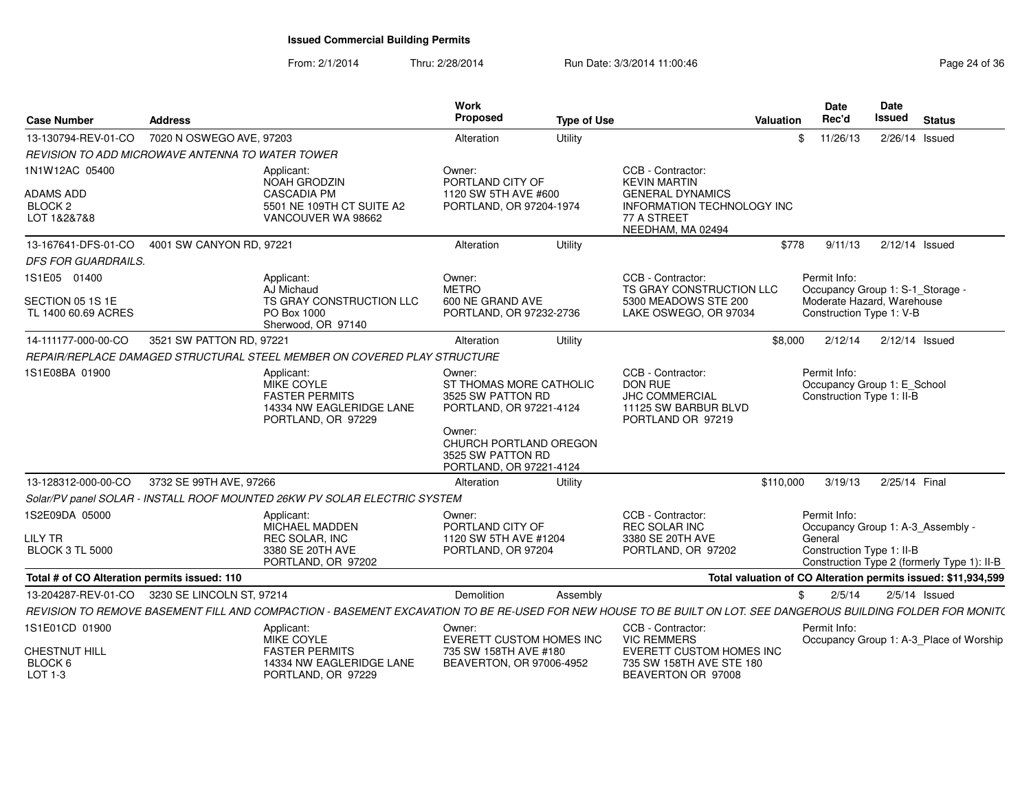| <b>Case Number</b>                                | <b>Address</b>            |                                                                                                                                                                | Work<br>Proposed                                                                  | <b>Type of Use</b> |                                                                                                    | Valuation | Date<br>Rec'd                                                            | <b>Date</b><br><b>Issued</b> | <b>Status</b>                                                 |
|---------------------------------------------------|---------------------------|----------------------------------------------------------------------------------------------------------------------------------------------------------------|-----------------------------------------------------------------------------------|--------------------|----------------------------------------------------------------------------------------------------|-----------|--------------------------------------------------------------------------|------------------------------|---------------------------------------------------------------|
| 13-130794-REV-01-CO                               | 7020 N OSWEGO AVE, 97203  |                                                                                                                                                                | Alteration                                                                        | Utility            |                                                                                                    | \$        | 11/26/13                                                                 | 2/26/14 Issued               |                                                               |
| REVISION TO ADD MICROWAVE ANTENNA TO WATER TOWER  |                           |                                                                                                                                                                |                                                                                   |                    |                                                                                                    |           |                                                                          |                              |                                                               |
| 1N1W12AC 05400                                    |                           | Applicant:<br>NOAH GRODZIN                                                                                                                                     | Owner:<br>PORTLAND CITY OF                                                        |                    | CCB - Contractor:<br><b>KEVIN MARTIN</b>                                                           |           |                                                                          |                              |                                                               |
| <b>ADAMS ADD</b><br><b>BLOCK 2</b><br>LOT 1&2&7&8 |                           | <b>CASCADIA PM</b><br>5501 NE 109TH CT SUITE A2<br>VANCOUVER WA 98662                                                                                          | 1120 SW 5TH AVE #600<br>PORTLAND, OR 97204-1974                                   |                    | <b>GENERAL DYNAMICS</b><br>INFORMATION TECHNOLOGY INC<br>77 A STREET<br>NEEDHAM, MA 02494          |           |                                                                          |                              |                                                               |
| 13-167641-DFS-01-CO                               | 4001 SW CANYON RD, 97221  |                                                                                                                                                                | Alteration                                                                        | Utility            |                                                                                                    | \$778     | 9/11/13                                                                  | $2/12/14$ Issued             |                                                               |
| <b>DFS FOR GUARDRAILS.</b>                        |                           |                                                                                                                                                                |                                                                                   |                    |                                                                                                    |           |                                                                          |                              |                                                               |
| 1S1E05 01400                                      |                           | Applicant:<br>AJ Michaud                                                                                                                                       | Owner:<br><b>METRO</b>                                                            |                    | CCB - Contractor:<br>TS GRAY CONSTRUCTION LLC                                                      |           | Permit Info:<br>Occupancy Group 1: S-1_Storage -                         |                              |                                                               |
| SECTION 05 1S 1E<br>TL 1400 60.69 ACRES           |                           | TS GRAY CONSTRUCTION LLC<br>PO Box 1000<br>Sherwood, OR 97140                                                                                                  | 600 NE GRAND AVE<br>PORTLAND, OR 97232-2736                                       |                    | 5300 MEADOWS STE 200<br>LAKE OSWEGO, OR 97034                                                      |           | Moderate Hazard, Warehouse<br>Construction Type 1: V-B                   |                              |                                                               |
| 14-111177-000-00-CO                               | 3521 SW PATTON RD, 97221  |                                                                                                                                                                | Alteration                                                                        | Utility            |                                                                                                    | \$8,000   | 2/12/14                                                                  | $2/12/14$ Issued             |                                                               |
|                                                   |                           | REPAIR/REPLACE DAMAGED STRUCTURAL STEEL MEMBER ON COVERED PLAY STRUCTURE                                                                                       |                                                                                   |                    |                                                                                                    |           |                                                                          |                              |                                                               |
| 1S1E08BA 01900                                    |                           | Applicant:<br>MIKE COYLE<br><b>FASTER PERMITS</b><br>14334 NW EAGLERIDGE LANE<br>PORTLAND, OR 97229                                                            | Owner:<br>ST THOMAS MORE CATHOLIC<br>3525 SW PATTON RD<br>PORTLAND, OR 97221-4124 |                    | CCB - Contractor:<br>DON RUE<br><b>JHC COMMERCIAL</b><br>11125 SW BARBUR BLVD<br>PORTLAND OR 97219 |           | Permit Info:<br>Occupancy Group 1: E_School<br>Construction Type 1: II-B |                              |                                                               |
|                                                   |                           |                                                                                                                                                                | Owner:<br>CHURCH PORTLAND OREGON<br>3525 SW PATTON RD<br>PORTLAND, OR 97221-4124  |                    |                                                                                                    |           |                                                                          |                              |                                                               |
| 13-128312-000-00-CO                               | 3732 SE 99TH AVE, 97266   |                                                                                                                                                                | Alteration                                                                        | Utility            |                                                                                                    | \$110,000 | 3/19/13                                                                  | 2/25/14 Final                |                                                               |
|                                                   |                           | Solar/PV panel SOLAR - INSTALL ROOF MOUNTED 26KW PV SOLAR ELECTRIC SYSTEM                                                                                      |                                                                                   |                    |                                                                                                    |           |                                                                          |                              |                                                               |
| 1S2E09DA 05000<br><b>LILY TR</b>                  |                           | Applicant:<br>MICHAEL MADDEN<br><b>REC SOLAR, INC</b>                                                                                                          | Owner:<br>PORTLAND CITY OF<br>1120 SW 5TH AVE #1204                               |                    | CCB - Contractor:<br>REC SOLAR INC<br>3380 SE 20TH AVE                                             |           | Permit Info:<br>General                                                  |                              | Occupancy Group 1: A-3_Assembly -                             |
| <b>BLOCK 3 TL 5000</b>                            |                           | 3380 SE 20TH AVE<br>PORTLAND, OR 97202                                                                                                                         | PORTLAND, OR 97204                                                                |                    | PORTLAND, OR 97202                                                                                 |           | Construction Type 1: II-B                                                |                              | Construction Type 2 (formerly Type 1): II-B                   |
| Total # of CO Alteration permits issued: 110      |                           |                                                                                                                                                                |                                                                                   |                    |                                                                                                    |           |                                                                          |                              | Total valuation of CO Alteration permits issued: \$11,934,599 |
| 13-204287-REV-01-CO                               | 3230 SE LINCOLN ST, 97214 |                                                                                                                                                                | <b>Demolition</b>                                                                 | Assembly           |                                                                                                    | \$        | 2/5/14                                                                   |                              | $2/5/14$ Issued                                               |
|                                                   |                           | REVISION TO REMOVE BASEMENT FILL AND COMPACTION - BASEMENT EXCAVATION TO BE RE-USED FOR NEW HOUSE TO BE BUILT ON LOT. SEE DANGEROUS BUILDING FOLDER FOR MONIT( |                                                                                   |                    |                                                                                                    |           |                                                                          |                              |                                                               |
| 1S1E01CD 01900                                    |                           | Applicant:<br>MIKE COYLE                                                                                                                                       | Owner:<br>EVERETT CUSTOM HOMES INC                                                |                    | CCB - Contractor:<br><b>VIC REMMERS</b>                                                            |           | Permit Info:                                                             |                              | Occupancy Group 1: A-3_Place of Worship                       |
| <b>CHESTNUT HILL</b><br>BLOCK 6<br>LOT 1-3        |                           | <b>FASTER PERMITS</b><br>14334 NW EAGLERIDGE LANE<br>PORTLAND, OR 97229                                                                                        | 735 SW 158TH AVE #180<br>BEAVERTON, OR 97006-4952                                 |                    | EVERETT CUSTOM HOMES INC<br>735 SW 158TH AVE STE 180<br>BEAVERTON OR 97008                         |           |                                                                          |                              |                                                               |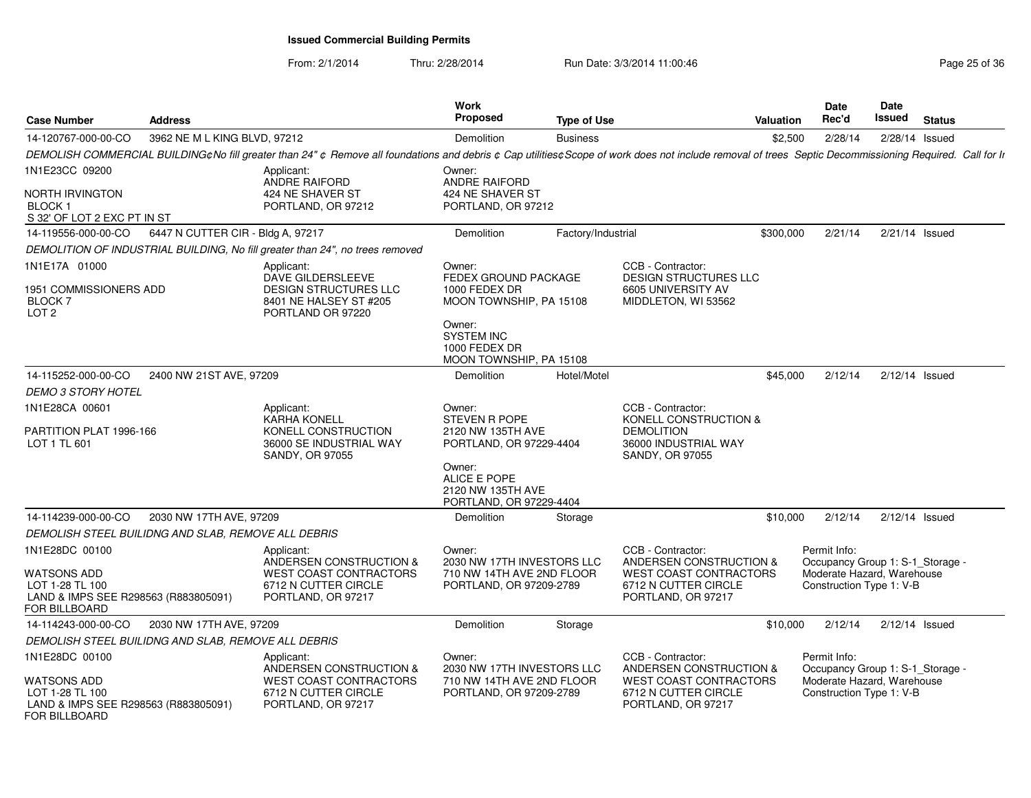| <b>Case Number</b>                                                                              | <b>Address</b>                                      |                                                                                                                                                                                                         | <b>Work</b><br>Proposed                                                                                                                               | <b>Type of Use</b> |                                                                                                                             | <b>Valuation</b> | Date<br>Rec'd                                                                                              | Date<br><b>Issued</b> | <b>Status</b>    |  |
|-------------------------------------------------------------------------------------------------|-----------------------------------------------------|---------------------------------------------------------------------------------------------------------------------------------------------------------------------------------------------------------|-------------------------------------------------------------------------------------------------------------------------------------------------------|--------------------|-----------------------------------------------------------------------------------------------------------------------------|------------------|------------------------------------------------------------------------------------------------------------|-----------------------|------------------|--|
| 14-120767-000-00-CO                                                                             | 3962 NE M L KING BLVD, 97212                        |                                                                                                                                                                                                         | Demolition                                                                                                                                            | <b>Business</b>    |                                                                                                                             | \$2,500          | 2/28/14                                                                                                    | 2/28/14 Issued        |                  |  |
|                                                                                                 |                                                     | DEMOLISH COMMERCIAL BUILDING¢No fill greater than 24" ¢ Remove all foundations and debris ¢ Cap utilities¢ Scope of work does not include removal of trees Septic Decommissioning Required. Call for Ir |                                                                                                                                                       |                    |                                                                                                                             |                  |                                                                                                            |                       |                  |  |
| 1N1E23CC 09200                                                                                  |                                                     | Applicant:<br><b>ANDRE RAIFORD</b>                                                                                                                                                                      | Owner:<br><b>ANDRE RAIFORD</b>                                                                                                                        |                    |                                                                                                                             |                  |                                                                                                            |                       |                  |  |
| <b>NORTH IRVINGTON</b><br><b>BLOCK1</b><br>S 32' OF LOT 2 EXC PT IN ST                          |                                                     | 424 NE SHAVER ST<br>PORTLAND, OR 97212                                                                                                                                                                  | 424 NE SHAVER ST<br>PORTLAND, OR 97212                                                                                                                |                    |                                                                                                                             |                  |                                                                                                            |                       |                  |  |
| 14-119556-000-00-CO                                                                             | 6447 N CUTTER CIR - Bldg A, 97217                   |                                                                                                                                                                                                         | Demolition                                                                                                                                            | Factory/Industrial |                                                                                                                             | \$300,000        | 2/21/14                                                                                                    | $2/21/14$ Issued      |                  |  |
|                                                                                                 |                                                     | DEMOLITION OF INDUSTRIAL BUILDING, No fill greater than 24", no trees removed                                                                                                                           |                                                                                                                                                       |                    |                                                                                                                             |                  |                                                                                                            |                       |                  |  |
| 1N1E17A 01000<br>1951 COMMISSIONERS ADD<br>BLOCK 7<br>LOT <sub>2</sub>                          |                                                     | Applicant:<br>DAVE GILDERSLEEVE<br><b>DESIGN STRUCTURES LLC</b><br>8401 NE HALSEY ST #205<br>PORTLAND OR 97220                                                                                          | Owner:<br>FEDEX GROUND PACKAGE<br>1000 FEDEX DR<br>MOON TOWNSHIP, PA 15108<br>Owner:<br><b>SYSTEM INC</b><br>1000 FEDEX DR<br>MOON TOWNSHIP, PA 15108 |                    | CCB - Contractor:<br>DESIGN STRUCTURES LLC<br>6605 UNIVERSITY AV<br>MIDDLETON, WI 53562                                     |                  |                                                                                                            |                       |                  |  |
| 14-115252-000-00-CO                                                                             | 2400 NW 21ST AVE, 97209                             |                                                                                                                                                                                                         | Demolition                                                                                                                                            | Hotel/Motel        |                                                                                                                             | \$45,000         | 2/12/14                                                                                                    |                       | $2/12/14$ Issued |  |
| <b>DEMO 3 STORY HOTEL</b>                                                                       |                                                     |                                                                                                                                                                                                         |                                                                                                                                                       |                    |                                                                                                                             |                  |                                                                                                            |                       |                  |  |
| 1N1E28CA 00601<br>PARTITION PLAT 1996-166<br>LOT 1 TL 601                                       |                                                     | Applicant:<br><b>KARHA KONELL</b><br>KONELL CONSTRUCTION<br>36000 SE INDUSTRIAL WAY<br>SANDY, OR 97055                                                                                                  | Owner:<br><b>STEVEN R POPE</b><br>2120 NW 135TH AVE<br>PORTLAND, OR 97229-4404                                                                        |                    | CCB - Contractor:<br>KONELL CONSTRUCTION &<br><b>DEMOLITION</b><br>36000 INDUSTRIAL WAY<br><b>SANDY, OR 97055</b>           |                  |                                                                                                            |                       |                  |  |
|                                                                                                 |                                                     |                                                                                                                                                                                                         | Owner:<br>ALICE E POPE<br>2120 NW 135TH AVE<br>PORTLAND, OR 97229-4404                                                                                |                    |                                                                                                                             |                  |                                                                                                            |                       |                  |  |
| 14-114239-000-00-CO                                                                             | 2030 NW 17TH AVE, 97209                             |                                                                                                                                                                                                         | Demolition                                                                                                                                            | Storage            |                                                                                                                             | \$10,000         | 2/12/14                                                                                                    | $2/12/14$ Issued      |                  |  |
|                                                                                                 | DEMOLISH STEEL BUILIDNG AND SLAB, REMOVE ALL DEBRIS |                                                                                                                                                                                                         |                                                                                                                                                       |                    |                                                                                                                             |                  |                                                                                                            |                       |                  |  |
| 1N1E28DC 00100<br><b>WATSONS ADD</b><br>LOT 1-28 TL 100                                         |                                                     | Applicant:<br>ANDERSEN CONSTRUCTION &<br><b>WEST COAST CONTRACTORS</b><br>6712 N CUTTER CIRCLE                                                                                                          | Owner:<br>2030 NW 17TH INVESTORS LLC<br>710 NW 14TH AVE 2ND FLOOR<br>PORTLAND, OR 97209-2789                                                          |                    | CCB - Contractor:<br>ANDERSEN CONSTRUCTION &<br>WEST COAST CONTRACTORS<br>6712 N CUTTER CIRCLE                              |                  | Permit Info:<br>Occupancy Group 1: S-1 Storage -<br>Moderate Hazard, Warehouse<br>Construction Type 1: V-B |                       |                  |  |
| LAND & IMPS SEE R298563 (R883805091)<br><b>FOR BILLBOARD</b>                                    |                                                     | PORTLAND, OR 97217                                                                                                                                                                                      |                                                                                                                                                       |                    | PORTLAND, OR 97217                                                                                                          |                  |                                                                                                            |                       |                  |  |
| 14-114243-000-00-CO                                                                             | 2030 NW 17TH AVE, 97209                             |                                                                                                                                                                                                         | Demolition                                                                                                                                            | Storage            |                                                                                                                             | \$10,000         | 2/12/14                                                                                                    | $2/12/14$ Issued      |                  |  |
|                                                                                                 | DEMOLISH STEEL BUILIDNG AND SLAB, REMOVE ALL DEBRIS |                                                                                                                                                                                                         |                                                                                                                                                       |                    |                                                                                                                             |                  |                                                                                                            |                       |                  |  |
| 1N1E28DC 00100<br><b>WATSONS ADD</b><br>LOT 1-28 TL 100<br>LAND & IMPS SEE R298563 (R883805091) |                                                     | Applicant:<br>ANDERSEN CONSTRUCTION &<br><b>WEST COAST CONTRACTORS</b><br>6712 N CUTTER CIRCLE<br>PORTLAND, OR 97217                                                                                    | Owner:<br>2030 NW 17TH INVESTORS LLC<br>710 NW 14TH AVE 2ND FLOOR<br>PORTLAND, OR 97209-2789                                                          |                    | CCB - Contractor:<br>ANDERSEN CONSTRUCTION &<br><b>WEST COAST CONTRACTORS</b><br>6712 N CUTTER CIRCLE<br>PORTLAND, OR 97217 |                  | Permit Info:<br>Occupancy Group 1: S-1_Storage -<br>Moderate Hazard, Warehouse<br>Construction Type 1: V-B |                       |                  |  |
| FOR BILLBOARD                                                                                   |                                                     |                                                                                                                                                                                                         |                                                                                                                                                       |                    |                                                                                                                             |                  |                                                                                                            |                       |                  |  |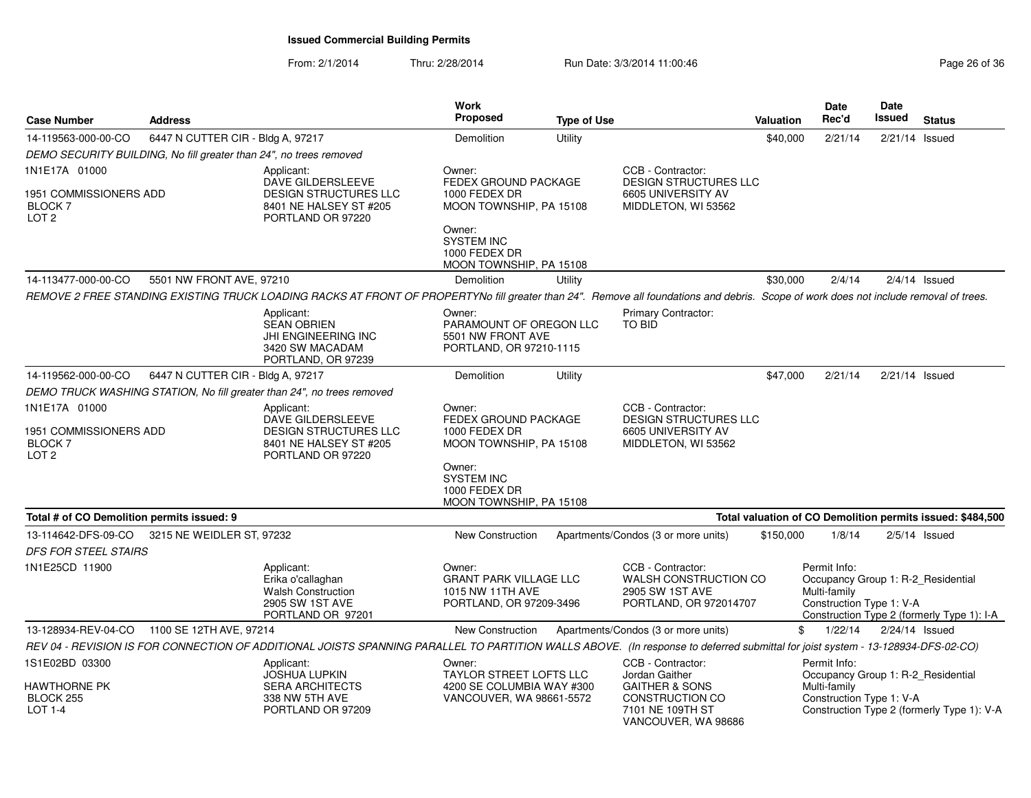| <b>Case Number</b>                                                     | <b>Address</b>                                                     |                                                                                                                                                                                       | <b>Work</b><br>Proposed                                                                           | <b>Type of Use</b> |                                                                                                                                | <b>Valuation</b> | Date<br>Rec'd                                                                                  | Date<br><b>Issued</b> | <b>Status</b>                                              |
|------------------------------------------------------------------------|--------------------------------------------------------------------|---------------------------------------------------------------------------------------------------------------------------------------------------------------------------------------|---------------------------------------------------------------------------------------------------|--------------------|--------------------------------------------------------------------------------------------------------------------------------|------------------|------------------------------------------------------------------------------------------------|-----------------------|------------------------------------------------------------|
| 14-119563-000-00-CO                                                    | 6447 N CUTTER CIR - Bldg A, 97217                                  |                                                                                                                                                                                       | Demolition                                                                                        | <b>Utility</b>     |                                                                                                                                | \$40,000         | 2/21/14                                                                                        | $2/21/14$ Issued      |                                                            |
|                                                                        | DEMO SECURITY BUILDING, No fill greater than 24", no trees removed |                                                                                                                                                                                       |                                                                                                   |                    |                                                                                                                                |                  |                                                                                                |                       |                                                            |
| 1N1E17A 01000                                                          |                                                                    | Applicant:                                                                                                                                                                            | Owner:                                                                                            |                    | CCB - Contractor:                                                                                                              |                  |                                                                                                |                       |                                                            |
| 1951 COMMISSIONERS ADD<br><b>BLOCK7</b><br>LOT <sub>2</sub>            |                                                                    | DAVE GILDERSLEEVE<br><b>DESIGN STRUCTURES LLC</b><br>8401 NE HALSEY ST #205<br>PORTLAND OR 97220                                                                                      | <b>FEDEX GROUND PACKAGE</b><br>1000 FEDEX DR<br>MOON TOWNSHIP, PA 15108                           |                    | <b>DESIGN STRUCTURES LLC</b><br>6605 UNIVERSITY AV<br>MIDDLETON, WI 53562                                                      |                  |                                                                                                |                       |                                                            |
|                                                                        |                                                                    |                                                                                                                                                                                       | Owner:<br><b>SYSTEM INC</b><br>1000 FEDEX DR<br>MOON TOWNSHIP, PA 15108                           |                    |                                                                                                                                |                  |                                                                                                |                       |                                                            |
| 14-113477-000-00-CO                                                    | 5501 NW FRONT AVE, 97210                                           |                                                                                                                                                                                       | Demolition                                                                                        | Utility            |                                                                                                                                | \$30,000         | 2/4/14                                                                                         |                       | $2/4/14$ Issued                                            |
|                                                                        |                                                                    | REMOVE 2 FREE STANDING EXISTING TRUCK LOADING RACKS AT FRONT OF PROPERTYNo fill greater than 24". Remove all foundations and debris. Scope of work does not include removal of trees. |                                                                                                   |                    |                                                                                                                                |                  |                                                                                                |                       |                                                            |
|                                                                        |                                                                    | Applicant:<br><b>SEAN OBRIEN</b><br>JHI ENGINEERING INC<br>3420 SW MACADAM<br>PORTLAND, OR 97239                                                                                      | Owner:<br>PARAMOUNT OF OREGON LLC<br>5501 NW FRONT AVE<br>PORTLAND, OR 97210-1115                 |                    | Primary Contractor:<br>TO BID                                                                                                  |                  |                                                                                                |                       |                                                            |
| 14-119562-000-00-CO                                                    | 6447 N CUTTER CIR - Bldg A, 97217                                  |                                                                                                                                                                                       | Demolition                                                                                        | Utility            |                                                                                                                                | \$47,000         | 2/21/14                                                                                        | $2/21/14$ Issued      |                                                            |
|                                                                        |                                                                    | DEMO TRUCK WASHING STATION, No fill greater than 24", no trees removed                                                                                                                |                                                                                                   |                    |                                                                                                                                |                  |                                                                                                |                       |                                                            |
| 1N1E17A 01000<br>1951 COMMISSIONERS ADD<br>BLOCK 7<br>LOT <sub>2</sub> |                                                                    | Applicant:<br>DAVE GILDERSLEEVE<br><b>DESIGN STRUCTURES LLC</b><br>8401 NE HALSEY ST #205<br>PORTLAND OR 97220                                                                        | Owner:<br>FEDEX GROUND PACKAGE<br>1000 FEDEX DR<br>MOON TOWNSHIP, PA 15108<br>Owner:              |                    | CCB - Contractor:<br><b>DESIGN STRUCTURES LLC</b><br>6605 UNIVERSITY AV<br>MIDDLETON, WI 53562                                 |                  |                                                                                                |                       |                                                            |
|                                                                        |                                                                    |                                                                                                                                                                                       | <b>SYSTEM INC</b><br>1000 FEDEX DR<br>MOON TOWNSHIP, PA 15108                                     |                    |                                                                                                                                |                  |                                                                                                |                       |                                                            |
| Total # of CO Demolition permits issued: 9                             |                                                                    |                                                                                                                                                                                       |                                                                                                   |                    |                                                                                                                                |                  |                                                                                                |                       | Total valuation of CO Demolition permits issued: \$484,500 |
| 13-114642-DFS-09-CO                                                    | 3215 NE WEIDLER ST, 97232                                          |                                                                                                                                                                                       | <b>New Construction</b>                                                                           |                    | Apartments/Condos (3 or more units)                                                                                            | \$150,000        | 1/8/14                                                                                         |                       | $2/5/14$ Issued                                            |
| DFS FOR STEEL STAIRS                                                   |                                                                    |                                                                                                                                                                                       |                                                                                                   |                    |                                                                                                                                |                  |                                                                                                |                       |                                                            |
| 1N1E25CD 11900                                                         |                                                                    | Applicant:<br>Erika o'callaghan<br><b>Walsh Construction</b><br>2905 SW 1ST AVE<br>PORTLAND OR 97201                                                                                  | Owner:<br><b>GRANT PARK VILLAGE LLC</b><br>1015 NW 11TH AVE<br>PORTLAND, OR 97209-3496            |                    | CCB - Contractor:<br>WALSH CONSTRUCTION CO<br>2905 SW 1ST AVE<br>PORTLAND, OR 972014707                                        |                  | Permit Info:<br>Occupancy Group 1: R-2_Residential<br>Multi-family<br>Construction Type 1: V-A |                       | Construction Type 2 (formerly Type 1): I-A                 |
|                                                                        | 13-128934-REV-04-CO 1100 SE 12TH AVE, 97214                        |                                                                                                                                                                                       | <b>New Construction</b>                                                                           |                    | Apartments/Condos (3 or more units)                                                                                            | \$               | 1/22/14                                                                                        | $2/24/14$ Issued      |                                                            |
|                                                                        |                                                                    | REV 04 - REVISION IS FOR CONNECTION OF ADDITIONAL JOISTS SPANNING PARALLEL TO PARTITION WALLS ABOVE. (In response to deferred submittal for joist system - 13-128934-DFS-02-CO)       |                                                                                                   |                    |                                                                                                                                |                  |                                                                                                |                       |                                                            |
| 1S1E02BD 03300<br>HAWTHORNE PK<br>BLOCK 255<br>LOT 1-4                 |                                                                    | Applicant:<br>JOSHUA LUPKIN<br><b>SERA ARCHITECTS</b><br>338 NW 5TH AVE<br>PORTLAND OR 97209                                                                                          | Owner:<br><b>TAYLOR STREET LOFTS LLC</b><br>4200 SE COLUMBIA WAY #300<br>VANCOUVER, WA 98661-5572 |                    | CCB - Contractor:<br>Jordan Gaither<br><b>GAITHER &amp; SONS</b><br>CONSTRUCTION CO<br>7101 NE 109TH ST<br>VANCOUVER, WA 98686 |                  | Permit Info:<br>Occupancy Group 1: R-2 Residential<br>Multi-family<br>Construction Type 1: V-A |                       | Construction Type 2 (formerly Type 1): V-A                 |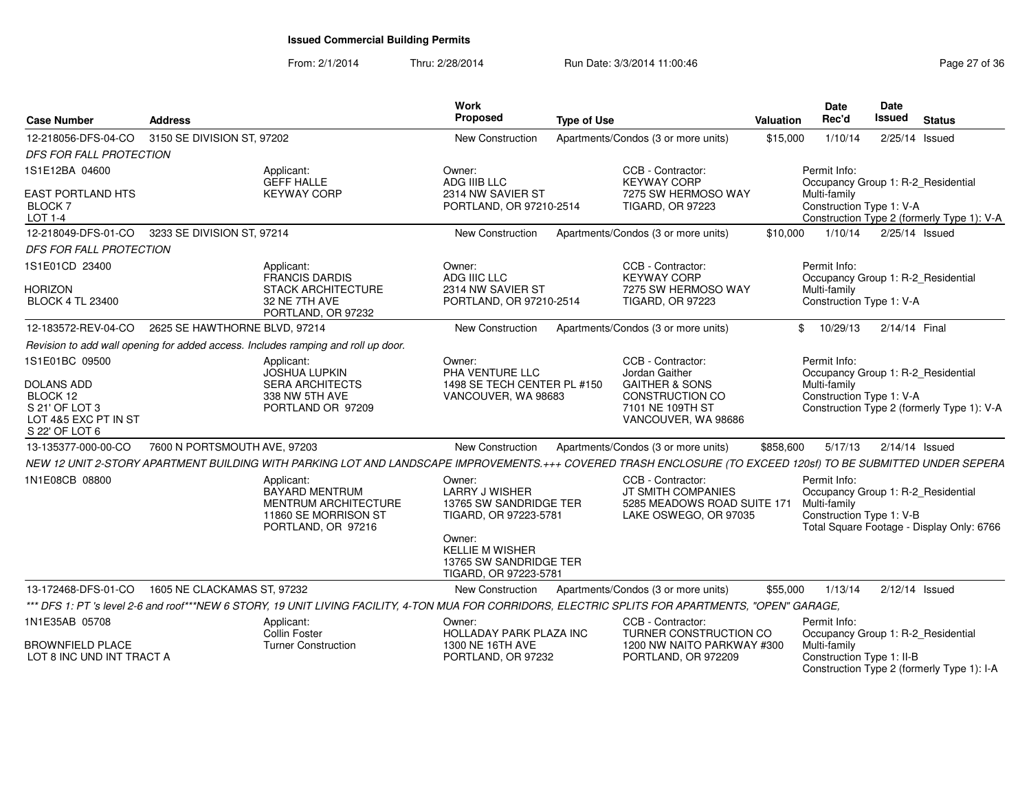| <b>Case Number</b>                                                                                          | <b>Address</b>                |                                                                                                                                                               | Work<br>Proposed                                                                                                       | <b>Type of Use</b> |                                                                                                                                | <b>Valuation</b> | <b>Date</b><br>Rec'd                                                                           | Date<br><b>Issued</b> | <b>Status</b>                              |
|-------------------------------------------------------------------------------------------------------------|-------------------------------|---------------------------------------------------------------------------------------------------------------------------------------------------------------|------------------------------------------------------------------------------------------------------------------------|--------------------|--------------------------------------------------------------------------------------------------------------------------------|------------------|------------------------------------------------------------------------------------------------|-----------------------|--------------------------------------------|
| 12-218056-DFS-04-CO                                                                                         | 3150 SE DIVISION ST, 97202    |                                                                                                                                                               | New Construction                                                                                                       |                    | Apartments/Condos (3 or more units)                                                                                            | \$15,000         | 1/10/14                                                                                        | 2/25/14 Issued        |                                            |
| <b>DFS FOR FALL PROTECTION</b>                                                                              |                               |                                                                                                                                                               |                                                                                                                        |                    |                                                                                                                                |                  |                                                                                                |                       |                                            |
| 1S1E12BA 04600                                                                                              |                               | Applicant:<br><b>GEFF HALLE</b>                                                                                                                               | Owner:<br>ADG IIIB LLC                                                                                                 |                    | CCB - Contractor:<br><b>KEYWAY CORP</b>                                                                                        |                  | Permit Info:<br>Occupancy Group 1: R-2_Residential                                             |                       |                                            |
| EAST PORTLAND HTS<br>BLOCK <sub>7</sub><br>LOT 1-4                                                          |                               | <b>KEYWAY CORP</b>                                                                                                                                            | 2314 NW SAVIER ST<br>PORTLAND, OR 97210-2514                                                                           |                    | 7275 SW HERMOSO WAY<br><b>TIGARD, OR 97223</b>                                                                                 |                  | Multi-family<br>Construction Type 1: V-A                                                       |                       | Construction Type 2 (formerly Type 1): V-A |
| 12-218049-DFS-01-CO                                                                                         | 3233 SE DIVISION ST, 97214    |                                                                                                                                                               | New Construction                                                                                                       |                    | Apartments/Condos (3 or more units)                                                                                            | \$10,000         | 1/10/14                                                                                        | 2/25/14 Issued        |                                            |
| <b>DFS FOR FALL PROTECTION</b>                                                                              |                               |                                                                                                                                                               |                                                                                                                        |                    |                                                                                                                                |                  |                                                                                                |                       |                                            |
| 1S1E01CD 23400                                                                                              |                               | Applicant:<br><b>FRANCIS DARDIS</b>                                                                                                                           | Owner:<br>ADG IIIC LLC                                                                                                 |                    | CCB - Contractor:<br><b>KEYWAY CORP</b>                                                                                        |                  | Permit Info:<br>Occupancy Group 1: R-2_Residential                                             |                       |                                            |
| <b>HORIZON</b><br><b>BLOCK 4 TL 23400</b>                                                                   |                               | <b>STACK ARCHITECTURE</b><br>32 NE 7TH AVE<br>PORTLAND, OR 97232                                                                                              | 2314 NW SAVIER ST<br>PORTLAND, OR 97210-2514                                                                           |                    | 7275 SW HERMOSO WAY<br><b>TIGARD, OR 97223</b>                                                                                 |                  | Multi-family<br>Construction Type 1: V-A                                                       |                       |                                            |
| 12-183572-REV-04-CO                                                                                         | 2625 SE HAWTHORNE BLVD, 97214 |                                                                                                                                                               | New Construction                                                                                                       |                    | Apartments/Condos (3 or more units)                                                                                            |                  | \$10/29/13                                                                                     | 2/14/14 Final         |                                            |
|                                                                                                             |                               | Revision to add wall opening for added access. Includes ramping and roll up door.                                                                             |                                                                                                                        |                    |                                                                                                                                |                  |                                                                                                |                       |                                            |
| 1S1E01BC 09500<br><b>DOLANS ADD</b><br>BLOCK 12<br>S 21' OF LOT 3<br>LOT 4&5 EXC PT IN ST<br>S 22' OF LOT 6 |                               | Applicant:<br><b>JOSHUA LUPKIN</b><br><b>SERA ARCHITECTS</b><br>338 NW 5TH AVE<br>PORTLAND OR 97209                                                           | Owner:<br>PHA VENTURE LLC<br>1498 SE TECH CENTER PL #150<br>VANCOUVER, WA 98683                                        |                    | CCB - Contractor:<br>Jordan Gaither<br><b>GAITHER &amp; SONS</b><br>CONSTRUCTION CO<br>7101 NE 109TH ST<br>VANCOUVER, WA 98686 |                  | Permit Info:<br>Occupancy Group 1: R-2_Residential<br>Multi-family<br>Construction Type 1: V-A |                       | Construction Type 2 (formerly Type 1): V-A |
| 13-135377-000-00-CO                                                                                         | 7600 N PORTSMOUTH AVE, 97203  |                                                                                                                                                               | New Construction                                                                                                       |                    | Apartments/Condos (3 or more units)                                                                                            | \$858,600        | 5/17/13                                                                                        | $2/14/14$ Issued      |                                            |
|                                                                                                             |                               | NEW 12 UNIT 2-STORY APARTMENT BUILDING WITH PARKING LOT AND LANDSCAPE IMPROVEMENTS.+++ COVERED TRASH ENCLOSURE (TO EXCEED 120sf) TO BE SUBMITTED UNDER SEPERA |                                                                                                                        |                    |                                                                                                                                |                  |                                                                                                |                       |                                            |
| 1N1E08CB 08800                                                                                              |                               | Applicant:<br><b>BAYARD MENTRUM</b><br><b>MENTRUM ARCHITECTURE</b><br>11860 SE MORRISON ST<br>PORTLAND, OR 97216                                              | Owner:<br><b>LARRY J WISHER</b><br>13765 SW SANDRIDGE TER<br>TIGARD, OR 97223-5781<br>Owner:<br><b>KELLIE M WISHER</b> |                    | CCB - Contractor:<br>JT SMITH COMPANIES<br>5285 MEADOWS ROAD SUITE 171<br>LAKE OSWEGO, OR 97035                                |                  | Permit Info:<br>Occupancy Group 1: R-2_Residential<br>Multi-family<br>Construction Type 1: V-B |                       | Total Square Footage - Display Only: 6766  |
|                                                                                                             |                               |                                                                                                                                                               | 13765 SW SANDRIDGE TER<br>TIGARD, OR 97223-5781                                                                        |                    |                                                                                                                                |                  |                                                                                                |                       |                                            |
| 13-172468-DFS-01-CO                                                                                         | 1605 NE CLACKAMAS ST. 97232   |                                                                                                                                                               | New Construction                                                                                                       |                    | Apartments/Condos (3 or more units)                                                                                            | \$55,000         | 1/13/14                                                                                        | $2/12/14$ Issued      |                                            |
|                                                                                                             |                               | *** DFS 1: PT 's level 2-6 and roof***NEW 6 STORY, 19 UNIT LIVING FACILITY, 4-TON MUA FOR CORRIDORS, ELECTRIC SPLITS FOR APARTMENTS, "OPEN" GARAGE,           |                                                                                                                        |                    |                                                                                                                                |                  |                                                                                                |                       |                                            |
| 1N1E35AB 05708                                                                                              |                               | Applicant:<br><b>Collin Foster</b>                                                                                                                            | Owner:<br><b>HOLLADAY PARK PLAZA INC</b>                                                                               |                    | CCB - Contractor:<br>TURNER CONSTRUCTION CO                                                                                    |                  | Permit Info:<br>Occupancy Group 1: R-2_Residential                                             |                       |                                            |
| <b>BROWNFIELD PLACE</b><br>LOT 8 INC UND INT TRACT A                                                        |                               | <b>Turner Construction</b>                                                                                                                                    | 1300 NE 16TH AVE<br>PORTLAND, OR 97232                                                                                 |                    | 1200 NW NAITO PARKWAY #300<br>PORTLAND, OR 972209                                                                              |                  | Multi-family<br>Construction Type 1: II-B                                                      |                       | Construction Type 2 (formerly Type 1): I-A |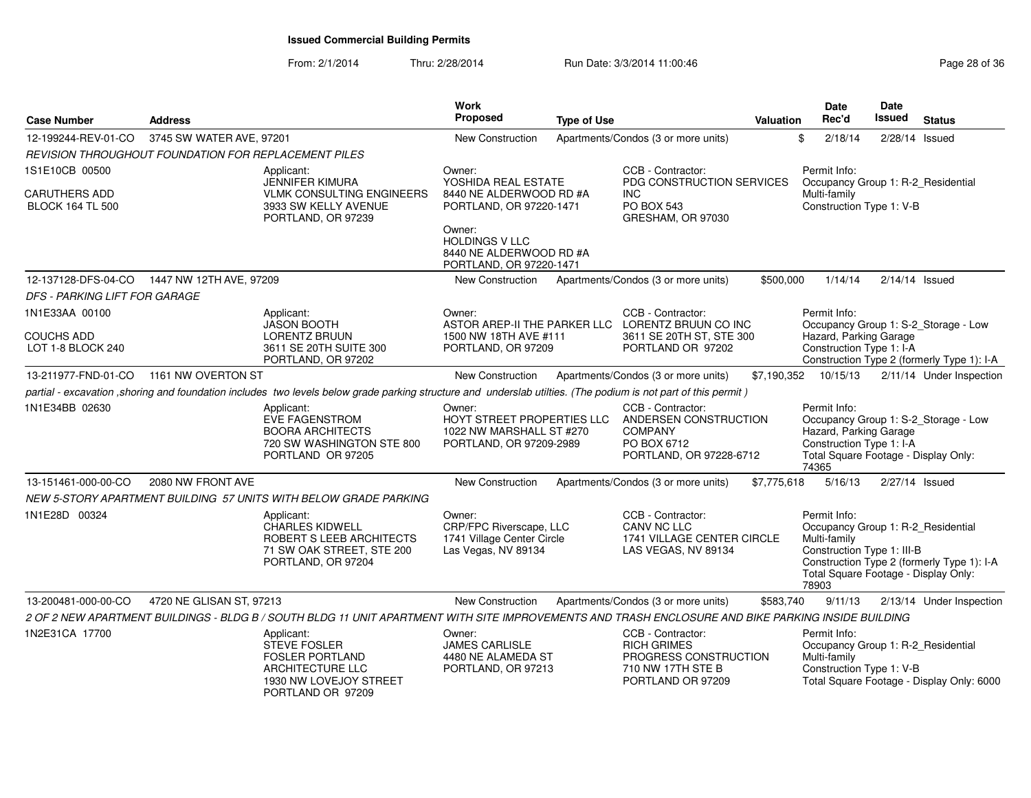| <b>Case Number</b>            | <b>Address</b>                                       |                                                                                                                                                                 | Work<br>Proposed                                                                            | <b>Type of Use</b> |                                                                                                            | <b>Valuation</b> | <b>Date</b><br>Rec'd                                                                                                                              | Date<br><b>Issued</b> | <b>Status</b>                              |
|-------------------------------|------------------------------------------------------|-----------------------------------------------------------------------------------------------------------------------------------------------------------------|---------------------------------------------------------------------------------------------|--------------------|------------------------------------------------------------------------------------------------------------|------------------|---------------------------------------------------------------------------------------------------------------------------------------------------|-----------------------|--------------------------------------------|
| 12-199244-REV-01-CO           | 3745 SW WATER AVE, 97201                             |                                                                                                                                                                 | <b>New Construction</b>                                                                     |                    | Apartments/Condos (3 or more units)                                                                        |                  | \$<br>2/18/14                                                                                                                                     | $2/28/14$ Issued      |                                            |
|                               | REVISION THROUGHOUT FOUNDATION FOR REPLACEMENT PILES |                                                                                                                                                                 |                                                                                             |                    |                                                                                                            |                  |                                                                                                                                                   |                       |                                            |
| 1S1E10CB 00500                |                                                      | Applicant:<br>JENNIFER KIMURA                                                                                                                                   | Owner:<br>YOSHIDA REAL ESTATE                                                               |                    | CCB - Contractor:<br>PDG CONSTRUCTION SERVICES                                                             |                  | Permit Info:<br>Occupancy Group 1: R-2_Residential                                                                                                |                       |                                            |
| <b>CARUTHERS ADD</b>          |                                                      | <b>VLMK CONSULTING ENGINEERS</b>                                                                                                                                | 8440 NE ALDERWOOD RD #A                                                                     |                    | <b>INC</b>                                                                                                 |                  | Multi-family                                                                                                                                      |                       |                                            |
| <b>BLOCK 164 TL 500</b>       |                                                      | 3933 SW KELLY AVENUE<br>PORTLAND, OR 97239                                                                                                                      | PORTLAND, OR 97220-1471                                                                     |                    | <b>PO BOX 543</b><br>GRESHAM, OR 97030                                                                     |                  | Construction Type 1: V-B                                                                                                                          |                       |                                            |
|                               |                                                      |                                                                                                                                                                 | Owner:<br><b>HOLDINGS V LLC</b>                                                             |                    |                                                                                                            |                  |                                                                                                                                                   |                       |                                            |
|                               |                                                      |                                                                                                                                                                 | 8440 NE ALDERWOOD RD #A                                                                     |                    |                                                                                                            |                  |                                                                                                                                                   |                       |                                            |
|                               |                                                      |                                                                                                                                                                 | PORTLAND, OR 97220-1471                                                                     |                    |                                                                                                            |                  |                                                                                                                                                   |                       |                                            |
|                               | 12-137128-DFS-04-CO  1447 NW 12TH AVE, 97209         |                                                                                                                                                                 | New Construction                                                                            |                    | Apartments/Condos (3 or more units)                                                                        | \$500,000        | 1/14/14                                                                                                                                           | $2/14/14$ Issued      |                                            |
| DFS - PARKING LIFT FOR GARAGE |                                                      |                                                                                                                                                                 |                                                                                             |                    |                                                                                                            |                  |                                                                                                                                                   |                       |                                            |
| 1N1E33AA 00100                |                                                      | Applicant:<br>JASON BOOTH                                                                                                                                       | Owner:                                                                                      |                    | CCB - Contractor:<br>ASTOR AREP-II THE PARKER LLC LORENTZ BRUUN CO INC                                     |                  | Permit Info:                                                                                                                                      |                       | Occupancy Group 1: S-2_Storage - Low       |
| <b>COUCHS ADD</b>             |                                                      | LORENTZ BRUUN                                                                                                                                                   | 1500 NW 18TH AVE #111                                                                       |                    | 3611 SE 20TH ST, STE 300                                                                                   |                  | Hazard, Parking Garage                                                                                                                            |                       |                                            |
| LOT 1-8 BLOCK 240             |                                                      | 3611 SE 20TH SUITE 300<br>PORTLAND, OR 97202                                                                                                                    | PORTLAND, OR 97209                                                                          |                    | PORTLAND OR 97202                                                                                          |                  | Construction Type 1: I-A                                                                                                                          |                       | Construction Type 2 (formerly Type 1): I-A |
| 13-211977-FND-01-CO           | 1161 NW OVERTON ST                                   |                                                                                                                                                                 | <b>New Construction</b>                                                                     |                    | Apartments/Condos (3 or more units)                                                                        | \$7,190,352      | 10/15/13                                                                                                                                          |                       | 2/11/14 Under Inspection                   |
|                               |                                                      | partial - excavation , shoring and foundation includes two levels below grade parking structure and underslab utilties. (The podium is not part of this permit) |                                                                                             |                    |                                                                                                            |                  |                                                                                                                                                   |                       |                                            |
| 1N1E34BB 02630                |                                                      | Applicant:<br><b>EVE FAGENSTROM</b><br><b>BOORA ARCHITECTS</b><br>720 SW WASHINGTON STE 800<br>PORTLAND OR 97205                                                | Owner:<br>HOYT STREET PROPERTIES LLC<br>1022 NW MARSHALL ST #270<br>PORTLAND, OR 97209-2989 |                    | CCB - Contractor:<br>ANDERSEN CONSTRUCTION<br><b>COMPANY</b><br>PO BOX 6712<br>PORTLAND, OR 97228-6712     |                  | Permit Info:<br>Hazard, Parking Garage<br>Construction Type 1: I-A<br>Total Square Footage - Display Only:<br>74365                               |                       | Occupancy Group 1: S-2_Storage - Low       |
| 13-151461-000-00-CO           | 2080 NW FRONT AVE                                    |                                                                                                                                                                 | New Construction                                                                            |                    | Apartments/Condos (3 or more units)                                                                        | \$7,775,618      | 5/16/13                                                                                                                                           | 2/27/14 Issued        |                                            |
|                               |                                                      | NEW 5-STORY APARTMENT BUILDING 57 UNITS WITH BELOW GRADE PARKING                                                                                                |                                                                                             |                    |                                                                                                            |                  |                                                                                                                                                   |                       |                                            |
| 1N1E28D 00324                 |                                                      | Applicant:<br><b>CHARLES KIDWELL</b><br>ROBERT S LEEB ARCHITECTS<br>71 SW OAK STREET, STE 200<br>PORTLAND, OR 97204                                             | Owner:<br>CRP/FPC Riverscape, LLC<br>1741 Village Center Circle<br>Las Vegas, NV 89134      |                    | CCB - Contractor:<br>CANV NC LLC<br>1741 VILLAGE CENTER CIRCLE<br>LAS VEGAS, NV 89134                      |                  | Permit Info:<br>Occupancy Group 1: R-2_Residential<br>Multi-family<br>Construction Type 1: III-B<br>Total Square Footage - Display Only:<br>78903 |                       | Construction Type 2 (formerly Type 1): I-A |
| 13-200481-000-00-CO           | 4720 NE GLISAN ST, 97213                             |                                                                                                                                                                 | <b>New Construction</b>                                                                     |                    | Apartments/Condos (3 or more units)                                                                        | \$583,740        | 9/11/13                                                                                                                                           |                       | 2/13/14 Under Inspection                   |
|                               |                                                      | 2 OF 2 NEW APARTMENT BUILDINGS - BLDG B / SOUTH BLDG 11 UNIT APARTMENT WITH SITE IMPROVEMENTS AND TRASH ENCLOSURE AND BIKE PARKING INSIDE BUILDING              |                                                                                             |                    |                                                                                                            |                  |                                                                                                                                                   |                       |                                            |
| 1N2E31CA 17700                |                                                      | Applicant:<br><b>STEVE FOSLER</b><br><b>FOSLER PORTLAND</b><br>ARCHITECTURE LLC<br>1930 NW LOVEJOY STREET<br>PORTLAND OR 97209                                  | Owner:<br>JAMES CARLISLE<br>4480 NE ALAMEDA ST<br>PORTLAND, OR 97213                        |                    | CCB - Contractor:<br><b>RICH GRIMES</b><br>PROGRESS CONSTRUCTION<br>710 NW 17TH STE B<br>PORTLAND OR 97209 |                  | Permit Info:<br>Occupancy Group 1: R-2_Residential<br>Multi-family<br>Construction Type 1: V-B                                                    |                       | Total Square Footage - Display Only: 6000  |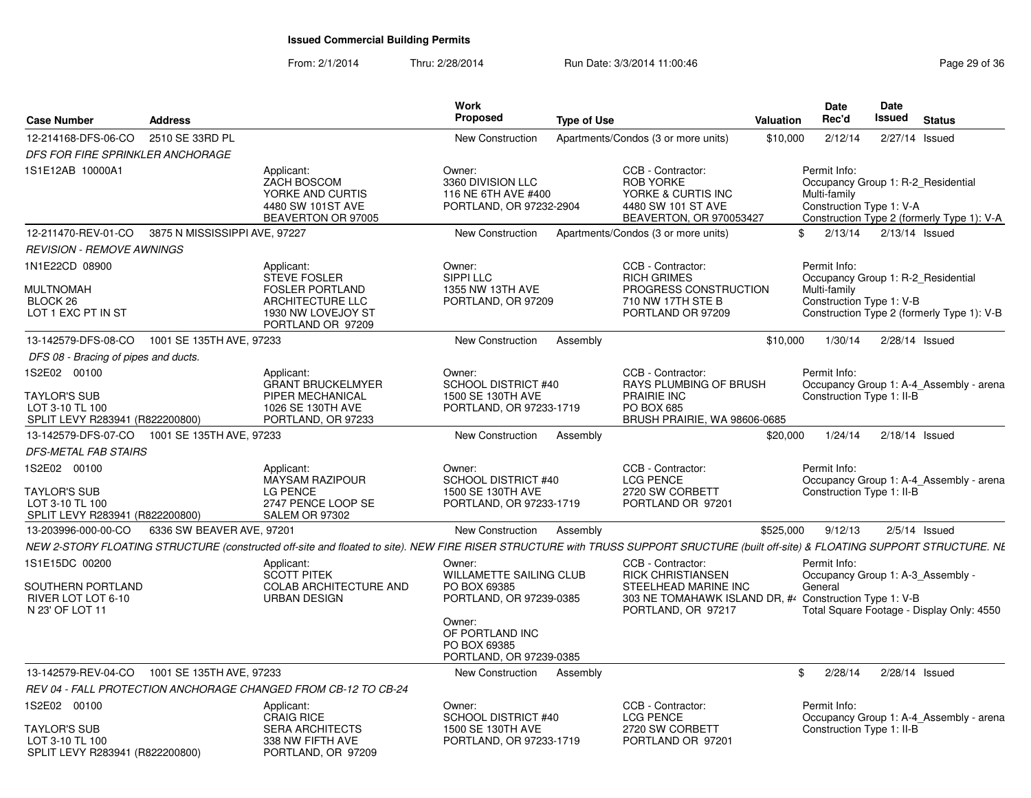| <b>Case Number</b>                                                 | Address                       |                                                                                                                                                                                   | Work<br>Proposed<br><b>Type of Use</b>                                        |                                                                                                                                 | <b>Valuation</b> | <b>Date</b><br>Rec'd                                                                           | Date<br>Issued   | <b>Status</b>                              |
|--------------------------------------------------------------------|-------------------------------|-----------------------------------------------------------------------------------------------------------------------------------------------------------------------------------|-------------------------------------------------------------------------------|---------------------------------------------------------------------------------------------------------------------------------|------------------|------------------------------------------------------------------------------------------------|------------------|--------------------------------------------|
| 12-214168-DFS-06-CO                                                | 2510 SE 33RD PL               |                                                                                                                                                                                   | <b>New Construction</b>                                                       | Apartments/Condos (3 or more units)                                                                                             | \$10,000         | 2/12/14                                                                                        | 2/27/14 Issued   |                                            |
| <b>DFS FOR FIRE SPRINKLER ANCHORAGE</b>                            |                               |                                                                                                                                                                                   |                                                                               |                                                                                                                                 |                  |                                                                                                |                  |                                            |
| 1S1E12AB 10000A1                                                   |                               | Applicant:<br>ZACH BOSCOM<br>YORKE AND CURTIS<br>4480 SW 101ST AVE<br>BEAVERTON OR 97005                                                                                          | Owner:<br>3360 DIVISION LLC<br>116 NE 6TH AVE #400<br>PORTLAND, OR 97232-2904 | CCB - Contractor:<br>ROB YORKE<br>YORKE & CURTIS INC<br>4480 SW 101 ST AVE<br>BEAVERTON, OR 970053427                           |                  | Permit Info:<br>Occupancy Group 1: R-2 Residential<br>Multi-family<br>Construction Type 1: V-A |                  | Construction Type 2 (formerly Type 1): V-A |
| 12-211470-REV-01-CO                                                | 3875 N MISSISSIPPI AVE, 97227 |                                                                                                                                                                                   | <b>New Construction</b>                                                       | Apartments/Condos (3 or more units)                                                                                             | \$.              | 2/13/14                                                                                        | 2/13/14 Issued   |                                            |
| <b>REVISION - REMOVE AWNINGS</b>                                   |                               |                                                                                                                                                                                   |                                                                               |                                                                                                                                 |                  |                                                                                                |                  |                                            |
| 1N1E22CD 08900                                                     |                               | Applicant:<br><b>STEVE FOSLER</b>                                                                                                                                                 | Owner:<br>SIPPI LLC                                                           | CCB - Contractor:<br><b>RICH GRIMES</b>                                                                                         |                  | Permit Info:<br>Occupancy Group 1: R-2_Residential                                             |                  |                                            |
| <b>MULTNOMAH</b><br>BLOCK 26<br>LOT 1 EXC PT IN ST                 |                               | <b>FOSLER PORTLAND</b><br><b>ARCHITECTURE LLC</b><br>1930 NW LOVEJOY ST<br>PORTLAND OR 97209                                                                                      | 1355 NW 13TH AVE<br>PORTLAND, OR 97209                                        | PROGRESS CONSTRUCTION<br>710 NW 17TH STE B<br>PORTLAND OR 97209                                                                 |                  | Multi-family<br>Construction Type 1: V-B                                                       |                  | Construction Type 2 (formerly Type 1): V-B |
| 13-142579-DFS-08-CO                                                | 1001 SE 135TH AVE, 97233      |                                                                                                                                                                                   | New Construction<br>Assembly                                                  |                                                                                                                                 | \$10,000         | 1/30/14                                                                                        | 2/28/14 Issued   |                                            |
| DFS 08 - Bracing of pipes and ducts.                               |                               |                                                                                                                                                                                   |                                                                               |                                                                                                                                 |                  |                                                                                                |                  |                                            |
| 1S2E02 00100                                                       |                               | Applicant:<br><b>GRANT BRUCKELMYER</b>                                                                                                                                            | Owner:<br><b>SCHOOL DISTRICT #40</b>                                          | CCB - Contractor:<br>RAYS PLUMBING OF BRUSH                                                                                     |                  | Permit Info:                                                                                   |                  | Occupancy Group 1: A-4 Assembly - arena    |
| TAYLOR'S SUB<br>LOT 3-10 TL 100<br>SPLIT LEVY R283941 (R822200800) |                               | PIPER MECHANICAL<br>1026 SE 130TH AVE<br>PORTLAND, OR 97233                                                                                                                       | 1500 SE 130TH AVE<br>PORTLAND, OR 97233-1719                                  | PRAIRIE INC<br>PO BOX 685<br>BRUSH PRAIRIE, WA 98606-0685                                                                       |                  | Construction Type 1: II-B                                                                      |                  |                                            |
| 13-142579-DFS-07-CO                                                | 1001 SE 135TH AVE, 97233      |                                                                                                                                                                                   | New Construction<br>Assembly                                                  |                                                                                                                                 | \$20,000         | 1/24/14                                                                                        | $2/18/14$ Issued |                                            |
| <b>DFS-METAL FAB STAIRS</b>                                        |                               |                                                                                                                                                                                   |                                                                               |                                                                                                                                 |                  |                                                                                                |                  |                                            |
| 1S2E02 00100<br><b>TAYLOR'S SUB</b>                                |                               | Applicant:<br><b>MAYSAM RAZIPOUR</b><br>LG PENCE                                                                                                                                  | Owner:<br>SCHOOL DISTRICT #40<br>1500 SE 130TH AVE                            | CCB - Contractor:<br><b>LCG PENCE</b><br>2720 SW CORBETT                                                                        |                  | Permit Info:<br>Construction Type 1: II-B                                                      |                  | Occupancy Group 1: A-4 Assembly - arena    |
| LOT 3-10 TL 100<br>SPLIT LEVY R283941 (R822200800)                 |                               | 2747 PENCE LOOP SE<br><b>SALEM OR 97302</b>                                                                                                                                       | PORTLAND, OR 97233-1719                                                       | PORTLAND OR 97201                                                                                                               |                  |                                                                                                |                  |                                            |
| 13-203996-000-00-CO                                                | 6336 SW BEAVER AVE, 97201     |                                                                                                                                                                                   | New Construction<br>Assembly                                                  |                                                                                                                                 | \$525,000        | 9/12/13                                                                                        | $2/5/14$ Issued  |                                            |
|                                                                    |                               | NEW 2-STORY FLOATING STRUCTURE (constructed off-site and floated to site). NEW FIRE RISER STRUCTURE with TRUSS SUPPORT SRUCTURE (built off-site) & FLOATING SUPPORT STRUCTURE. NE |                                                                               |                                                                                                                                 |                  |                                                                                                |                  |                                            |
| 1S1E15DC 00200                                                     |                               | Applicant:                                                                                                                                                                        | Owner:                                                                        | CCB - Contractor:                                                                                                               |                  | Permit Info:                                                                                   |                  |                                            |
| SOUTHERN PORTLAND<br>RIVER LOT LOT 6-10<br>N 23' OF LOT 11         |                               | <b>SCOTT PITEK</b><br><b>COLAB ARCHITECTURE AND</b><br><b>URBAN DESIGN</b>                                                                                                        | <b>WILLAMETTE SAILING CLUB</b><br>PO BOX 69385<br>PORTLAND, OR 97239-0385     | <b>RICK CHRISTIANSEN</b><br>STEELHEAD MARINE INC<br>303 NE TOMAHAWK ISLAND DR, # Construction Type 1: V-B<br>PORTLAND, OR 97217 |                  | Occupancy Group 1: A-3_Assembly -<br>General                                                   |                  | Total Square Footage - Display Only: 4550  |
|                                                                    |                               |                                                                                                                                                                                   | Owner:<br>OF PORTLAND INC<br>PO BOX 69385<br>PORTLAND, OR 97239-0385          |                                                                                                                                 |                  |                                                                                                |                  |                                            |
| 13-142579-REV-04-CO 1001 SE 135TH AVE, 97233                       |                               |                                                                                                                                                                                   | New Construction<br>Assembly                                                  |                                                                                                                                 | -\$              | 2/28/14                                                                                        | 2/28/14 Issued   |                                            |
|                                                                    |                               | REV 04 - FALL PROTECTION ANCHORAGE CHANGED FROM CB-12 TO CB-24                                                                                                                    |                                                                               |                                                                                                                                 |                  |                                                                                                |                  |                                            |
| 1S2E02 00100                                                       |                               | Applicant:<br><b>CRAIG RICE</b>                                                                                                                                                   | Owner:<br>SCHOOL DISTRICT #40                                                 | CCB - Contractor:<br><b>LCG PENCE</b>                                                                                           |                  | Permit Info:                                                                                   |                  | Occupancy Group 1: A-4 Assembly - arena    |
| TAYLOR'S SUB<br>LOT 3-10 TL 100<br>SPLIT LEVY R283941 (R822200800) |                               | <b>SERA ARCHITECTS</b><br>338 NW FIFTH AVE<br>PORTLAND, OR 97209                                                                                                                  | 1500 SE 130TH AVE<br>PORTLAND, OR 97233-1719                                  | 2720 SW CORBETT<br>PORTLAND OR 97201                                                                                            |                  | Construction Type 1: II-B                                                                      |                  |                                            |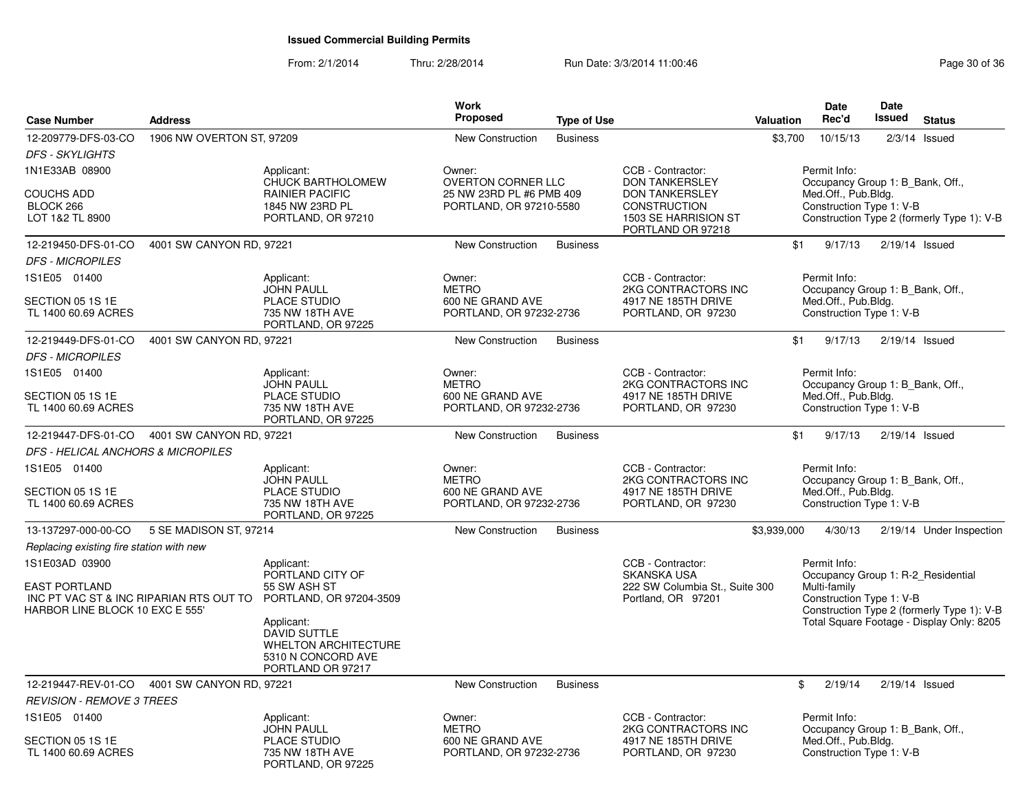| <b>Case Number</b>                                                                                                   | <b>Address</b>            |                                                                                                                                                                                          | Work<br><b>Proposed</b>                                                   | <b>Type of Use</b> |                                                                                                             | <b>Valuation</b> | <b>Date</b><br>Rec'd                                                                | <b>Date</b><br><b>Issued</b> | <b>Status</b>                                                                                                                 |
|----------------------------------------------------------------------------------------------------------------------|---------------------------|------------------------------------------------------------------------------------------------------------------------------------------------------------------------------------------|---------------------------------------------------------------------------|--------------------|-------------------------------------------------------------------------------------------------------------|------------------|-------------------------------------------------------------------------------------|------------------------------|-------------------------------------------------------------------------------------------------------------------------------|
| 12-209779-DFS-03-CO                                                                                                  | 1906 NW OVERTON ST, 97209 |                                                                                                                                                                                          | <b>New Construction</b>                                                   | <b>Business</b>    |                                                                                                             | \$3,700          | 10/15/13                                                                            |                              | $2/3/14$ Issued                                                                                                               |
| <b>DFS - SKYLIGHTS</b>                                                                                               |                           |                                                                                                                                                                                          |                                                                           |                    |                                                                                                             |                  |                                                                                     |                              |                                                                                                                               |
| 1N1E33AB 08900                                                                                                       |                           | Applicant:                                                                                                                                                                               | Owner:                                                                    |                    | CCB - Contractor:                                                                                           |                  | Permit Info:                                                                        |                              |                                                                                                                               |
| <b>COUCHS ADD</b><br>BLOCK 266<br>LOT 1&2 TL 8900                                                                    |                           | CHUCK BARTHOLOMEW<br><b>RAINIER PACIFIC</b><br>1845 NW 23RD PL<br>PORTLAND, OR 97210                                                                                                     | OVERTON CORNER LLC<br>25 NW 23RD PL #6 PMB 409<br>PORTLAND, OR 97210-5580 |                    | <b>DON TANKERSLEY</b><br><b>DON TANKERSLEY</b><br>CONSTRUCTION<br>1503 SE HARRISION ST<br>PORTLAND OR 97218 |                  | Occupancy Group 1: B_Bank, Off.,<br>Med.Off., Pub.Bldg.<br>Construction Type 1: V-B |                              | Construction Type 2 (formerly Type 1): V-B                                                                                    |
| 12-219450-DFS-01-CO                                                                                                  | 4001 SW CANYON RD, 97221  |                                                                                                                                                                                          | <b>New Construction</b>                                                   | <b>Business</b>    |                                                                                                             | \$1              | 9/17/13                                                                             |                              | $2/19/14$ Issued                                                                                                              |
| <b>DFS - MICROPILES</b>                                                                                              |                           |                                                                                                                                                                                          |                                                                           |                    |                                                                                                             |                  |                                                                                     |                              |                                                                                                                               |
| 1S1E05 01400                                                                                                         |                           | Applicant:<br><b>JOHN PAULL</b>                                                                                                                                                          | Owner:<br><b>METRO</b>                                                    |                    | CCB - Contractor:<br>2KG CONTRACTORS INC                                                                    |                  | Permit Info:<br>Occupancy Group 1: B_Bank, Off.,                                    |                              |                                                                                                                               |
| SECTION 05 1S 1E<br>TL 1400 60.69 ACRES                                                                              |                           | PLACE STUDIO<br>735 NW 18TH AVE<br>PORTLAND, OR 97225                                                                                                                                    | 600 NE GRAND AVE<br>PORTLAND, OR 97232-2736                               |                    | 4917 NE 185TH DRIVE<br>PORTLAND, OR 97230                                                                   |                  | Med.Off., Pub.Bldg.<br>Construction Type 1: V-B                                     |                              |                                                                                                                               |
| 12-219449-DFS-01-CO                                                                                                  | 4001 SW CANYON RD, 97221  |                                                                                                                                                                                          | New Construction                                                          | <b>Business</b>    |                                                                                                             | \$1              | 9/17/13                                                                             |                              | $2/19/14$ Issued                                                                                                              |
| <b>DFS - MICROPILES</b>                                                                                              |                           |                                                                                                                                                                                          |                                                                           |                    |                                                                                                             |                  |                                                                                     |                              |                                                                                                                               |
| 1S1E05 01400                                                                                                         |                           | Applicant:                                                                                                                                                                               | Owner:                                                                    |                    | CCB - Contractor:                                                                                           |                  | Permit Info:                                                                        |                              |                                                                                                                               |
| SECTION 05 1S 1E<br>TL 1400 60.69 ACRES                                                                              |                           | <b>JOHN PAULL</b><br><b>PLACE STUDIO</b><br>735 NW 18TH AVE<br>PORTLAND, OR 97225                                                                                                        | <b>METRO</b><br>600 NE GRAND AVE<br>PORTLAND, OR 97232-2736               |                    | 2KG CONTRACTORS INC<br>4917 NE 185TH DRIVE<br>PORTLAND, OR 97230                                            |                  | Occupancy Group 1: B_Bank, Off.,<br>Med.Off., Pub.Bldg.<br>Construction Type 1: V-B |                              |                                                                                                                               |
| 12-219447-DFS-01-CO                                                                                                  | 4001 SW CANYON RD, 97221  |                                                                                                                                                                                          | New Construction                                                          | <b>Business</b>    |                                                                                                             | \$1              | 9/17/13                                                                             |                              | $2/19/14$ Issued                                                                                                              |
| DFS - HELICAL ANCHORS & MICROPILES                                                                                   |                           |                                                                                                                                                                                          |                                                                           |                    |                                                                                                             |                  |                                                                                     |                              |                                                                                                                               |
| 1S1E05 01400                                                                                                         |                           | Applicant:                                                                                                                                                                               | Owner:                                                                    |                    | CCB - Contractor:                                                                                           |                  | Permit Info:                                                                        |                              |                                                                                                                               |
| SECTION 05 1S 1E<br>TL 1400 60.69 ACRES                                                                              |                           | <b>JOHN PAULL</b><br><b>PLACE STUDIO</b><br>735 NW 18TH AVE<br>PORTLAND, OR 97225                                                                                                        | <b>METRO</b><br>600 NE GRAND AVE<br>PORTLAND, OR 97232-2736               |                    | 2KG CONTRACTORS INC<br>4917 NE 185TH DRIVE<br>PORTLAND, OR 97230                                            |                  | Occupancy Group 1: B Bank, Off.,<br>Med.Off., Pub.Bldg.<br>Construction Type 1: V-B |                              |                                                                                                                               |
| 13-137297-000-00-CO                                                                                                  | 5 SE MADISON ST, 97214    |                                                                                                                                                                                          | New Construction                                                          | <b>Business</b>    |                                                                                                             | \$3,939,000      | 4/30/13                                                                             |                              | 2/19/14 Under Inspection                                                                                                      |
| Replacing existing fire station with new                                                                             |                           |                                                                                                                                                                                          |                                                                           |                    |                                                                                                             |                  |                                                                                     |                              |                                                                                                                               |
| 1S1E03AD 03900<br><b>EAST PORTLAND</b><br>INC PT VAC ST & INC RIPARIAN RTS OUT TO<br>HARBOR LINE BLOCK 10 EXC E 555' |                           | Applicant:<br>PORTLAND CITY OF<br>55 SW ASH ST<br>PORTLAND, OR 97204-3509<br>Applicant:<br><b>DAVID SUTTLE</b><br><b>WHELTON ARCHITECTURE</b><br>5310 N CONCORD AVE<br>PORTLAND OR 97217 |                                                                           |                    | CCB - Contractor:<br><b>SKANSKA USA</b><br>222 SW Columbia St., Suite 300<br>Portland, OR 97201             |                  | Permit Info:<br>Multi-family<br>Construction Type 1: V-B                            |                              | Occupancy Group 1: R-2 Residential<br>Construction Type 2 (formerly Type 1): V-B<br>Total Square Footage - Display Only: 8205 |
| 12-219447-REV-01-CO                                                                                                  | 4001 SW CANYON RD, 97221  |                                                                                                                                                                                          | New Construction                                                          | <b>Business</b>    |                                                                                                             | \$               | 2/19/14                                                                             |                              | $2/19/14$ Issued                                                                                                              |
| <b>REVISION - REMOVE 3 TREES</b>                                                                                     |                           |                                                                                                                                                                                          |                                                                           |                    |                                                                                                             |                  |                                                                                     |                              |                                                                                                                               |
| 1S1E05 01400                                                                                                         |                           | Applicant:<br><b>JOHN PAULL</b>                                                                                                                                                          | Owner:<br><b>METRO</b>                                                    |                    | CCB - Contractor:<br>2KG CONTRACTORS INC                                                                    |                  | Permit Info:<br>Occupancy Group 1: B_Bank, Off.,                                    |                              |                                                                                                                               |
| SECTION 05 1S 1E<br>TL 1400 60.69 ACRES                                                                              |                           | PLACE STUDIO<br>735 NW 18TH AVE<br>PORTLAND, OR 97225                                                                                                                                    | 600 NE GRAND AVE<br>PORTLAND, OR 97232-2736                               |                    | 4917 NE 185TH DRIVE<br>PORTLAND, OR 97230                                                                   |                  | Med.Off., Pub.Bldg.<br>Construction Type 1: V-B                                     |                              |                                                                                                                               |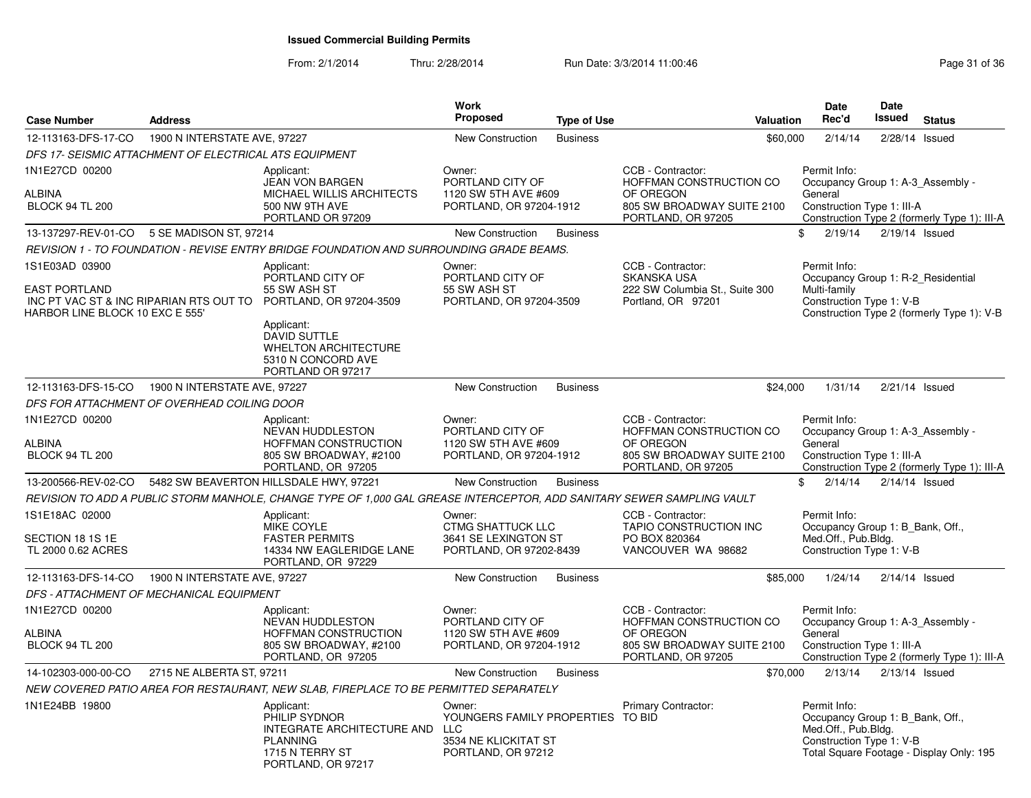| <b>Case Number</b>                                                        | <b>Address</b>               |                                                                                                                                                                                                                           | Work<br>Proposed                                                                          | <b>Type of Use</b> | <b>Valuation</b>                                                                                              | <b>Date</b><br>Rec'd                                                                                | <b>Date</b><br>Issued | <b>Status</b>                                |
|---------------------------------------------------------------------------|------------------------------|---------------------------------------------------------------------------------------------------------------------------------------------------------------------------------------------------------------------------|-------------------------------------------------------------------------------------------|--------------------|---------------------------------------------------------------------------------------------------------------|-----------------------------------------------------------------------------------------------------|-----------------------|----------------------------------------------|
| 12-113163-DFS-17-CO                                                       | 1900 N INTERSTATE AVE, 97227 |                                                                                                                                                                                                                           | <b>New Construction</b>                                                                   | <b>Business</b>    | \$60,000                                                                                                      | 2/14/14                                                                                             | 2/28/14 Issued        |                                              |
| DFS 17- SEISMIC ATTACHMENT OF ELECTRICAL ATS EQUIPMENT                    |                              |                                                                                                                                                                                                                           |                                                                                           |                    |                                                                                                               |                                                                                                     |                       |                                              |
| 1N1E27CD 00200<br>ALBINA<br><b>BLOCK 94 TL 200</b>                        |                              | Applicant:<br><b>JEAN VON BARGEN</b><br>MICHAEL WILLIS ARCHITECTS<br>500 NW 9TH AVE<br>PORTLAND OR 97209                                                                                                                  | Owner:<br>PORTLAND CITY OF<br>1120 SW 5TH AVE #609<br>PORTLAND, OR 97204-1912             |                    | CCB - Contractor:<br>HOFFMAN CONSTRUCTION CO<br>OF OREGON<br>805 SW BROADWAY SUITE 2100<br>PORTLAND, OR 97205 | Permit Info:<br>Occupancy Group 1: A-3_Assembly -<br>General<br>Construction Type 1: III-A          |                       | Construction Type 2 (formerly Type 1): III-A |
| 13-137297-REV-01-CO 5 SE MADISON ST, 97214                                |                              |                                                                                                                                                                                                                           | New Construction                                                                          | <b>Business</b>    |                                                                                                               | \$<br>2/19/14                                                                                       | 2/19/14 Issued        |                                              |
|                                                                           |                              | REVISION 1 - TO FOUNDATION - REVISE ENTRY BRIDGE FOUNDATION AND SURROUNDING GRADE BEAMS.                                                                                                                                  |                                                                                           |                    |                                                                                                               |                                                                                                     |                       |                                              |
| 1S1E03AD 03900<br><b>EAST PORTLAND</b><br>HARBOR LINE BLOCK 10 EXC E 555' |                              | Applicant:<br>PORTLAND CITY OF<br>55 SW ASH ST<br>INC PT VAC ST & INC RIPARIAN RTS OUT TO PORTLAND, OR 97204-3509<br>Applicant:<br>DAVID SUTTLE<br><b>WHELTON ARCHITECTURE</b><br>5310 N CONCORD AVE<br>PORTLAND OR 97217 | Owner:<br>PORTLAND CITY OF<br>55 SW ASH ST<br>PORTLAND, OR 97204-3509                     |                    | CCB - Contractor:<br><b>SKANSKA USA</b><br>222 SW Columbia St., Suite 300<br>Portland, OR 97201               | Permit Info:<br>Occupancy Group 1: R-2_Residential<br>Multi-family<br>Construction Type 1: V-B      |                       | Construction Type 2 (formerly Type 1): V-B   |
| 12-113163-DFS-15-CO                                                       | 1900 N INTERSTATE AVE, 97227 |                                                                                                                                                                                                                           | <b>New Construction</b>                                                                   | <b>Business</b>    | \$24,000                                                                                                      | 1/31/14                                                                                             | $2/21/14$ Issued      |                                              |
| DFS FOR ATTACHMENT OF OVERHEAD COILING DOOR                               |                              |                                                                                                                                                                                                                           |                                                                                           |                    |                                                                                                               |                                                                                                     |                       |                                              |
| 1N1E27CD 00200<br>ALBINA<br><b>BLOCK 94 TL 200</b>                        |                              | Applicant:<br><b>NEVAN HUDDLESTON</b><br>HOFFMAN CONSTRUCTION<br>805 SW BROADWAY, #2100<br>PORTLAND, OR 97205                                                                                                             | Owner:<br>PORTLAND CITY OF<br>1120 SW 5TH AVE #609<br>PORTLAND, OR 97204-1912             |                    | CCB - Contractor:<br>HOFFMAN CONSTRUCTION CO<br>OF OREGON<br>805 SW BROADWAY SUITE 2100<br>PORTLAND, OR 97205 | Permit Info:<br>Occupancy Group 1: A-3 Assembly -<br>General<br>Construction Type 1: III-A          |                       | Construction Type 2 (formerly Type 1): III-A |
| 13-200566-REV-02-CO                                                       |                              | 5482 SW BEAVERTON HILLSDALE HWY, 97221                                                                                                                                                                                    | New Construction                                                                          | <b>Business</b>    |                                                                                                               | \$<br>2/14/14                                                                                       | $2/14/14$ Issued      |                                              |
|                                                                           |                              | REVISION TO ADD A PUBLIC STORM MANHOLE, CHANGE TYPE OF 1,000 GAL GREASE INTERCEPTOR, ADD SANITARY SEWER SAMPLING VAULT                                                                                                    |                                                                                           |                    |                                                                                                               |                                                                                                     |                       |                                              |
| 1S1E18AC 02000<br>SECTION 18 1S 1E<br>TL 2000 0.62 ACRES                  |                              | Applicant:<br>MIKE COYLE<br><b>FASTER PERMITS</b><br>14334 NW EAGLERIDGE LANE<br>PORTLAND, OR 97229                                                                                                                       | Owner:<br><b>CTMG SHATTUCK LLC</b><br>3641 SE LEXINGTON ST<br>PORTLAND, OR 97202-8439     |                    | CCB - Contractor:<br>TAPIO CONSTRUCTION INC<br>PO BOX 820364<br>VANCOUVER WA 98682                            | Permit Info:<br>Occupancy Group 1: B_Bank, Off.,<br>Med.Off., Pub.Bldg.<br>Construction Type 1: V-B |                       |                                              |
| 12-113163-DFS-14-CO                                                       | 1900 N INTERSTATE AVE, 97227 |                                                                                                                                                                                                                           | New Construction                                                                          | <b>Business</b>    | \$85,000                                                                                                      | 1/24/14                                                                                             | $2/14/14$ Issued      |                                              |
| DFS - ATTACHMENT OF MECHANICAL EQUIPMENT                                  |                              |                                                                                                                                                                                                                           |                                                                                           |                    |                                                                                                               |                                                                                                     |                       |                                              |
| 1N1E27CD 00200<br>ALBINA<br><b>BLOCK 94 TL 200</b>                        |                              | Applicant:<br>NEVAN HUDDLESTON<br>HOFFMAN CONSTRUCTION<br>805 SW BROADWAY, #2100<br>PORTLAND, OR 97205                                                                                                                    | Owner:<br>PORTLAND CITY OF<br>1120 SW 5TH AVE #609<br>PORTLAND, OR 97204-1912             |                    | CCB - Contractor:<br>HOFFMAN CONSTRUCTION CO<br>OF OREGON<br>805 SW BROADWAY SUITE 2100<br>PORTLAND, OR 97205 | Permit Info:<br>Occupancy Group 1: A-3_Assembly -<br>General<br>Construction Type 1: III-A          |                       | Construction Type 2 (formerly Type 1): III-A |
| 14-102303-000-00-CO                                                       | 2715 NE ALBERTA ST, 97211    |                                                                                                                                                                                                                           | <b>New Construction</b>                                                                   | <b>Business</b>    | \$70,000                                                                                                      | 2/13/14                                                                                             | $2/13/14$ Issued      |                                              |
|                                                                           |                              | NEW COVERED PATIO AREA FOR RESTAURANT, NEW SLAB, FIREPLACE TO BE PERMITTED SEPARATELY                                                                                                                                     |                                                                                           |                    |                                                                                                               |                                                                                                     |                       |                                              |
| 1N1E24BB 19800                                                            |                              | Applicant:<br>PHILIP SYDNOR<br>INTEGRATE ARCHITECTURE AND LLC<br><b>PLANNING</b><br>1715 N TERRY ST<br>PORTLAND, OR 97217                                                                                                 | Owner:<br>YOUNGERS FAMILY PROPERTIES TO BID<br>3534 NE KLICKITAT ST<br>PORTLAND, OR 97212 |                    | <b>Primary Contractor:</b>                                                                                    | Permit Info:<br>Occupancy Group 1: B Bank, Off.,<br>Med.Off., Pub.Bldg.<br>Construction Type 1: V-B |                       | Total Square Footage - Display Only: 195     |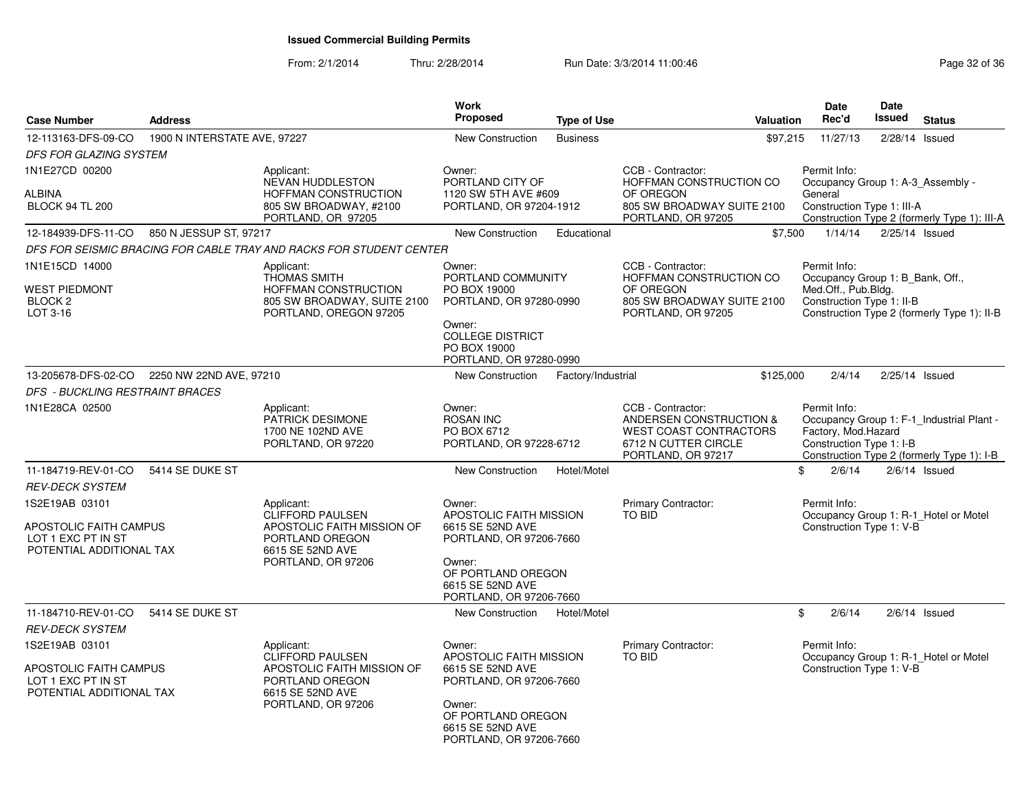| <b>Case Number</b>                                                                         | <b>Address</b>               |                                                                                                                                  | Work<br><b>Proposed</b>                                                                                                                                         | <b>Type of Use</b> | Valuation                                                                                                                   | <b>Date</b><br>Rec'd                                                                                 | <b>Date</b><br>Issued | <b>Status</b>                                                                           |
|--------------------------------------------------------------------------------------------|------------------------------|----------------------------------------------------------------------------------------------------------------------------------|-----------------------------------------------------------------------------------------------------------------------------------------------------------------|--------------------|-----------------------------------------------------------------------------------------------------------------------------|------------------------------------------------------------------------------------------------------|-----------------------|-----------------------------------------------------------------------------------------|
| 12-113163-DFS-09-CO                                                                        | 1900 N INTERSTATE AVE, 97227 |                                                                                                                                  | New Construction                                                                                                                                                | <b>Business</b>    | \$97,215                                                                                                                    | 11/27/13                                                                                             |                       | 2/28/14 Issued                                                                          |
| DFS FOR GLAZING SYSTEM                                                                     |                              |                                                                                                                                  |                                                                                                                                                                 |                    |                                                                                                                             |                                                                                                      |                       |                                                                                         |
| 1N1E27CD 00200<br><b>ALBINA</b><br><b>BLOCK 94 TL 200</b>                                  |                              | Applicant:<br>NEVAN HUDDLESTON<br>HOFFMAN CONSTRUCTION<br>805 SW BROADWAY, #2100<br>PORTLAND, OR 97205                           | Owner:<br>PORTLAND CITY OF<br>1120 SW 5TH AVE #609<br>PORTLAND, OR 97204-1912                                                                                   |                    | CCB - Contractor:<br>HOFFMAN CONSTRUCTION CO<br>OF OREGON<br>805 SW BROADWAY SUITE 2100<br>PORTLAND, OR 97205               | Permit Info:<br>Occupancy Group 1: A-3_Assembly -<br>General<br>Construction Type 1: III-A           |                       | Construction Type 2 (formerly Type 1): III-A                                            |
| 12-184939-DFS-11-CO                                                                        | 850 N JESSUP ST, 97217       |                                                                                                                                  | <b>New Construction</b>                                                                                                                                         | Educational        | \$7,500                                                                                                                     | 1/14/14                                                                                              |                       | 2/25/14 Issued                                                                          |
|                                                                                            |                              | DFS FOR SEISMIC BRACING FOR CABLE TRAY AND RACKS FOR STUDENT CENTER                                                              |                                                                                                                                                                 |                    |                                                                                                                             |                                                                                                      |                       |                                                                                         |
| 1N1E15CD 14000<br><b>WEST PIEDMONT</b><br>BLOCK <sub>2</sub><br>LOT 3-16                   |                              | Applicant:<br><b>THOMAS SMITH</b><br>HOFFMAN CONSTRUCTION<br>805 SW BROADWAY, SUITE 2100<br>PORTLAND, OREGON 97205               | Owner:<br>PORTLAND COMMUNITY<br>PO BOX 19000<br>PORTLAND, OR 97280-0990<br>Owner:                                                                               |                    | CCB - Contractor:<br>HOFFMAN CONSTRUCTION CO<br>OF OREGON<br>805 SW BROADWAY SUITE 2100<br>PORTLAND, OR 97205               | Permit Info:<br>Occupancy Group 1: B Bank, Off.,<br>Med.Off., Pub.Bldg.<br>Construction Type 1: II-B |                       | Construction Type 2 (formerly Type 1): II-B                                             |
|                                                                                            |                              |                                                                                                                                  | <b>COLLEGE DISTRICT</b><br>PO BOX 19000<br>PORTLAND, OR 97280-0990                                                                                              |                    |                                                                                                                             |                                                                                                      |                       |                                                                                         |
| 13-205678-DFS-02-CO                                                                        | 2250 NW 22ND AVE, 97210      |                                                                                                                                  | <b>New Construction</b>                                                                                                                                         | Factory/Industrial | \$125,000                                                                                                                   | 2/4/14                                                                                               |                       | $2/25/14$ Issued                                                                        |
| DFS - BUCKLING RESTRAINT BRACES                                                            |                              |                                                                                                                                  |                                                                                                                                                                 |                    |                                                                                                                             |                                                                                                      |                       |                                                                                         |
| 1N1E28CA 02500                                                                             |                              | Applicant:<br>PATRICK DESIMONE<br>1700 NE 102ND AVE<br>PORLTAND, OR 97220                                                        | Owner:<br><b>ROSAN INC</b><br>PO BOX 6712<br>PORTLAND, OR 97228-6712                                                                                            |                    | CCB - Contractor:<br>ANDERSEN CONSTRUCTION &<br><b>WEST COAST CONTRACTORS</b><br>6712 N CUTTER CIRCLE<br>PORTLAND, OR 97217 | Permit Info:<br>Factory, Mod.Hazard<br>Construction Type 1: I-B                                      |                       | Occupancy Group 1: F-1_Industrial Plant -<br>Construction Type 2 (formerly Type 1): I-B |
| 11-184719-REV-01-CO                                                                        | 5414 SE DUKE ST              |                                                                                                                                  | <b>New Construction</b>                                                                                                                                         | Hotel/Motel        |                                                                                                                             | \$<br>2/6/14                                                                                         |                       | $2/6/14$ Issued                                                                         |
| <b>REV-DECK SYSTEM</b>                                                                     |                              |                                                                                                                                  |                                                                                                                                                                 |                    |                                                                                                                             |                                                                                                      |                       |                                                                                         |
| 1S2E19AB 03101<br>APOSTOLIC FAITH CAMPUS<br>LOT 1 EXC PT IN ST                             |                              | Applicant:<br><b>CLIFFORD PAULSEN</b><br>APOSTOLIC FAITH MISSION OF<br>PORTLAND OREGON                                           | Owner:<br>APOSTOLIC FAITH MISSION<br>6615 SE 52ND AVE                                                                                                           |                    | Primary Contractor:<br>TO BID                                                                                               | Permit Info:<br>Construction Type 1: V-B                                                             |                       | Occupancy Group 1: R-1_Hotel or Motel                                                   |
| POTENTIAL ADDITIONAL TAX                                                                   |                              | 6615 SE 52ND AVE<br>PORTLAND, OR 97206                                                                                           | PORTLAND, OR 97206-7660<br>Owner:<br>OF PORTLAND OREGON<br>6615 SE 52ND AVE<br>PORTLAND, OR 97206-7660                                                          |                    |                                                                                                                             |                                                                                                      |                       |                                                                                         |
| 11-184710-REV-01-CO                                                                        | 5414 SE DUKE ST              |                                                                                                                                  | <b>New Construction</b>                                                                                                                                         | Hotel/Motel        |                                                                                                                             | 2/6/14<br>\$                                                                                         |                       | $2/6/14$ Issued                                                                         |
| <b>REV-DECK SYSTEM</b>                                                                     |                              |                                                                                                                                  |                                                                                                                                                                 |                    |                                                                                                                             |                                                                                                      |                       |                                                                                         |
| 1S2E19AB 03101<br>APOSTOLIC FAITH CAMPUS<br>LOT 1 EXC PT IN ST<br>POTENTIAL ADDITIONAL TAX |                              | Applicant:<br><b>CLIFFORD PAULSEN</b><br>APOSTOLIC FAITH MISSION OF<br>PORTLAND OREGON<br>6615 SE 52ND AVE<br>PORTLAND, OR 97206 | Owner:<br>APOSTOLIC FAITH MISSION<br>6615 SE 52ND AVE<br>PORTLAND, OR 97206-7660<br>Owner:<br>OF PORTLAND OREGON<br>6615 SE 52ND AVE<br>PORTLAND, OR 97206-7660 |                    | <b>Primary Contractor:</b><br>TO BID                                                                                        | Permit Info:<br>Construction Type 1: V-B                                                             |                       | Occupancy Group 1: R-1_Hotel or Motel                                                   |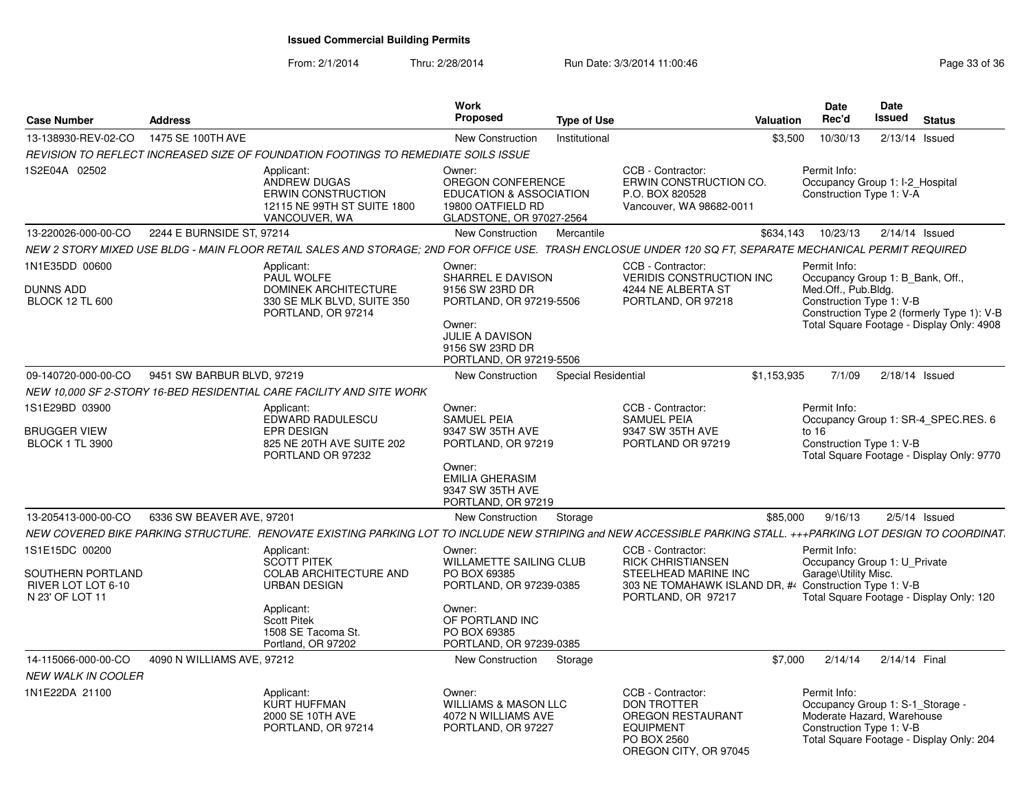| <b>Case Number</b>                                           | <b>Address</b>                                                       |                                                                                                                                                                 | Work<br><b>Proposed</b>                                                                                                                                     | <b>Type of Use</b>  |                                                                                                                                 | <b>Valuation</b> | Date<br>Rec'd                                                                                              | Date<br><b>Issued</b> | <b>Status</b>                                                                           |
|--------------------------------------------------------------|----------------------------------------------------------------------|-----------------------------------------------------------------------------------------------------------------------------------------------------------------|-------------------------------------------------------------------------------------------------------------------------------------------------------------|---------------------|---------------------------------------------------------------------------------------------------------------------------------|------------------|------------------------------------------------------------------------------------------------------------|-----------------------|-----------------------------------------------------------------------------------------|
| 13-138930-REV-02-CO                                          | 1475 SE 100TH AVE                                                    |                                                                                                                                                                 | New Construction                                                                                                                                            | Institutional       |                                                                                                                                 | \$3,500          | 10/30/13                                                                                                   | $2/13/14$ Issued      |                                                                                         |
|                                                              |                                                                      | REVISION TO REFLECT INCREASED SIZE OF FOUNDATION FOOTINGS TO REMEDIATE SOILS ISSUE                                                                              |                                                                                                                                                             |                     |                                                                                                                                 |                  |                                                                                                            |                       |                                                                                         |
| 1S2E04A 02502                                                | Applicant:                                                           | ANDREW DUGAS<br><b>ERWIN CONSTRUCTION</b><br>12115 NE 99TH ST SUITE 1800<br>VANCOUVER, WA                                                                       | Owner:<br>OREGON CONFERENCE<br><b>EDUCATION &amp; ASSOCIATION</b><br>19800 OATFIELD RD<br>GLADSTONE, OR 97027-2564                                          |                     | CCB - Contractor:<br>ERWIN CONSTRUCTION CO.<br>P.O. BOX 820528<br>Vancouver, WA 98682-0011                                      |                  | Permit Info:<br>Occupancy Group 1: I-2_Hospital<br>Construction Type 1: V-A                                |                       |                                                                                         |
| 13-220026-000-00-CO                                          | 2244 E BURNSIDE ST, 97214                                            |                                                                                                                                                                 | New Construction                                                                                                                                            | Mercantile          |                                                                                                                                 | \$634,143        | 10/23/13                                                                                                   | $2/14/14$ Issued      |                                                                                         |
|                                                              |                                                                      | NEW 2 STORY MIXED USE BLDG - MAIN FLOOR RETAIL SALES AND STORAGE: 2ND FOR OFFICE USE. TRASH ENCLOSUE UNDER 120 SQ FT, SEPARATE MECHANICAL PERMIT REQUIRED       |                                                                                                                                                             |                     |                                                                                                                                 |                  |                                                                                                            |                       |                                                                                         |
| 1N1E35DD 00600<br><b>DUNNS ADD</b><br><b>BLOCK 12 TL 600</b> | Applicant:                                                           | PAUL WOLFE<br>DOMINEK ARCHITECTURE<br>330 SE MLK BLVD, SUITE 350<br>PORTLAND, OR 97214                                                                          | Owner:<br>SHARREL E DAVISON<br>9156 SW 23RD DR<br>PORTLAND, OR 97219-5506<br>Owner:<br><b>JULIE A DAVISON</b><br>9156 SW 23RD DR<br>PORTLAND, OR 97219-5506 |                     | CCB - Contractor:<br><b>VERIDIS CONSTRUCTION INC</b><br>4244 NE ALBERTA ST<br>PORTLAND, OR 97218                                |                  | Permit Info:<br>Occupancy Group 1: B Bank, Off.,<br>Med.Off., Pub.Bldg.<br>Construction Type 1: V-B        |                       | Construction Type 2 (formerly Type 1): V-B<br>Total Square Footage - Display Only: 4908 |
| 09-140720-000-00-CO                                          | 9451 SW BARBUR BLVD, 97219                                           |                                                                                                                                                                 | <b>New Construction</b>                                                                                                                                     | Special Residential |                                                                                                                                 | \$1,153,935      | 7/1/09                                                                                                     | $2/18/14$ Issued      |                                                                                         |
|                                                              | NEW 10,000 SF 2-STORY 16-BED RESIDENTIAL CARE FACILITY AND SITE WORK |                                                                                                                                                                 |                                                                                                                                                             |                     |                                                                                                                                 |                  |                                                                                                            |                       |                                                                                         |
| 1S1E29BD 03900                                               | Applicant:                                                           | EDWARD RADULESCU                                                                                                                                                | Owner:<br><b>SAMUEL PEIA</b>                                                                                                                                |                     | CCB - Contractor:<br><b>SAMUEL PEIA</b>                                                                                         |                  | Permit Info:                                                                                               |                       | Occupancy Group 1: SR-4 SPEC.RES. 6                                                     |
| <b>BRUGGER VIEW</b><br><b>BLOCK 1 TL 3900</b>                |                                                                      | <b>EPR DESIGN</b><br>825 NE 20TH AVE SUITE 202<br>PORTLAND OR 97232                                                                                             | 9347 SW 35TH AVE<br>PORTLAND, OR 97219<br>Owner:<br><b>EMILIA GHERASIM</b><br>9347 SW 35TH AVE<br>PORTLAND, OR 97219                                        |                     | 9347 SW 35TH AVE<br>PORTLAND OR 97219                                                                                           |                  | to $16$<br>Construction Type 1: V-B                                                                        |                       | Total Square Footage - Display Only: 9770                                               |
| 13-205413-000-00-CO                                          | 6336 SW BEAVER AVE, 97201                                            |                                                                                                                                                                 | New Construction                                                                                                                                            | Storage             |                                                                                                                                 | \$85,000         | 9/16/13                                                                                                    | $2/5/14$ Issued       |                                                                                         |
|                                                              |                                                                      | NEW COVERED BIKE PARKING STRUCTURE. RENOVATE EXISTING PARKING LOT TO INCLUDE NEW STRIPING and NEW ACCESSIBLE PARKING STALL. +++PARKING LOT DESIGN TO COORDINAT. |                                                                                                                                                             |                     |                                                                                                                                 |                  |                                                                                                            |                       |                                                                                         |
| 1S1E15DC 00200<br>SOUTHERN PORTLAND<br>RIVER LOT LOT 6-10    | Applicant:                                                           | SCOTT PITEK<br>COLAB ARCHITECTURE AND<br><b>URBAN DESIGN</b>                                                                                                    | Owner:<br><b>WILLAMETTE SAILING CLUB</b><br>PO BOX 69385<br>PORTLAND, OR 97239-0385                                                                         |                     | CCB - Contractor:<br><b>RICK CHRISTIANSEN</b><br>STEELHEAD MARINE INC<br>303 NE TOMAHAWK ISLAND DR, # Construction Type 1: V-B  |                  | Permit Info:<br>Occupancy Group 1: U_Private<br>Garage\Utility Misc.                                       |                       |                                                                                         |
| N 23' OF LOT 11                                              | Applicant:<br><b>Scott Pitek</b>                                     | 1508 SE Tacoma St.<br>Portland, OR 97202                                                                                                                        | Owner:<br>OF PORTLAND INC<br>PO BOX 69385<br>PORTLAND, OR 97239-0385                                                                                        |                     | PORTLAND, OR 97217                                                                                                              |                  |                                                                                                            |                       | Total Square Footage - Display Only: 120                                                |
| 14-115066-000-00-CO                                          | 4090 N WILLIAMS AVE, 97212                                           |                                                                                                                                                                 | New Construction                                                                                                                                            | Storage             |                                                                                                                                 | \$7,000          | 2/14/14                                                                                                    | 2/14/14 Final         |                                                                                         |
| <b>NEW WALK IN COOLER</b>                                    |                                                                      |                                                                                                                                                                 |                                                                                                                                                             |                     |                                                                                                                                 |                  |                                                                                                            |                       |                                                                                         |
| 1N1E22DA 21100                                               | Applicant:                                                           | <b>KURT HUFFMAN</b><br>2000 SE 10TH AVE<br>PORTLAND, OR 97214                                                                                                   | Owner:<br><b>WILLIAMS &amp; MASON LLC</b><br>4072 N WILLIAMS AVE<br>PORTLAND, OR 97227                                                                      |                     | CCB - Contractor:<br><b>DON TROTTER</b><br><b>OREGON RESTAURANT</b><br><b>EQUIPMENT</b><br>PO BOX 2560<br>OREGON CITY, OR 97045 |                  | Permit Info:<br>Occupancy Group 1: S-1_Storage -<br>Moderate Hazard, Warehouse<br>Construction Type 1: V-B |                       | Total Square Footage - Display Only: 204                                                |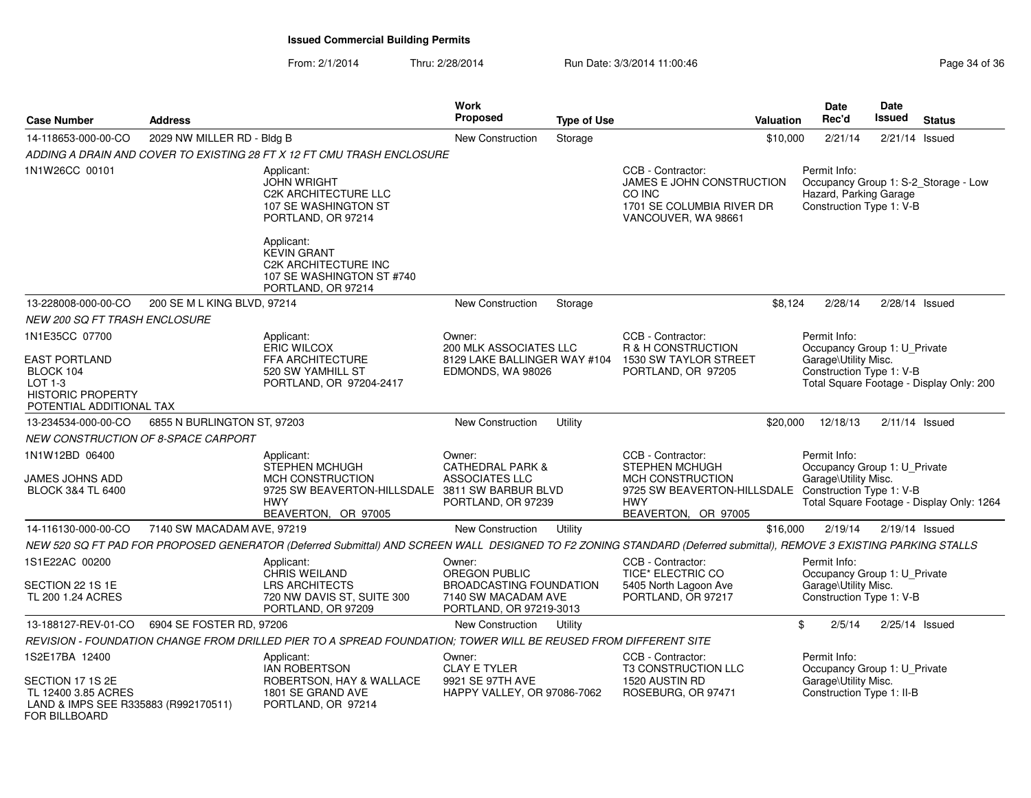| <b>Case Number</b>                                                                                     | <b>Address</b>                             |                                                                                                                                                                     | Work<br>Proposed                                                                                     | <b>Type of Use</b> |                                                                                                                                      | <b>Valuation</b> | <b>Date</b><br>Rec'd                                                                                              | <b>Date</b><br>Issued | <b>Status</b> |  |
|--------------------------------------------------------------------------------------------------------|--------------------------------------------|---------------------------------------------------------------------------------------------------------------------------------------------------------------------|------------------------------------------------------------------------------------------------------|--------------------|--------------------------------------------------------------------------------------------------------------------------------------|------------------|-------------------------------------------------------------------------------------------------------------------|-----------------------|---------------|--|
| 14-118653-000-00-CO                                                                                    | 2029 NW MILLER RD - Bldg B                 |                                                                                                                                                                     | <b>New Construction</b>                                                                              | Storage            |                                                                                                                                      | \$10,000         | 2/21/14                                                                                                           | $2/21/14$ Issued      |               |  |
|                                                                                                        |                                            | ADDING A DRAIN AND COVER TO EXISTING 28 FT X 12 FT CMU TRASH ENCLOSURE                                                                                              |                                                                                                      |                    |                                                                                                                                      |                  |                                                                                                                   |                       |               |  |
| 1N1W26CC 00101                                                                                         |                                            | Applicant:<br><b>JOHN WRIGHT</b><br><b>C2K ARCHITECTURE LLC</b><br>107 SE WASHINGTON ST<br>PORTLAND, OR 97214                                                       |                                                                                                      |                    | CCB - Contractor:<br>JAMES E JOHN CONSTRUCTION<br>CO INC<br>1701 SE COLUMBIA RIVER DR<br>VANCOUVER, WA 98661                         |                  | Permit Info:<br>Occupancy Group 1: S-2_Storage - Low<br>Hazard, Parking Garage<br>Construction Type 1: V-B        |                       |               |  |
|                                                                                                        |                                            | Applicant:<br><b>KEVIN GRANT</b><br><b>C2K ARCHITECTURE INC</b><br>107 SE WASHINGTON ST #740<br>PORTLAND, OR 97214                                                  |                                                                                                      |                    |                                                                                                                                      |                  |                                                                                                                   |                       |               |  |
| 13-228008-000-00-CO                                                                                    | 200 SE M L KING BLVD, 97214                |                                                                                                                                                                     | <b>New Construction</b>                                                                              | Storage            |                                                                                                                                      | \$8,124          | 2/28/14                                                                                                           | $2/28/14$ Issued      |               |  |
| NEW 200 SQ FT TRASH ENCLOSURE                                                                          |                                            |                                                                                                                                                                     |                                                                                                      |                    |                                                                                                                                      |                  |                                                                                                                   |                       |               |  |
| 1N1E35CC 07700                                                                                         |                                            | Applicant:<br><b>ERIC WILCOX</b>                                                                                                                                    | Owner:<br>200 MLK ASSOCIATES LLC                                                                     |                    | CCB - Contractor:<br>R & H CONSTRUCTION                                                                                              |                  | Permit Info:<br>Occupancy Group 1: U_Private                                                                      |                       |               |  |
| <b>EAST PORTLAND</b><br>BLOCK 104<br>$LOT 1-3$<br><b>HISTORIC PROPERTY</b><br>POTENTIAL ADDITIONAL TAX |                                            | FFA ARCHITECTURE<br>520 SW YAMHILL ST<br>PORTLAND, OR 97204-2417                                                                                                    | 8129 LAKE BALLINGER WAY #104<br>EDMONDS, WA 98026                                                    |                    | 1530 SW TAYLOR STREET<br>PORTLAND, OR 97205                                                                                          |                  | Garage\Utility Misc.<br>Construction Type 1: V-B<br>Total Square Footage - Display Only: 200                      |                       |               |  |
| 13-234534-000-00-CO                                                                                    | 6855 N BURLINGTON ST, 97203                |                                                                                                                                                                     | New Construction                                                                                     | Utility            |                                                                                                                                      | \$20,000         | 12/18/13                                                                                                          | $2/11/14$ Issued      |               |  |
|                                                                                                        | <b>NEW CONSTRUCTION OF 8-SPACE CARPORT</b> |                                                                                                                                                                     |                                                                                                      |                    |                                                                                                                                      |                  |                                                                                                                   |                       |               |  |
| 1N1W12BD 06400<br>JAMES JOHNS ADD<br><b>BLOCK 3&amp;4 TL 6400</b>                                      |                                            | Applicant:<br>STEPHEN MCHUGH<br>MCH CONSTRUCTION<br>9725 SW BEAVERTON-HILLSDALE<br><b>HWY</b>                                                                       | Owner:<br><b>CATHEDRAL PARK &amp;</b><br>ASSOCIATES LLC<br>3811 SW BARBUR BLVD<br>PORTLAND, OR 97239 |                    | CCB - Contractor:<br><b>STEPHEN MCHUGH</b><br>MCH CONSTRUCTION<br>9725 SW BEAVERTON-HILLSDALE Construction Type 1: V-B<br><b>HWY</b> |                  | Permit Info:<br>Occupancy Group 1: U_Private<br>Garage\Utility Misc.<br>Total Square Footage - Display Only: 1264 |                       |               |  |
|                                                                                                        |                                            | BEAVERTON, OR 97005                                                                                                                                                 |                                                                                                      |                    | BEAVERTON, OR 97005                                                                                                                  |                  |                                                                                                                   |                       |               |  |
| 14-116130-000-00-CO                                                                                    | 7140 SW MACADAM AVE, 97219                 |                                                                                                                                                                     | <b>New Construction</b>                                                                              | Utility            |                                                                                                                                      | \$16,000         | 2/19/14                                                                                                           | $2/19/14$ Issued      |               |  |
|                                                                                                        |                                            | NEW 520 SQ FT PAD FOR PROPOSED GENERATOR (Deferred Submittal) AND SCREEN WALL DESIGNED TO F2 ZONING STANDARD (Deferred submittal), REMOVE 3 EXISTING PARKING STALLS |                                                                                                      |                    |                                                                                                                                      |                  |                                                                                                                   |                       |               |  |
| 1S1E22AC 00200                                                                                         |                                            | Applicant:<br>CHRIS WEILAND                                                                                                                                         | Owner:<br>OREGON PUBLIC                                                                              |                    | CCB - Contractor:<br>TICE* ELECTRIC CO                                                                                               |                  | Permit Info:<br>Occupancy Group 1: U_Private                                                                      |                       |               |  |
| SECTION 22 1S 1E<br>TL 200 1.24 ACRES                                                                  |                                            | <b>LRS ARCHITECTS</b><br>720 NW DAVIS ST, SUITE 300<br>PORTLAND, OR 97209                                                                                           | <b>BROADCASTING FOUNDATION</b><br>7140 SW MACADAM AVE<br>PORTLAND, OR 97219-3013                     |                    | 5405 North Lagoon Ave<br>PORTLAND, OR 97217                                                                                          |                  | Garage\Utility Misc.<br>Construction Type 1: V-B                                                                  |                       |               |  |
| 13-188127-REV-01-CO                                                                                    | 6904 SE FOSTER RD, 97206                   |                                                                                                                                                                     | <b>New Construction</b>                                                                              | Utility            |                                                                                                                                      | \$               | 2/5/14                                                                                                            | 2/25/14 Issued        |               |  |
|                                                                                                        |                                            | REVISION - FOUNDATION CHANGE FROM DRILLED PIER TO A SPREAD FOUNDATION; TOWER WILL BE REUSED FROM DIFFERENT SITE                                                     |                                                                                                      |                    |                                                                                                                                      |                  |                                                                                                                   |                       |               |  |
| 1S2E17BA 12400                                                                                         |                                            | Applicant:<br><b>IAN ROBERTSON</b>                                                                                                                                  | Owner:<br><b>CLAY E TYLER</b>                                                                        |                    | CCB - Contractor:<br><b>T3 CONSTRUCTION LLC</b>                                                                                      |                  | Permit Info:<br>Occupancy Group 1: U_Private                                                                      |                       |               |  |
| SECTION 17 1S 2E<br>TL 12400 3.85 ACRES<br>LAND & IMPS SEE R335883 (R992170511)<br>FOR BILLBOARD       |                                            | ROBERTSON, HAY & WALLACE<br>1801 SE GRAND AVE<br>PORTLAND, OR 97214                                                                                                 | 9921 SE 97TH AVE<br>HAPPY VALLEY, OR 97086-7062                                                      |                    | 1520 AUSTIN RD<br>ROSEBURG, OR 97471                                                                                                 |                  | Garage\Utility Misc.<br>Construction Type 1: II-B                                                                 |                       |               |  |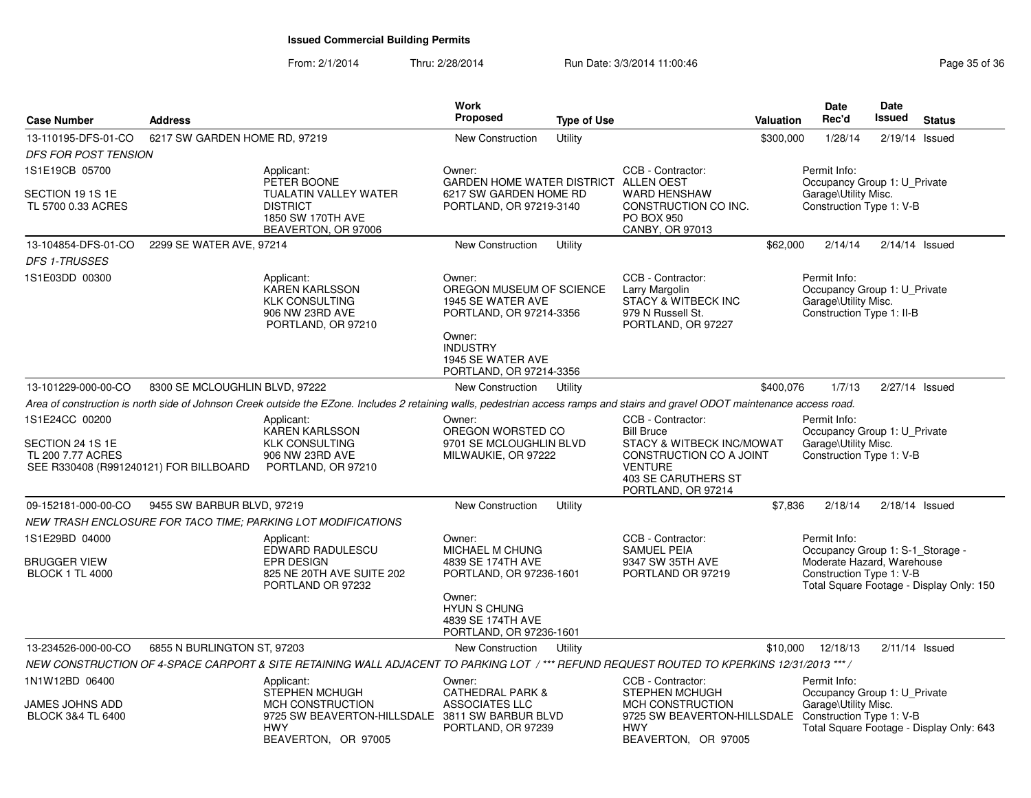| <b>Case Number</b>                                                                                | <b>Address</b>                 |                                                                                                                                                                                | <b>Work</b><br>Proposed                                                                                                                                         | <b>Type of Use</b> |                                                                                                                                                               | Valuation | <b>Date</b><br>Rec'd                                                                                       | <b>Date</b><br>Issued | <b>Status</b>                            |
|---------------------------------------------------------------------------------------------------|--------------------------------|--------------------------------------------------------------------------------------------------------------------------------------------------------------------------------|-----------------------------------------------------------------------------------------------------------------------------------------------------------------|--------------------|---------------------------------------------------------------------------------------------------------------------------------------------------------------|-----------|------------------------------------------------------------------------------------------------------------|-----------------------|------------------------------------------|
| 13-110195-DFS-01-CO                                                                               | 6217 SW GARDEN HOME RD, 97219  |                                                                                                                                                                                | New Construction                                                                                                                                                | Utility            |                                                                                                                                                               | \$300,000 | 1/28/14                                                                                                    | 2/19/14               | Issued                                   |
| DFS FOR POST TENSION                                                                              |                                |                                                                                                                                                                                |                                                                                                                                                                 |                    |                                                                                                                                                               |           |                                                                                                            |                       |                                          |
| 1S1E19CB 05700                                                                                    |                                | Applicant:                                                                                                                                                                     | Owner:                                                                                                                                                          |                    | CCB - Contractor:                                                                                                                                             |           | Permit Info:                                                                                               |                       |                                          |
| SECTION 19 1S 1E<br>TL 5700 0.33 ACRES                                                            |                                | PETER BOONE<br><b>TUALATIN VALLEY WATER</b><br><b>DISTRICT</b><br>1850 SW 170TH AVE<br>BEAVERTON, OR 97006                                                                     | GARDEN HOME WATER DISTRICT ALLEN OEST<br>6217 SW GARDEN HOME RD<br>PORTLAND, OR 97219-3140                                                                      |                    | <b>WARD HENSHAW</b><br>CONSTRUCTION CO INC.<br>PO BOX 950<br>CANBY, OR 97013                                                                                  |           | Occupancy Group 1: U_Private<br>Garage\Utility Misc.<br>Construction Type 1: V-B                           |                       |                                          |
| 13-104854-DFS-01-CO                                                                               | 2299 SE WATER AVE, 97214       |                                                                                                                                                                                | New Construction                                                                                                                                                | Utility            |                                                                                                                                                               | \$62,000  | 2/14/14                                                                                                    |                       | $2/14/14$ Issued                         |
| <b>DFS 1-TRUSSES</b>                                                                              |                                |                                                                                                                                                                                |                                                                                                                                                                 |                    |                                                                                                                                                               |           |                                                                                                            |                       |                                          |
| 1S1E03DD 00300                                                                                    |                                | Applicant:<br><b>KAREN KARLSSON</b><br><b>KLK CONSULTING</b><br>906 NW 23RD AVE<br>PORTLAND, OR 97210                                                                          | Owner:<br>OREGON MUSEUM OF SCIENCE<br>1945 SE WATER AVE<br>PORTLAND, OR 97214-3356<br>Owner:<br><b>INDUSTRY</b><br>1945 SE WATER AVE<br>PORTLAND, OR 97214-3356 |                    | CCB - Contractor:<br>Larry Margolin<br><b>STACY &amp; WITBECK INC</b><br>979 N Russell St.<br>PORTLAND, OR 97227                                              |           | Permit Info:<br>Occupancy Group 1: U_Private<br>Garage\Utility Misc.<br>Construction Type 1: II-B          |                       |                                          |
| 13-101229-000-00-CO                                                                               | 8300 SE MCLOUGHLIN BLVD, 97222 |                                                                                                                                                                                | New Construction                                                                                                                                                | Utility            |                                                                                                                                                               | \$400,076 | 1/7/13                                                                                                     |                       | 2/27/14 Issued                           |
|                                                                                                   |                                | Area of construction is north side of Johnson Creek outside the EZone. Includes 2 retaining walls, pedestrian access ramps and stairs and gravel ODOT maintenance access road. |                                                                                                                                                                 |                    |                                                                                                                                                               |           |                                                                                                            |                       |                                          |
| 1S1E24CC 00200<br>SECTION 24 1S 1E<br>TL 200 7.77 ACRES<br>SEE R330408 (R991240121) FOR BILLBOARD |                                | Applicant:<br><b>KAREN KARLSSON</b><br><b>KLK CONSULTING</b><br>906 NW 23RD AVE<br>PORTLAND, OR 97210                                                                          | Owner:<br>OREGON WORSTED CO<br>9701 SE MCLOUGHLIN BLVD<br>MILWAUKIE, OR 97222                                                                                   |                    | CCB - Contractor:<br><b>Bill Bruce</b><br>STACY & WITBECK INC/MOWAT<br>CONSTRUCTION CO A JOINT<br><b>VENTURE</b><br>403 SE CARUTHERS ST<br>PORTLAND, OR 97214 |           | Permit Info:<br>Occupancy Group 1: U Private<br>Garage\Utility Misc.<br>Construction Type 1: V-B           |                       |                                          |
| 09-152181-000-00-CO                                                                               | 9455 SW BARBUR BLVD, 97219     |                                                                                                                                                                                | New Construction                                                                                                                                                | Utility            |                                                                                                                                                               | \$7,836   | 2/18/14                                                                                                    | $2/18/14$ Issued      |                                          |
|                                                                                                   |                                | NEW TRASH ENCLOSURE FOR TACO TIME; PARKING LOT MODIFICATIONS                                                                                                                   |                                                                                                                                                                 |                    |                                                                                                                                                               |           |                                                                                                            |                       |                                          |
| 1S1E29BD 04000<br><b>BRUGGER VIEW</b><br><b>BLOCK 1 TL 4000</b>                                   |                                | Applicant:<br>EDWARD RADULESCU<br><b>EPR DESIGN</b><br>825 NE 20TH AVE SUITE 202<br>PORTLAND OR 97232                                                                          | Owner:<br>MICHAEL M CHUNG<br>4839 SE 174TH AVE<br>PORTLAND, OR 97236-1601<br>Owner:<br><b>HYUN S CHUNG</b><br>4839 SE 174TH AVE<br>PORTLAND, OR 97236-1601      |                    | CCB - Contractor:<br><b>SAMUEL PEIA</b><br>9347 SW 35TH AVE<br>PORTLAND OR 97219                                                                              |           | Permit Info:<br>Occupancy Group 1: S-1 Storage -<br>Moderate Hazard, Warehouse<br>Construction Type 1: V-B |                       | Total Square Footage - Display Only: 150 |
| 13-234526-000-00-CO                                                                               | 6855 N BURLINGTON ST, 97203    |                                                                                                                                                                                | <b>New Construction</b>                                                                                                                                         | Utility            |                                                                                                                                                               | \$10,000  | 12/18/13                                                                                                   |                       | $2/11/14$ Issued                         |
|                                                                                                   |                                | NEW CONSTRUCTION OF 4-SPACE CARPORT & SITE RETAINING WALL ADJACENT TO PARKING LOT /*** REFUND REQUEST ROUTED TO KPERKINS 12/31/2013 ***/                                       |                                                                                                                                                                 |                    |                                                                                                                                                               |           |                                                                                                            |                       |                                          |
| 1N1W12BD 06400                                                                                    |                                | Applicant:                                                                                                                                                                     | Owner:                                                                                                                                                          |                    | CCB - Contractor:                                                                                                                                             |           | Permit Info:                                                                                               |                       |                                          |
| JAMES JOHNS ADD<br><b>BLOCK 3&amp;4 TL 6400</b>                                                   |                                | STEPHEN MCHUGH<br>MCH CONSTRUCTION<br>9725 SW BEAVERTON-HILLSDALE<br><b>HWY</b><br>BEAVERTON, OR 97005                                                                         | <b>CATHEDRAL PARK &amp;</b><br><b>ASSOCIATES LLC</b><br>3811 SW BARBUR BLVD<br>PORTLAND, OR 97239                                                               |                    | STEPHEN MCHUGH<br>MCH CONSTRUCTION<br>9725 SW BEAVERTON-HILLSDALE<br><b>HWY</b><br>BEAVERTON, OR 97005                                                        |           | Occupancy Group 1: U Private<br>Garage\Utility Misc.<br>Construction Type 1: V-B                           |                       | Total Square Footage - Display Only: 643 |